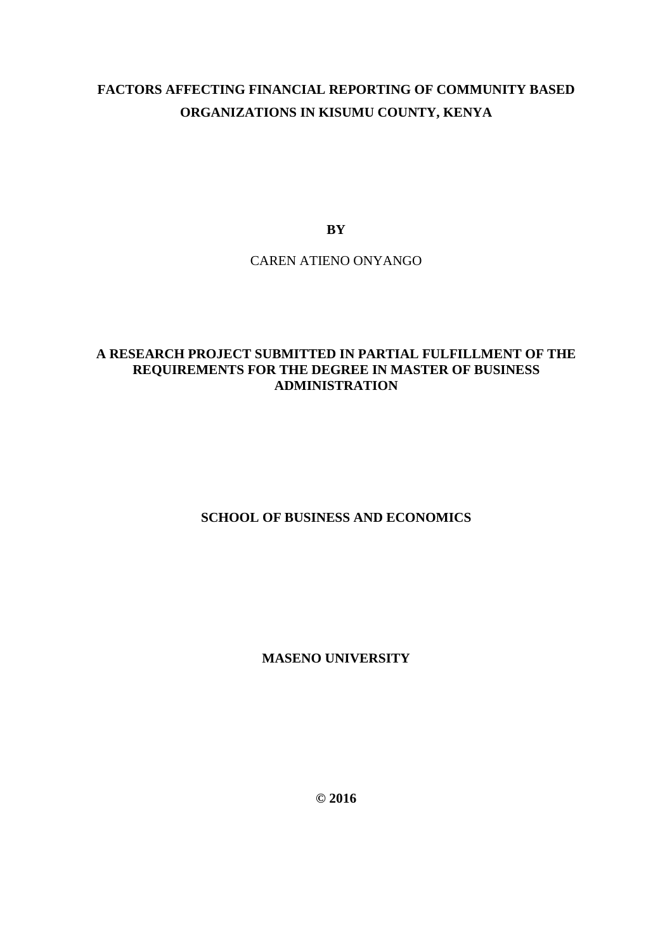# **FACTORS AFFECTING FINANCIAL REPORTING OF COMMUNITY BASED ORGANIZATIONS IN KISUMU COUNTY, KENYA**

**BY** 

CAREN ATIENO ONYANGO

## **A RESEARCH PROJECT SUBMITTED IN PARTIAL FULFILLMENT OF THE REQUIREMENTS FOR THE DEGREE IN MASTER OF BUSINESS ADMINISTRATION**

## **SCHOOL OF BUSINESS AND ECONOMICS**

## **MASENO UNIVERSITY**

**© 2016**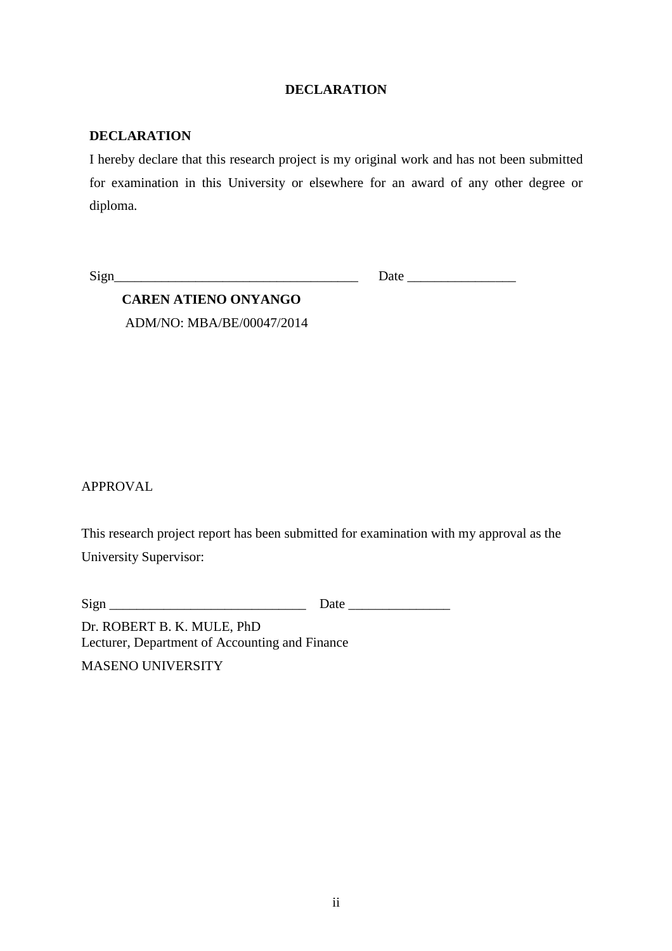## **DECLARATION**

## **DECLARATION**

I hereby declare that this research project is my original work and has not been submitted for examination in this University or elsewhere for an award of any other degree or diploma.

Sign\_\_\_\_\_\_\_\_\_\_\_\_\_\_\_\_\_\_\_\_\_\_\_\_\_\_\_\_\_\_\_\_\_\_\_\_ Date \_\_\_\_\_\_\_\_\_\_\_\_\_\_\_\_

**CAREN ATIENO ONYANGO**  ADM/NO: MBA/BE/00047/2014

APPROVAL

This research project report has been submitted for examination with my approval as the University Supervisor:

 $Sign$   $\qquad \qquad$   $Date$   $\qquad \qquad$   $Date$   $\qquad \qquad$ 

Dr. ROBERT B. K. MULE, PhD Lecturer, Department of Accounting and Finance

MASENO UNIVERSITY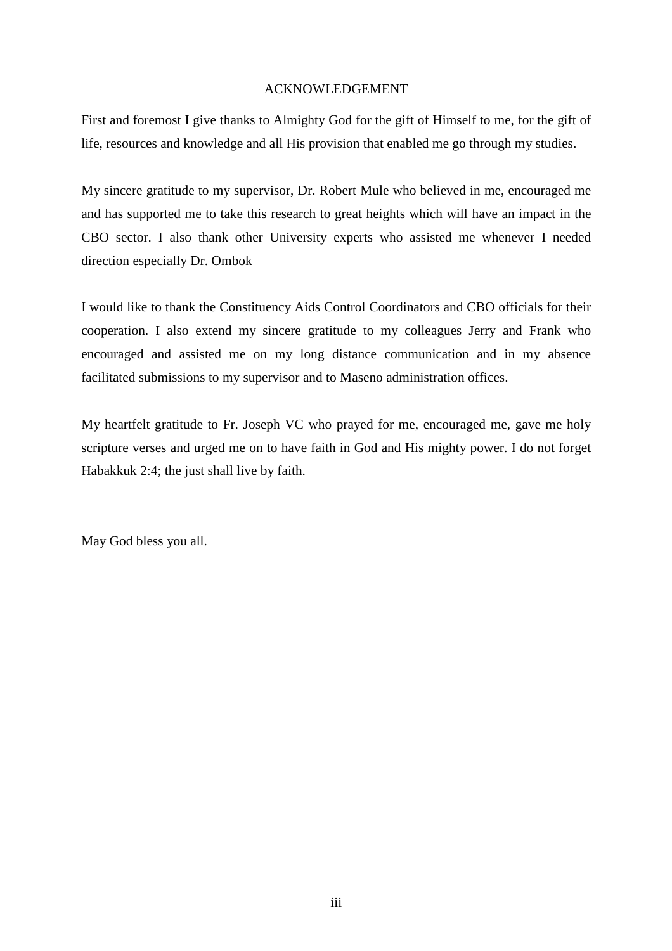#### ACKNOWLEDGEMENT

First and foremost I give thanks to Almighty God for the gift of Himself to me, for the gift of life, resources and knowledge and all His provision that enabled me go through my studies.

My sincere gratitude to my supervisor, Dr. Robert Mule who believed in me, encouraged me and has supported me to take this research to great heights which will have an impact in the CBO sector. I also thank other University experts who assisted me whenever I needed direction especially Dr. Ombok

I would like to thank the Constituency Aids Control Coordinators and CBO officials for their cooperation. I also extend my sincere gratitude to my colleagues Jerry and Frank who encouraged and assisted me on my long distance communication and in my absence facilitated submissions to my supervisor and to Maseno administration offices.

My heartfelt gratitude to Fr. Joseph VC who prayed for me, encouraged me, gave me holy scripture verses and urged me on to have faith in God and His mighty power. I do not forget Habakkuk 2:4; the just shall live by faith.

May God bless you all.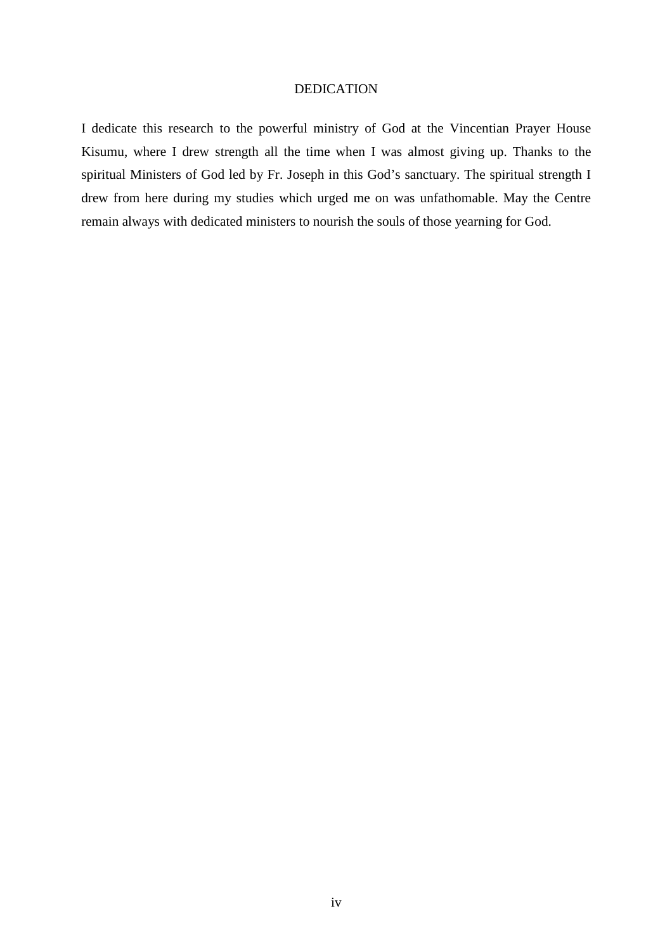#### DEDICATION

I dedicate this research to the powerful ministry of God at the Vincentian Prayer House Kisumu, where I drew strength all the time when I was almost giving up. Thanks to the spiritual Ministers of God led by Fr. Joseph in this God's sanctuary. The spiritual strength I drew from here during my studies which urged me on was unfathomable. May the Centre remain always with dedicated ministers to nourish the souls of those yearning for God.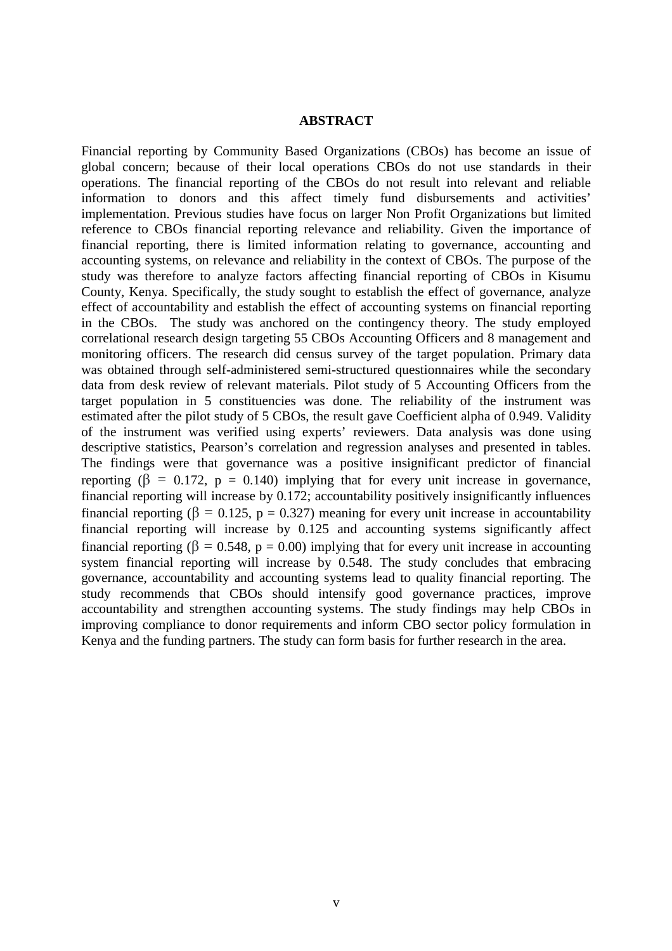#### **ABSTRACT**

Financial reporting by Community Based Organizations (CBOs) has become an issue of global concern; because of their local operations CBOs do not use standards in their operations. The financial reporting of the CBOs do not result into relevant and reliable information to donors and this affect timely fund disbursements and activities' implementation. Previous studies have focus on larger Non Profit Organizations but limited reference to CBOs financial reporting relevance and reliability. Given the importance of financial reporting, there is limited information relating to governance, accounting and accounting systems, on relevance and reliability in the context of CBOs. The purpose of the study was therefore to analyze factors affecting financial reporting of CBOs in Kisumu County, Kenya. Specifically, the study sought to establish the effect of governance, analyze effect of accountability and establish the effect of accounting systems on financial reporting in the CBOs. The study was anchored on the contingency theory. The study employed correlational research design targeting 55 CBOs Accounting Officers and 8 management and monitoring officers. The research did census survey of the target population. Primary data was obtained through self-administered semi-structured questionnaires while the secondary data from desk review of relevant materials. Pilot study of 5 Accounting Officers from the target population in 5 constituencies was done. The reliability of the instrument was estimated after the pilot study of 5 CBOs, the result gave Coefficient alpha of 0.949. Validity of the instrument was verified using experts' reviewers. Data analysis was done using descriptive statistics, Pearson's correlation and regression analyses and presented in tables. The findings were that governance was a positive insignificant predictor of financial reporting ( $\beta = 0.172$ ,  $p = 0.140$ ) implying that for every unit increase in governance. financial reporting will increase by 0.172; accountability positively insignificantly influences financial reporting ( $\beta = 0.125$ ,  $p = 0.327$ ) meaning for every unit increase in accountability financial reporting will increase by 0.125 and accounting systems significantly affect financial reporting ( $\beta = 0.548$ ,  $p = 0.00$ ) implying that for every unit increase in accounting system financial reporting will increase by 0.548. The study concludes that embracing governance, accountability and accounting systems lead to quality financial reporting. The study recommends that CBOs should intensify good governance practices, improve accountability and strengthen accounting systems. The study findings may help CBOs in improving compliance to donor requirements and inform CBO sector policy formulation in Kenya and the funding partners. The study can form basis for further research in the area.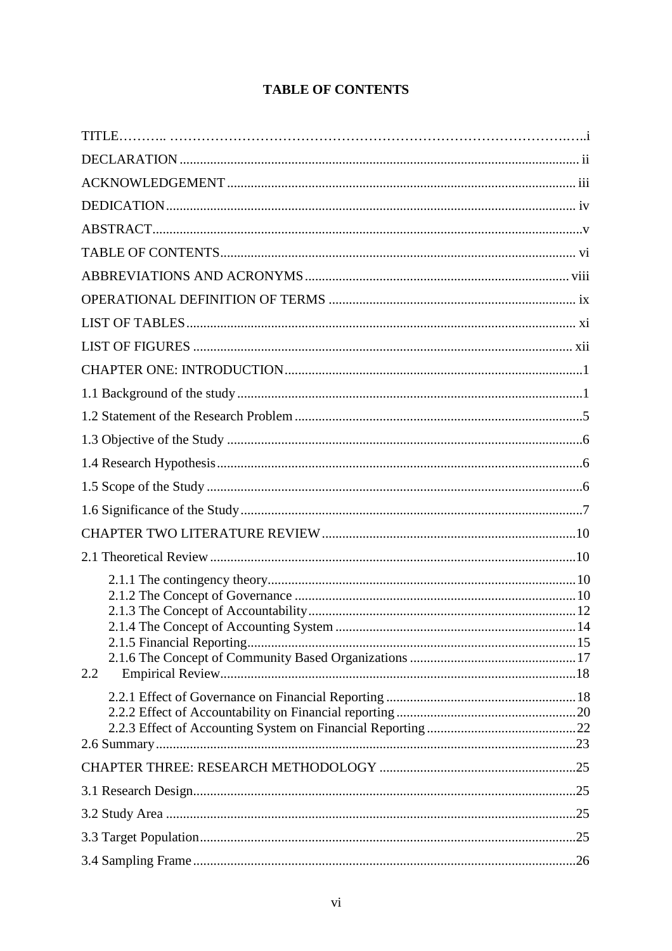## **TABLE OF CONTENTS**

| 2.2 |  |
|-----|--|
|     |  |
|     |  |
|     |  |
|     |  |
|     |  |
|     |  |
|     |  |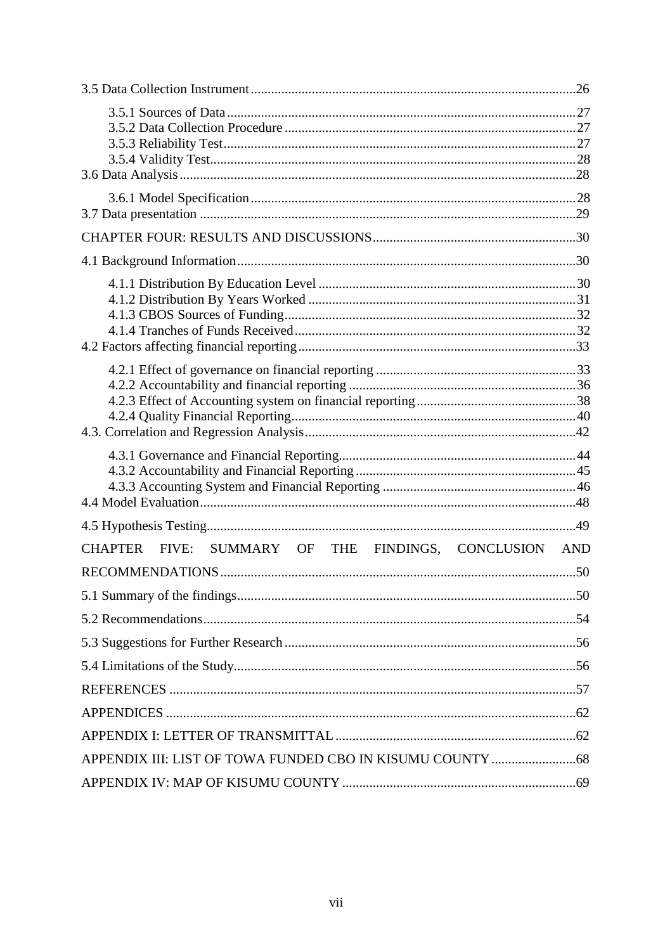| CHAPTER FIVE: SUMMARY OF THE FINDINGS, CONCLUSION | <b>AND</b> |
|---------------------------------------------------|------------|
|                                                   |            |
|                                                   |            |
|                                                   |            |
|                                                   |            |
|                                                   |            |
|                                                   |            |
|                                                   |            |
|                                                   |            |
|                                                   |            |
|                                                   |            |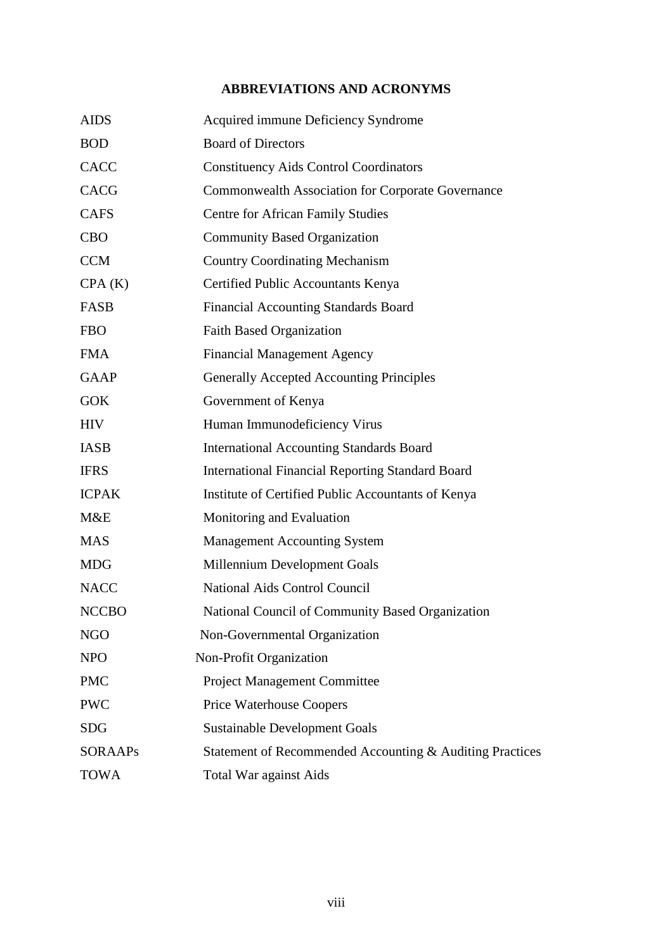## **ABBREVIATIONS AND ACRONYMS**

| <b>AIDS</b>    | Acquired immune Deficiency Syndrome                      |  |  |  |
|----------------|----------------------------------------------------------|--|--|--|
| <b>BOD</b>     | <b>Board of Directors</b>                                |  |  |  |
| <b>CACC</b>    | <b>Constituency Aids Control Coordinators</b>            |  |  |  |
| <b>CACG</b>    | <b>Commonwealth Association for Corporate Governance</b> |  |  |  |
| <b>CAFS</b>    | <b>Centre for African Family Studies</b>                 |  |  |  |
| <b>CBO</b>     | <b>Community Based Organization</b>                      |  |  |  |
| <b>CCM</b>     | <b>Country Coordinating Mechanism</b>                    |  |  |  |
| CPA(K)         | Certified Public Accountants Kenya                       |  |  |  |
| FASB           | <b>Financial Accounting Standards Board</b>              |  |  |  |
| <b>FBO</b>     | <b>Faith Based Organization</b>                          |  |  |  |
| <b>FMA</b>     | <b>Financial Management Agency</b>                       |  |  |  |
| <b>GAAP</b>    | <b>Generally Accepted Accounting Principles</b>          |  |  |  |
| <b>GOK</b>     | Government of Kenya                                      |  |  |  |
| <b>HIV</b>     | Human Immunodeficiency Virus                             |  |  |  |
| <b>IASB</b>    | <b>International Accounting Standards Board</b>          |  |  |  |
| <b>IFRS</b>    | <b>International Financial Reporting Standard Board</b>  |  |  |  |
| <b>ICPAK</b>   | Institute of Certified Public Accountants of Kenya       |  |  |  |
| M&E            | Monitoring and Evaluation                                |  |  |  |
| <b>MAS</b>     | <b>Management Accounting System</b>                      |  |  |  |
| <b>MDG</b>     | Millennium Development Goals                             |  |  |  |
| <b>NACC</b>    | <b>National Aids Control Council</b>                     |  |  |  |
| <b>NCCBO</b>   | National Council of Community Based Organization         |  |  |  |
| <b>NGO</b>     | Non-Governmental Organization                            |  |  |  |
| <b>NPO</b>     | Non-Profit Organization                                  |  |  |  |
| <b>PMC</b>     | <b>Project Management Committee</b>                      |  |  |  |
| <b>PWC</b>     | <b>Price Waterhouse Coopers</b>                          |  |  |  |
| <b>SDG</b>     | <b>Sustainable Development Goals</b>                     |  |  |  |
| <b>SORAAPs</b> | Statement of Recommended Accounting & Auditing Practices |  |  |  |
| <b>TOWA</b>    | <b>Total War against Aids</b>                            |  |  |  |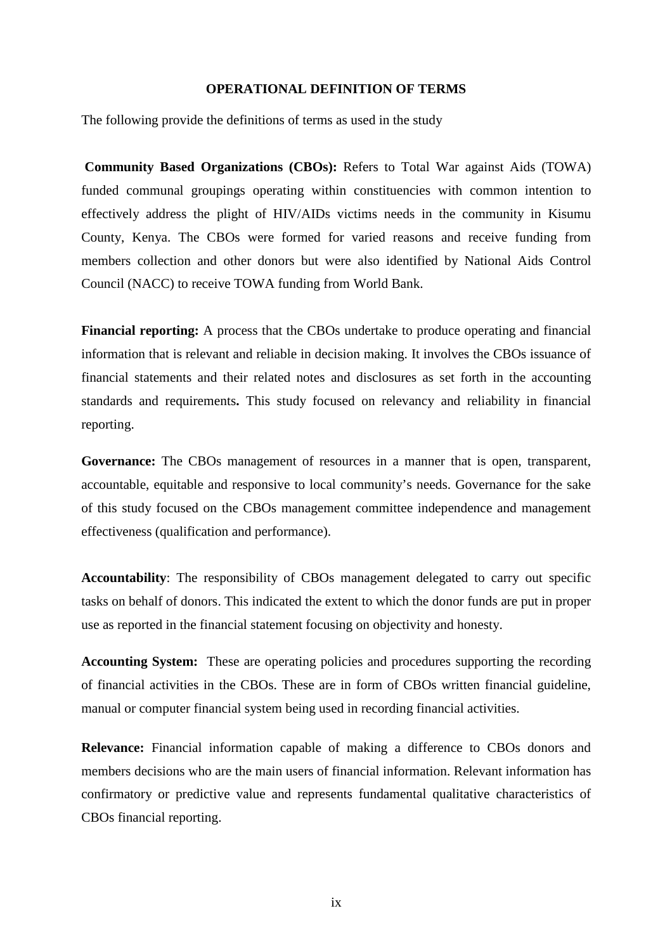#### **OPERATIONAL DEFINITION OF TERMS**

The following provide the definitions of terms as used in the study

 **Community Based Organizations (CBOs):** Refers to Total War against Aids (TOWA) funded communal groupings operating within constituencies with common intention to effectively address the plight of HIV/AIDs victims needs in the community in Kisumu County, Kenya. The CBOs were formed for varied reasons and receive funding from members collection and other donors but were also identified by National Aids Control Council (NACC) to receive TOWA funding from World Bank.

**Financial reporting:** A process that the CBOs undertake to produce operating and financial information that is relevant and reliable in decision making. It involves the CBOs issuance of financial statements and their related notes and disclosures as set forth in the accounting standards and requirements**.** This study focused on relevancy and reliability in financial reporting.

**Governance:** The CBOs management of resources in a manner that is open, transparent, accountable, equitable and responsive to local community's needs. Governance for the sake of this study focused on the CBOs management committee independence and management effectiveness (qualification and performance).

**Accountability**: The responsibility of CBOs management delegated to carry out specific tasks on behalf of donors. This indicated the extent to which the donor funds are put in proper use as reported in the financial statement focusing on objectivity and honesty.

**Accounting System:** These are operating policies and procedures supporting the recording of financial activities in the CBOs. These are in form of CBOs written financial guideline, manual or computer financial system being used in recording financial activities.

**Relevance:** Financial information capable of making a difference to CBOs donors and members decisions who are the main users of financial information. Relevant information has confirmatory or predictive value and represents fundamental qualitative characteristics of CBOs financial reporting.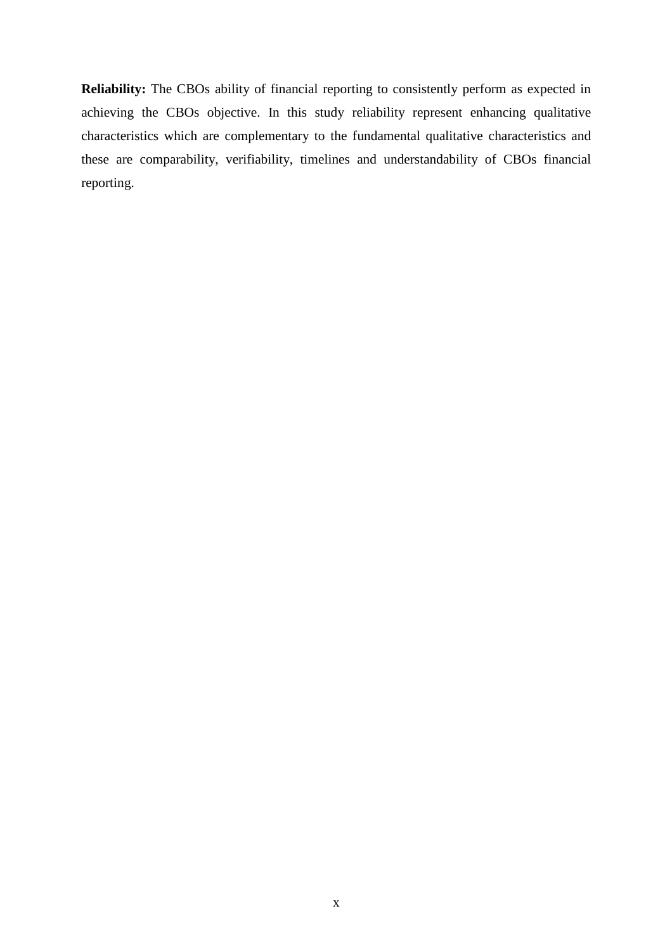**Reliability:** The CBOs ability of financial reporting to consistently perform as expected in achieving the CBOs objective. In this study reliability represent enhancing qualitative characteristics which are complementary to the fundamental qualitative characteristics and these are comparability, verifiability, timelines and understandability of CBOs financial reporting.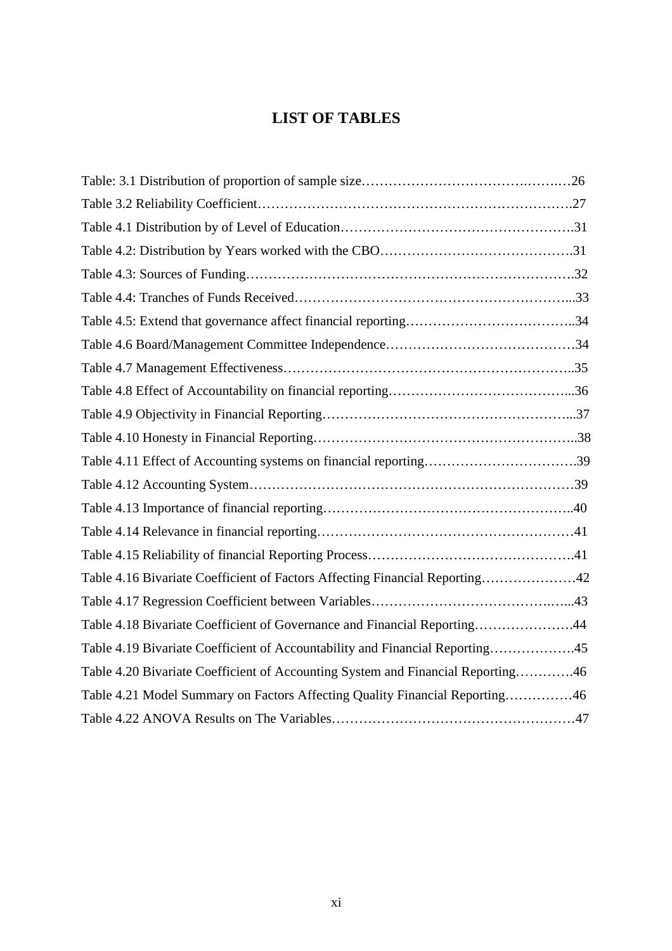# **LIST OF TABLES**

| Table 4.11 Effect of Accounting systems on financial reporting39                |  |
|---------------------------------------------------------------------------------|--|
|                                                                                 |  |
|                                                                                 |  |
|                                                                                 |  |
|                                                                                 |  |
| Table 4.16 Bivariate Coefficient of Factors Affecting Financial Reporting42     |  |
|                                                                                 |  |
| Table 4.18 Bivariate Coefficient of Governance and Financial Reporting44        |  |
| Table 4.19 Bivariate Coefficient of Accountability and Financial Reporting45    |  |
| Table 4.20 Bivariate Coefficient of Accounting System and Financial Reporting46 |  |
| Table 4.21 Model Summary on Factors Affecting Quality Financial Reporting46     |  |
|                                                                                 |  |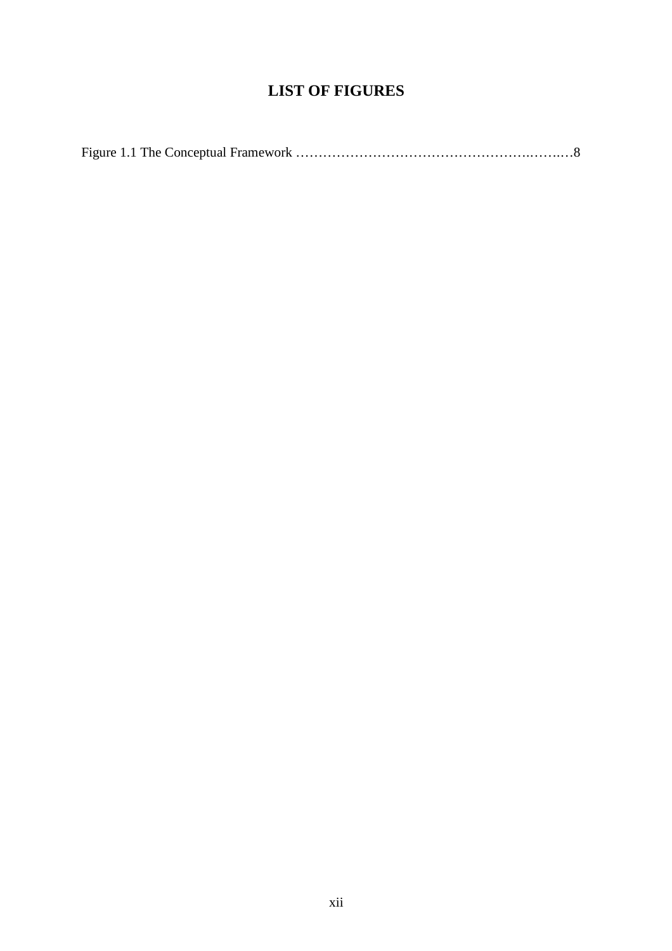# **LIST OF FIGURES**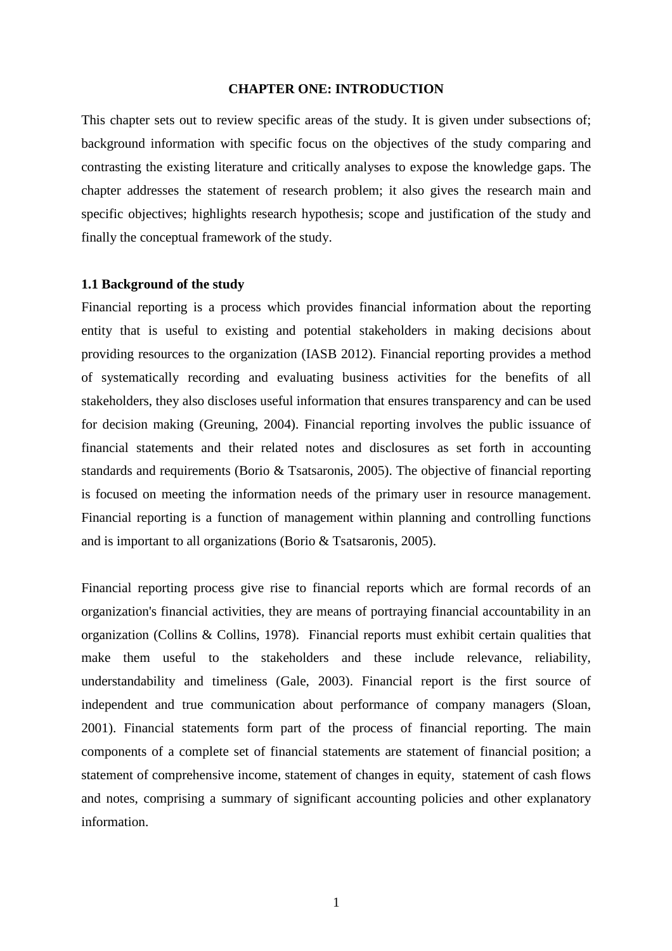#### **CHAPTER ONE: INTRODUCTION**

This chapter sets out to review specific areas of the study. It is given under subsections of; background information with specific focus on the objectives of the study comparing and contrasting the existing literature and critically analyses to expose the knowledge gaps. The chapter addresses the statement of research problem; it also gives the research main and specific objectives; highlights research hypothesis; scope and justification of the study and finally the conceptual framework of the study.

#### **1.1 Background of the study**

Financial reporting is a process which provides financial information about the reporting entity that is useful to existing and potential stakeholders in making decisions about providing resources to the organization (IASB 2012). Financial reporting provides a method of systematically recording and evaluating business activities for the benefits of all stakeholders, they also discloses useful information that ensures transparency and can be used for decision making (Greuning, 2004). Financial reporting involves the public issuance of financial statements and their related notes and disclosures as set forth in accounting standards and requirements (Borio & Tsatsaronis, 2005). The objective of financial reporting is focused on meeting the information needs of the primary user in resource management. Financial reporting is a function of management within planning and controlling functions and is important to all organizations (Borio & Tsatsaronis, 2005).

Financial reporting process give rise to financial reports which are formal records of an organization's financial activities, they are means of portraying financial accountability in an organization (Collins & Collins, 1978). Financial reports must exhibit certain qualities that make them useful to the stakeholders and these include relevance, reliability, understandability and timeliness (Gale, 2003). Financial report is the first source of independent and true communication about performance of company managers (Sloan, 2001). Financial statements form part of the process of financial reporting. The main components of a complete set of financial statements are statement of financial position; a statement of comprehensive income, statement of changes in equity, statement of cash flows and notes, comprising a summary of significant accounting policies and other explanatory information.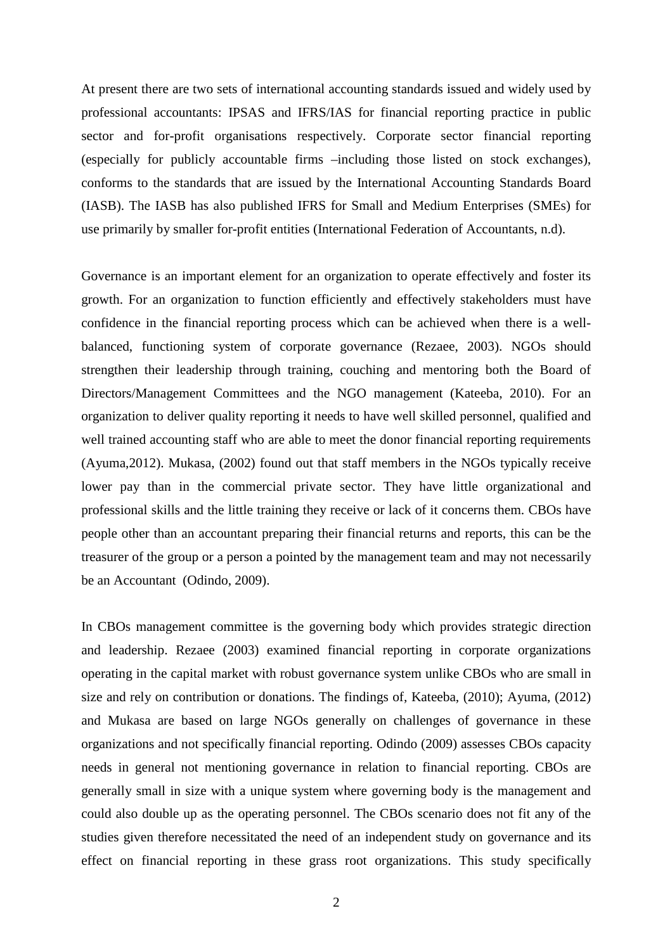At present there are two sets of international accounting standards issued and widely used by professional accountants: IPSAS and IFRS/IAS for financial reporting practice in public sector and for-profit organisations respectively. Corporate sector financial reporting (especially for publicly accountable firms –including those listed on stock exchanges), conforms to the standards that are issued by the International Accounting Standards Board (IASB). The IASB has also published IFRS for Small and Medium Enterprises (SMEs) for use primarily by smaller for-profit entities (International Federation of Accountants, n.d).

Governance is an important element for an organization to operate effectively and foster its growth. For an organization to function efficiently and effectively stakeholders must have confidence in the financial reporting process which can be achieved when there is a wellbalanced, functioning system of corporate governance (Rezaee, 2003). NGOs should strengthen their leadership through training, couching and mentoring both the Board of Directors/Management Committees and the NGO management (Kateeba, 2010). For an organization to deliver quality reporting it needs to have well skilled personnel, qualified and well trained accounting staff who are able to meet the donor financial reporting requirements (Ayuma,2012). Mukasa, (2002) found out that staff members in the NGOs typically receive lower pay than in the commercial private sector. They have little organizational and professional skills and the little training they receive or lack of it concerns them. CBOs have people other than an accountant preparing their financial returns and reports, this can be the treasurer of the group or a person a pointed by the management team and may not necessarily be an Accountant (Odindo, 2009).

In CBOs management committee is the governing body which provides strategic direction and leadership. Rezaee (2003) examined financial reporting in corporate organizations operating in the capital market with robust governance system unlike CBOs who are small in size and rely on contribution or donations. The findings of, Kateeba, (2010); Ayuma, (2012) and Mukasa are based on large NGOs generally on challenges of governance in these organizations and not specifically financial reporting. Odindo (2009) assesses CBOs capacity needs in general not mentioning governance in relation to financial reporting. CBOs are generally small in size with a unique system where governing body is the management and could also double up as the operating personnel. The CBOs scenario does not fit any of the studies given therefore necessitated the need of an independent study on governance and its effect on financial reporting in these grass root organizations. This study specifically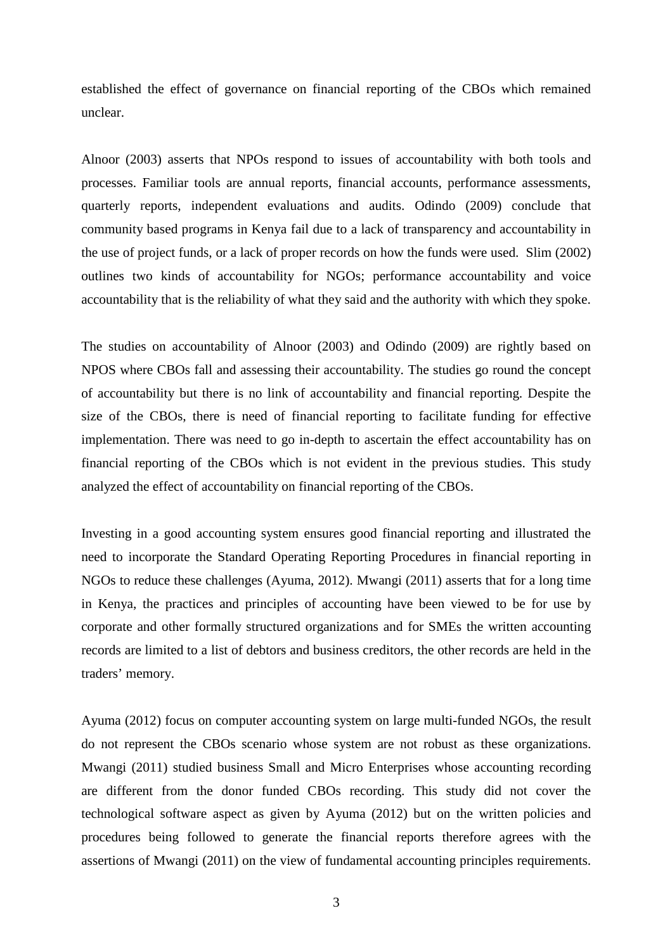established the effect of governance on financial reporting of the CBOs which remained unclear.

Alnoor (2003) asserts that NPOs respond to issues of accountability with both tools and processes. Familiar tools are annual reports, financial accounts, performance assessments, quarterly reports, independent evaluations and audits. Odindo (2009) conclude that community based programs in Kenya fail due to a lack of transparency and accountability in the use of project funds, or a lack of proper records on how the funds were used. Slim (2002) outlines two kinds of accountability for NGOs; performance accountability and voice accountability that is the reliability of what they said and the authority with which they spoke.

The studies on accountability of Alnoor (2003) and Odindo (2009) are rightly based on NPOS where CBOs fall and assessing their accountability. The studies go round the concept of accountability but there is no link of accountability and financial reporting. Despite the size of the CBOs, there is need of financial reporting to facilitate funding for effective implementation. There was need to go in-depth to ascertain the effect accountability has on financial reporting of the CBOs which is not evident in the previous studies. This study analyzed the effect of accountability on financial reporting of the CBOs.

Investing in a good accounting system ensures good financial reporting and illustrated the need to incorporate the Standard Operating Reporting Procedures in financial reporting in NGOs to reduce these challenges (Ayuma, 2012). Mwangi (2011) asserts that for a long time in Kenya, the practices and principles of accounting have been viewed to be for use by corporate and other formally structured organizations and for SMEs the written accounting records are limited to a list of debtors and business creditors, the other records are held in the traders' memory.

Ayuma (2012) focus on computer accounting system on large multi-funded NGOs, the result do not represent the CBOs scenario whose system are not robust as these organizations. Mwangi (2011) studied business Small and Micro Enterprises whose accounting recording are different from the donor funded CBOs recording. This study did not cover the technological software aspect as given by Ayuma (2012) but on the written policies and procedures being followed to generate the financial reports therefore agrees with the assertions of Mwangi (2011) on the view of fundamental accounting principles requirements.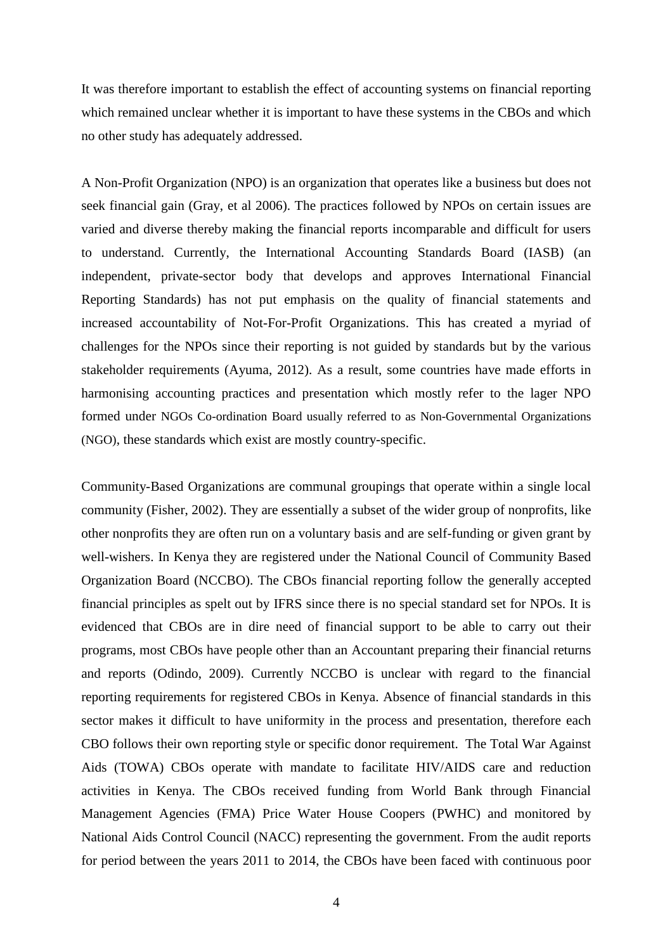It was therefore important to establish the effect of accounting systems on financial reporting which remained unclear whether it is important to have these systems in the CBOs and which no other study has adequately addressed.

A Non-Profit Organization (NPO) is an organization that operates like a business but does not seek financial gain (Gray, et al 2006). The practices followed by NPOs on certain issues are varied and diverse thereby making the financial reports incomparable and difficult for users to understand. Currently, the International Accounting Standards Board (IASB) (an independent, private-sector body that develops and approves International Financial Reporting Standards) has not put emphasis on the quality of financial statements and increased accountability of Not-For-Profit Organizations. This has created a myriad of challenges for the NPOs since their reporting is not guided by standards but by the various stakeholder requirements (Ayuma, 2012). As a result, some countries have made efforts in harmonising accounting practices and presentation which mostly refer to the lager NPO formed under NGOs Co-ordination Board usually referred to as Non-Governmental Organizations (NGO), these standards which exist are mostly country-specific.

Community-Based Organizations are communal groupings that operate within a single local community (Fisher, 2002). They are essentially a subset of the wider group of nonprofits, like other nonprofits they are often run on a voluntary basis and are self-funding or given grant by well-wishers. In Kenya they are registered under the National Council of Community Based Organization Board (NCCBO). The CBOs financial reporting follow the generally accepted financial principles as spelt out by IFRS since there is no special standard set for NPOs. It is evidenced that CBOs are in dire need of financial support to be able to carry out their programs, most CBOs have people other than an Accountant preparing their financial returns and reports (Odindo, 2009). Currently NCCBO is unclear with regard to the financial reporting requirements for registered CBOs in Kenya. Absence of financial standards in this sector makes it difficult to have uniformity in the process and presentation, therefore each CBO follows their own reporting style or specific donor requirement. The Total War Against Aids (TOWA) CBOs operate with mandate to facilitate HIV/AIDS care and reduction activities in Kenya. The CBOs received funding from World Bank through Financial Management Agencies (FMA) Price Water House Coopers (PWHC) and monitored by National Aids Control Council (NACC) representing the government. From the audit reports for period between the years 2011 to 2014, the CBOs have been faced with continuous poor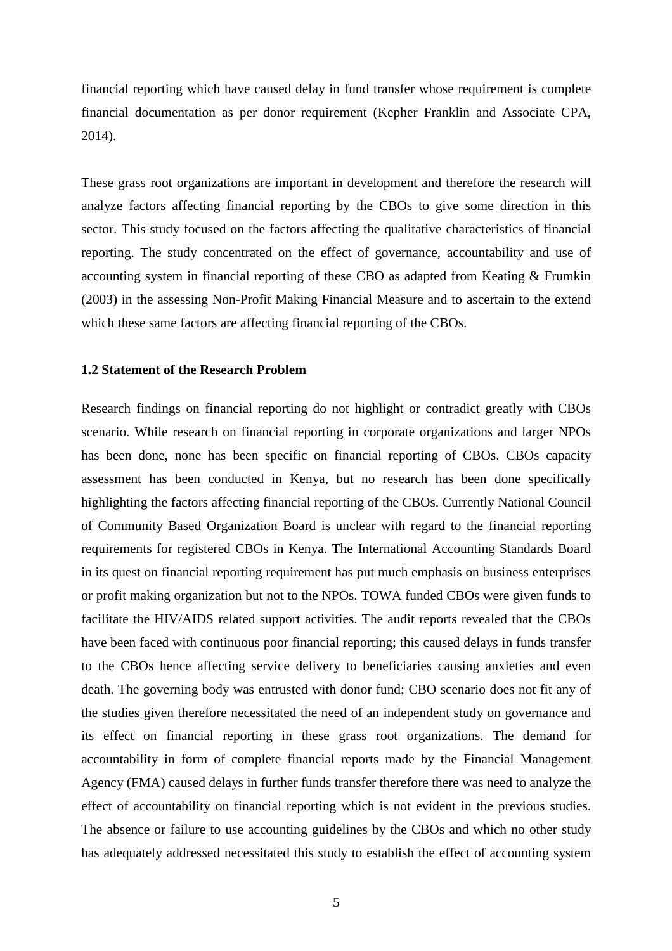financial reporting which have caused delay in fund transfer whose requirement is complete financial documentation as per donor requirement (Kepher Franklin and Associate CPA, 2014).

These grass root organizations are important in development and therefore the research will analyze factors affecting financial reporting by the CBOs to give some direction in this sector. This study focused on the factors affecting the qualitative characteristics of financial reporting. The study concentrated on the effect of governance, accountability and use of accounting system in financial reporting of these CBO as adapted from Keating & Frumkin (2003) in the assessing Non-Profit Making Financial Measure and to ascertain to the extend which these same factors are affecting financial reporting of the CBOs.

#### **1.2 Statement of the Research Problem**

Research findings on financial reporting do not highlight or contradict greatly with CBOs scenario. While research on financial reporting in corporate organizations and larger NPOs has been done, none has been specific on financial reporting of CBOs. CBOs capacity assessment has been conducted in Kenya, but no research has been done specifically highlighting the factors affecting financial reporting of the CBOs. Currently National Council of Community Based Organization Board is unclear with regard to the financial reporting requirements for registered CBOs in Kenya. The International Accounting Standards Board in its quest on financial reporting requirement has put much emphasis on business enterprises or profit making organization but not to the NPOs. TOWA funded CBOs were given funds to facilitate the HIV/AIDS related support activities. The audit reports revealed that the CBOs have been faced with continuous poor financial reporting; this caused delays in funds transfer to the CBOs hence affecting service delivery to beneficiaries causing anxieties and even death. The governing body was entrusted with donor fund; CBO scenario does not fit any of the studies given therefore necessitated the need of an independent study on governance and its effect on financial reporting in these grass root organizations. The demand for accountability in form of complete financial reports made by the Financial Management Agency (FMA) caused delays in further funds transfer therefore there was need to analyze the effect of accountability on financial reporting which is not evident in the previous studies. The absence or failure to use accounting guidelines by the CBOs and which no other study has adequately addressed necessitated this study to establish the effect of accounting system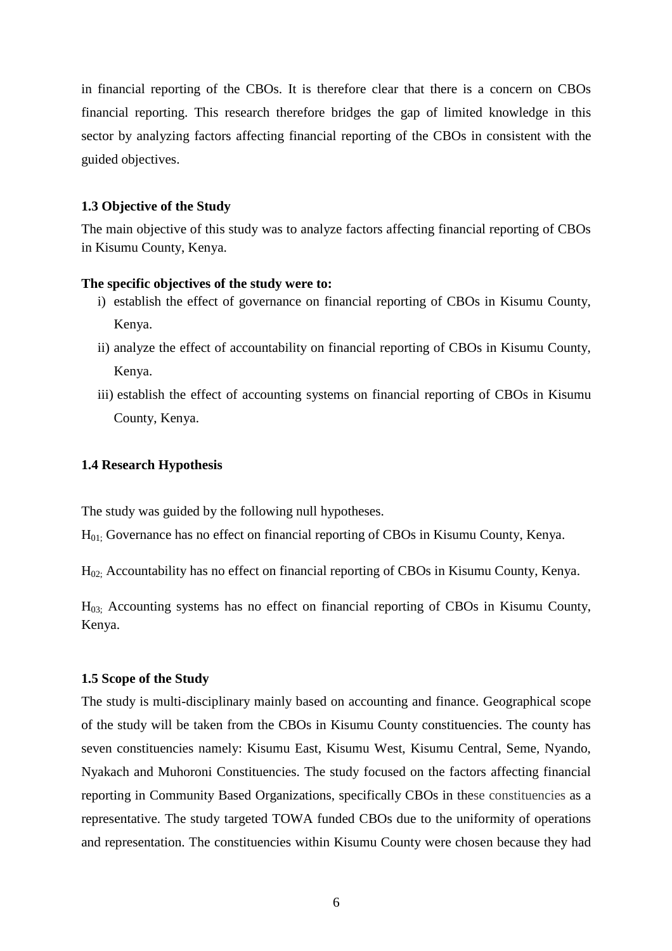in financial reporting of the CBOs. It is therefore clear that there is a concern on CBOs financial reporting. This research therefore bridges the gap of limited knowledge in this sector by analyzing factors affecting financial reporting of the CBOs in consistent with the guided objectives.

#### **1.3 Objective of the Study**

The main objective of this study was to analyze factors affecting financial reporting of CBOs in Kisumu County, Kenya.

#### **The specific objectives of the study were to:**

- i) establish the effect of governance on financial reporting of CBOs in Kisumu County, Kenya.
- ii) analyze the effect of accountability on financial reporting of CBOs in Kisumu County, Kenya.
- iii) establish the effect of accounting systems on financial reporting of CBOs in Kisumu County, Kenya.

#### **1.4 Research Hypothesis**

The study was guided by the following null hypotheses.

H01; Governance has no effect on financial reporting of CBOs in Kisumu County, Kenya.

H02; Accountability has no effect on financial reporting of CBOs in Kisumu County, Kenya.

H03; Accounting systems has no effect on financial reporting of CBOs in Kisumu County, Kenya.

#### **1.5 Scope of the Study**

The study is multi-disciplinary mainly based on accounting and finance. Geographical scope of the study will be taken from the CBOs in Kisumu County constituencies. The county has seven constituencies namely: Kisumu East, Kisumu West, Kisumu Central, Seme, Nyando, Nyakach and Muhoroni Constituencies. The study focused on the factors affecting financial reporting in Community Based Organizations, specifically CBOs in these constituencies as a representative. The study targeted TOWA funded CBOs due to the uniformity of operations and representation. The constituencies within Kisumu County were chosen because they had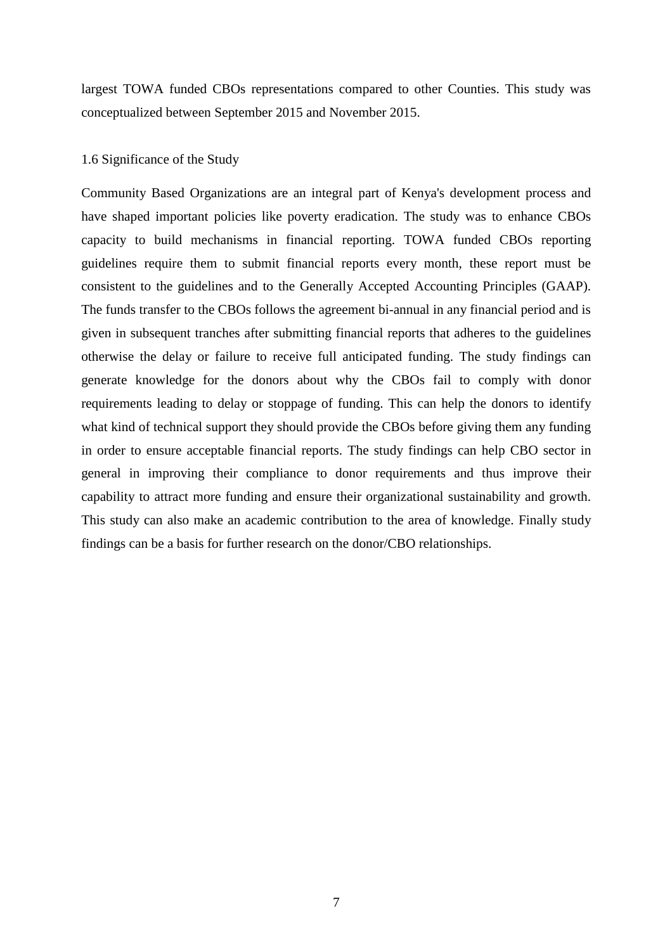largest TOWA funded CBOs representations compared to other Counties. This study was conceptualized between September 2015 and November 2015.

#### 1.6 Significance of the Study

Community Based Organizations are an integral part of Kenya's development process and have shaped important policies like poverty eradication. The study was to enhance CBOs capacity to build mechanisms in financial reporting. TOWA funded CBOs reporting guidelines require them to submit financial reports every month, these report must be consistent to the guidelines and to the Generally Accepted Accounting Principles (GAAP). The funds transfer to the CBOs follows the agreement bi-annual in any financial period and is given in subsequent tranches after submitting financial reports that adheres to the guidelines otherwise the delay or failure to receive full anticipated funding. The study findings can generate knowledge for the donors about why the CBOs fail to comply with donor requirements leading to delay or stoppage of funding. This can help the donors to identify what kind of technical support they should provide the CBOs before giving them any funding in order to ensure acceptable financial reports. The study findings can help CBO sector in general in improving their compliance to donor requirements and thus improve their capability to attract more funding and ensure their organizational sustainability and growth. This study can also make an academic contribution to the area of knowledge. Finally study findings can be a basis for further research on the donor/CBO relationships.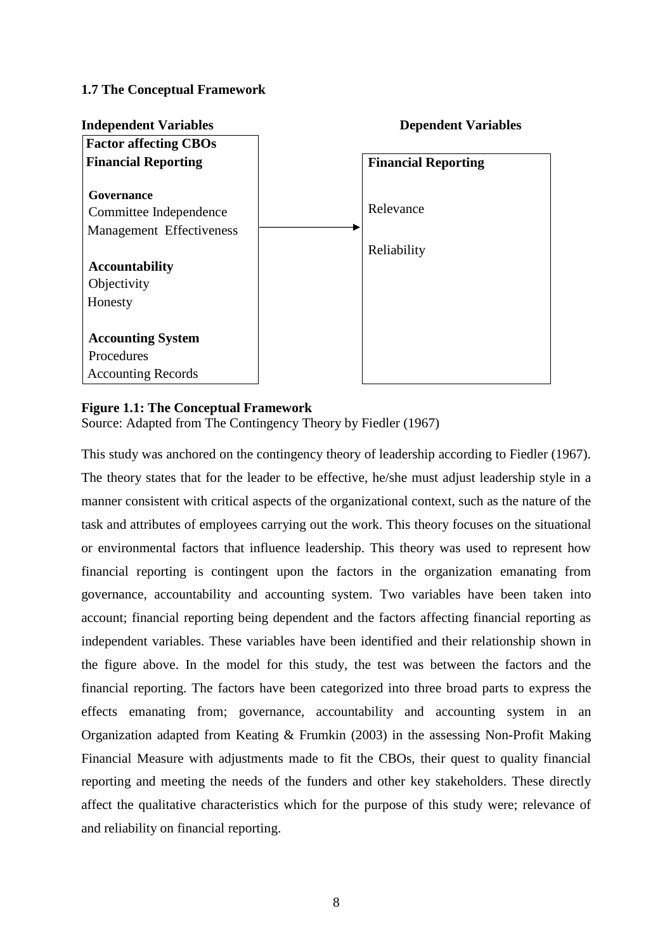## **1.7 The Conceptual Framework**



### **Figure 1.1: The Conceptual Framework**

Source: Adapted from The Contingency Theory by Fiedler (1967)

This study was anchored on the contingency theory of leadership according to Fiedler (1967). The theory states that for the leader to be effective, he/she must adjust leadership style in a manner consistent with critical aspects of the organizational context, such as the nature of the task and attributes of employees carrying out the work. This theory focuses on the situational or environmental factors that influence leadership. This theory was used to represent how financial reporting is contingent upon the factors in the organization emanating from governance, accountability and accounting system. Two variables have been taken into account; financial reporting being dependent and the factors affecting financial reporting as independent variables. These variables have been identified and their relationship shown in the figure above. In the model for this study, the test was between the factors and the financial reporting. The factors have been categorized into three broad parts to express the effects emanating from; governance, accountability and accounting system in an Organization adapted from Keating & Frumkin (2003) in the assessing Non-Profit Making Financial Measure with adjustments made to fit the CBOs, their quest to quality financial reporting and meeting the needs of the funders and other key stakeholders. These directly affect the qualitative characteristics which for the purpose of this study were; relevance of and reliability on financial reporting.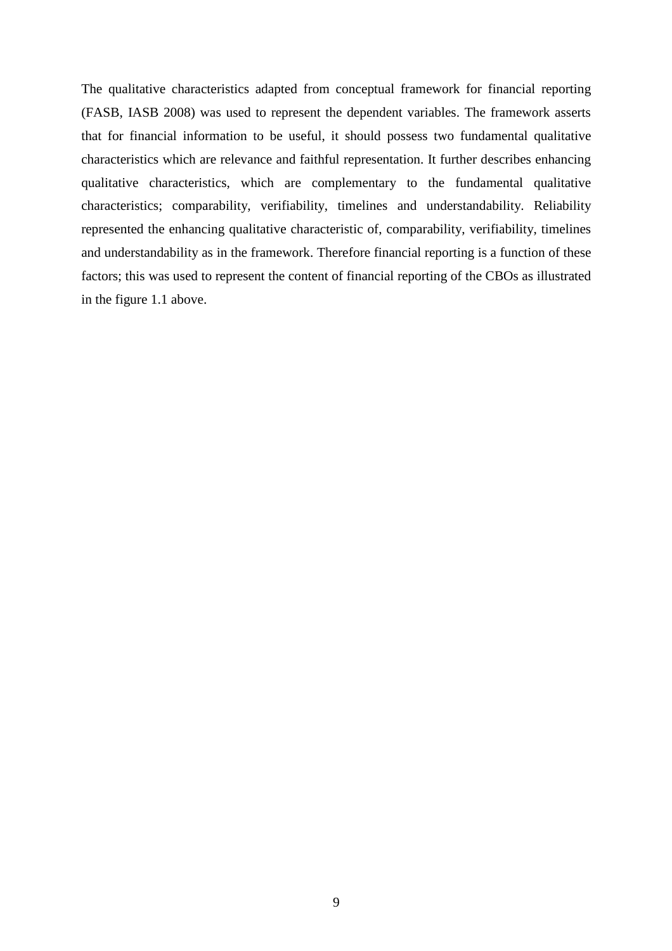The qualitative characteristics adapted from conceptual framework for financial reporting (FASB, IASB 2008) was used to represent the dependent variables. The framework asserts that for financial information to be useful, it should possess two fundamental qualitative characteristics which are relevance and faithful representation. It further describes enhancing qualitative characteristics, which are complementary to the fundamental qualitative characteristics; comparability, verifiability, timelines and understandability. Reliability represented the enhancing qualitative characteristic of, comparability, verifiability, timelines and understandability as in the framework. Therefore financial reporting is a function of these factors; this was used to represent the content of financial reporting of the CBOs as illustrated in the figure 1.1 above.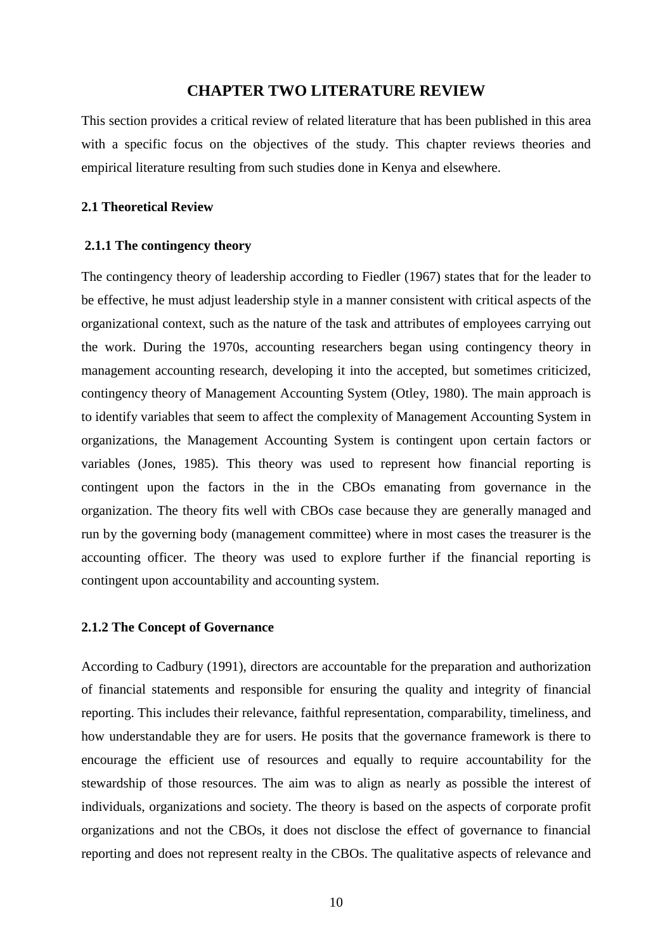### **CHAPTER TWO LITERATURE REVIEW**

This section provides a critical review of related literature that has been published in this area with a specific focus on the objectives of the study. This chapter reviews theories and empirical literature resulting from such studies done in Kenya and elsewhere.

#### **2.1 Theoretical Review**

#### **2.1.1 The contingency theory**

The contingency theory of leadership according to Fiedler (1967) states that for the leader to be effective, he must adjust leadership style in a manner consistent with critical aspects of the organizational context, such as the nature of the task and attributes of employees carrying out the work. During the 1970s, accounting researchers began using contingency theory in management accounting research, developing it into the accepted, but sometimes criticized, contingency theory of Management Accounting System (Otley, 1980). The main approach is to identify variables that seem to affect the complexity of Management Accounting System in organizations, the Management Accounting System is contingent upon certain factors or variables (Jones, 1985). This theory was used to represent how financial reporting is contingent upon the factors in the in the CBOs emanating from governance in the organization. The theory fits well with CBOs case because they are generally managed and run by the governing body (management committee) where in most cases the treasurer is the accounting officer. The theory was used to explore further if the financial reporting is contingent upon accountability and accounting system.

#### **2.1.2 The Concept of Governance**

According to Cadbury (1991), directors are accountable for the preparation and authorization of financial statements and responsible for ensuring the quality and integrity of financial reporting. This includes their relevance, faithful representation, comparability, timeliness, and how understandable they are for users. He posits that the governance framework is there to encourage the efficient use of resources and equally to require accountability for the stewardship of those resources. The aim was to align as nearly as possible the interest of individuals, organizations and society. The theory is based on the aspects of corporate profit organizations and not the CBOs, it does not disclose the effect of governance to financial reporting and does not represent realty in the CBOs. The qualitative aspects of relevance and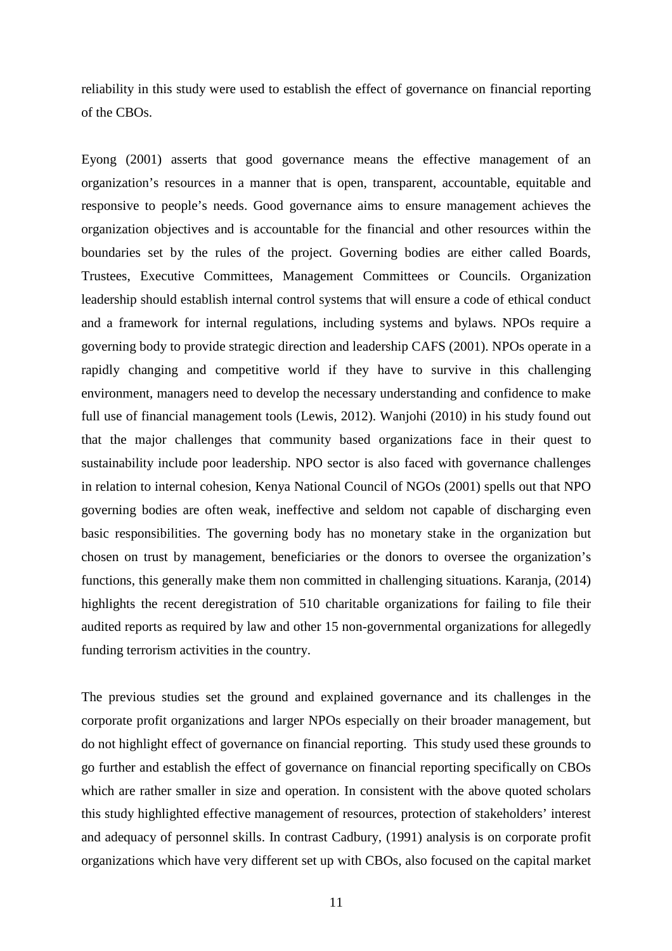reliability in this study were used to establish the effect of governance on financial reporting of the CBOs.

Eyong (2001) asserts that good governance means the effective management of an organization's resources in a manner that is open, transparent, accountable, equitable and responsive to people's needs. Good governance aims to ensure management achieves the organization objectives and is accountable for the financial and other resources within the boundaries set by the rules of the project. Governing bodies are either called Boards, Trustees, Executive Committees, Management Committees or Councils. Organization leadership should establish internal control systems that will ensure a code of ethical conduct and a framework for internal regulations, including systems and bylaws. NPOs require a governing body to provide strategic direction and leadership CAFS (2001). NPOs operate in a rapidly changing and competitive world if they have to survive in this challenging environment, managers need to develop the necessary understanding and confidence to make full use of financial management tools (Lewis, 2012). Wanjohi (2010) in his study found out that the major challenges that community based organizations face in their quest to sustainability include poor leadership. NPO sector is also faced with governance challenges in relation to internal cohesion, Kenya National Council of NGOs (2001) spells out that NPO governing bodies are often weak, ineffective and seldom not capable of discharging even basic responsibilities. The governing body has no monetary stake in the organization but chosen on trust by management, beneficiaries or the donors to oversee the organization's functions, this generally make them non committed in challenging situations. Karanja, (2014) highlights the recent deregistration of 510 charitable organizations for failing to file their audited reports as required by law and other 15 non-governmental organizations for allegedly funding terrorism activities in the country.

The previous studies set the ground and explained governance and its challenges in the corporate profit organizations and larger NPOs especially on their broader management, but do not highlight effect of governance on financial reporting. This study used these grounds to go further and establish the effect of governance on financial reporting specifically on CBOs which are rather smaller in size and operation. In consistent with the above quoted scholars this study highlighted effective management of resources, protection of stakeholders' interest and adequacy of personnel skills. In contrast Cadbury, (1991) analysis is on corporate profit organizations which have very different set up with CBOs, also focused on the capital market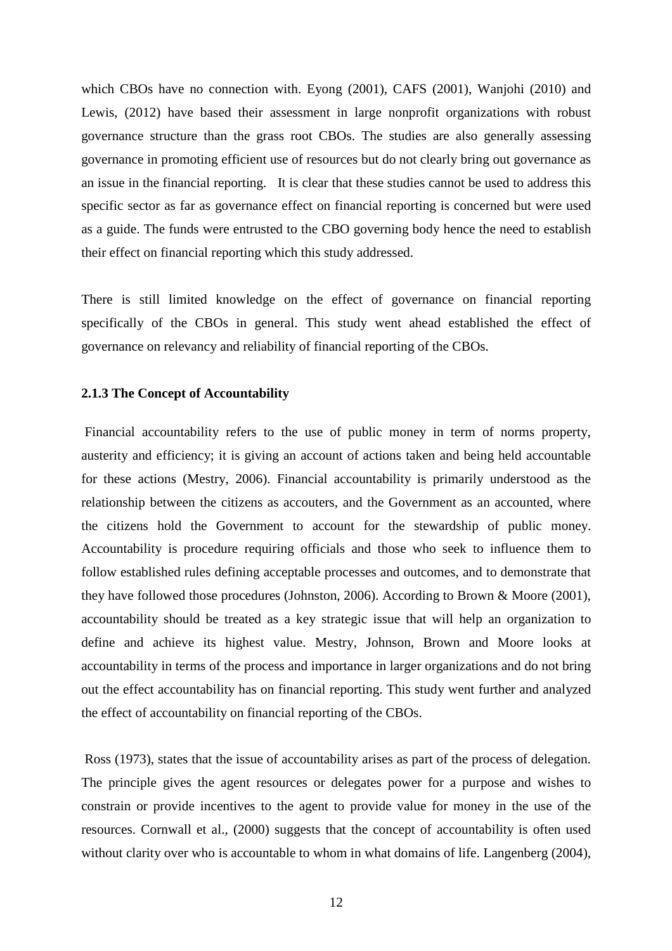which CBOs have no connection with. Eyong (2001), CAFS (2001), Wanjohi (2010) and Lewis, (2012) have based their assessment in large nonprofit organizations with robust governance structure than the grass root CBOs. The studies are also generally assessing governance in promoting efficient use of resources but do not clearly bring out governance as an issue in the financial reporting. It is clear that these studies cannot be used to address this specific sector as far as governance effect on financial reporting is concerned but were used as a guide. The funds were entrusted to the CBO governing body hence the need to establish their effect on financial reporting which this study addressed.

There is still limited knowledge on the effect of governance on financial reporting specifically of the CBOs in general. This study went ahead established the effect of governance on relevancy and reliability of financial reporting of the CBOs.

#### **2.1.3 The Concept of Accountability**

 Financial accountability refers to the use of public money in term of norms property, austerity and efficiency; it is giving an account of actions taken and being held accountable for these actions (Mestry, 2006). Financial accountability is primarily understood as the relationship between the citizens as accouters, and the Government as an accounted, where the citizens hold the Government to account for the stewardship of public money. Accountability is procedure requiring officials and those who seek to influence them to follow established rules defining acceptable processes and outcomes, and to demonstrate that they have followed those procedures (Johnston, 2006). According to Brown & Moore (2001), accountability should be treated as a key strategic issue that will help an organization to define and achieve its highest value. Mestry, Johnson, Brown and Moore looks at accountability in terms of the process and importance in larger organizations and do not bring out the effect accountability has on financial reporting. This study went further and analyzed the effect of accountability on financial reporting of the CBOs.

 Ross (1973), states that the issue of accountability arises as part of the process of delegation. The principle gives the agent resources or delegates power for a purpose and wishes to constrain or provide incentives to the agent to provide value for money in the use of the resources. Cornwall et al., (2000) suggests that the concept of accountability is often used without clarity over who is accountable to whom in what domains of life. Langenberg (2004),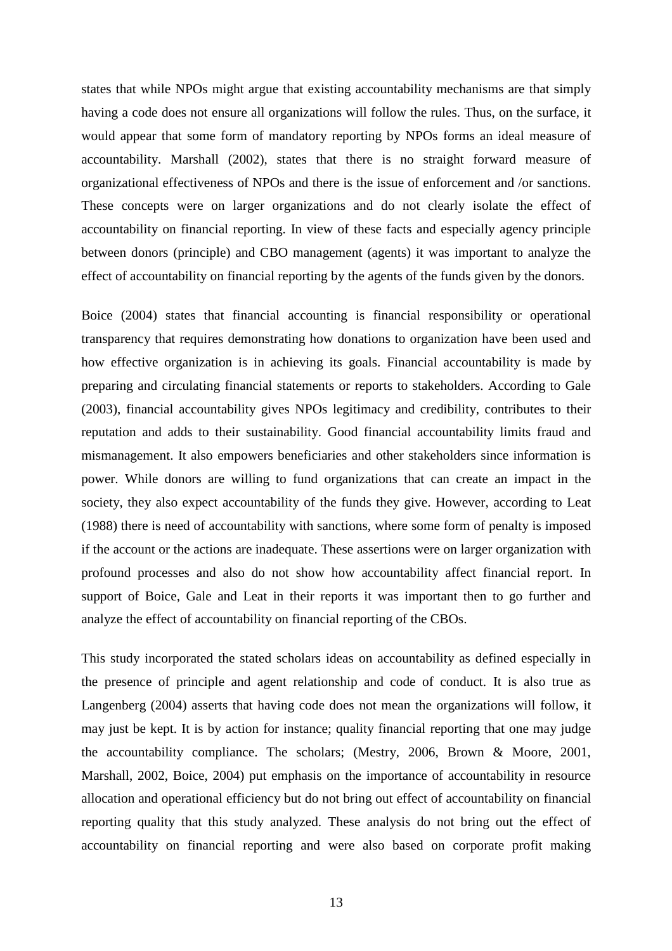states that while NPOs might argue that existing accountability mechanisms are that simply having a code does not ensure all organizations will follow the rules. Thus, on the surface, it would appear that some form of mandatory reporting by NPOs forms an ideal measure of accountability. Marshall (2002), states that there is no straight forward measure of organizational effectiveness of NPOs and there is the issue of enforcement and /or sanctions. These concepts were on larger organizations and do not clearly isolate the effect of accountability on financial reporting. In view of these facts and especially agency principle between donors (principle) and CBO management (agents) it was important to analyze the effect of accountability on financial reporting by the agents of the funds given by the donors.

Boice (2004) states that financial accounting is financial responsibility or operational transparency that requires demonstrating how donations to organization have been used and how effective organization is in achieving its goals. Financial accountability is made by preparing and circulating financial statements or reports to stakeholders. According to Gale (2003), financial accountability gives NPOs legitimacy and credibility, contributes to their reputation and adds to their sustainability. Good financial accountability limits fraud and mismanagement. It also empowers beneficiaries and other stakeholders since information is power. While donors are willing to fund organizations that can create an impact in the society, they also expect accountability of the funds they give. However, according to Leat (1988) there is need of accountability with sanctions, where some form of penalty is imposed if the account or the actions are inadequate. These assertions were on larger organization with profound processes and also do not show how accountability affect financial report. In support of Boice, Gale and Leat in their reports it was important then to go further and analyze the effect of accountability on financial reporting of the CBOs.

This study incorporated the stated scholars ideas on accountability as defined especially in the presence of principle and agent relationship and code of conduct. It is also true as Langenberg (2004) asserts that having code does not mean the organizations will follow, it may just be kept. It is by action for instance; quality financial reporting that one may judge the accountability compliance. The scholars; (Mestry, 2006, Brown & Moore, 2001, Marshall, 2002, Boice, 2004) put emphasis on the importance of accountability in resource allocation and operational efficiency but do not bring out effect of accountability on financial reporting quality that this study analyzed. These analysis do not bring out the effect of accountability on financial reporting and were also based on corporate profit making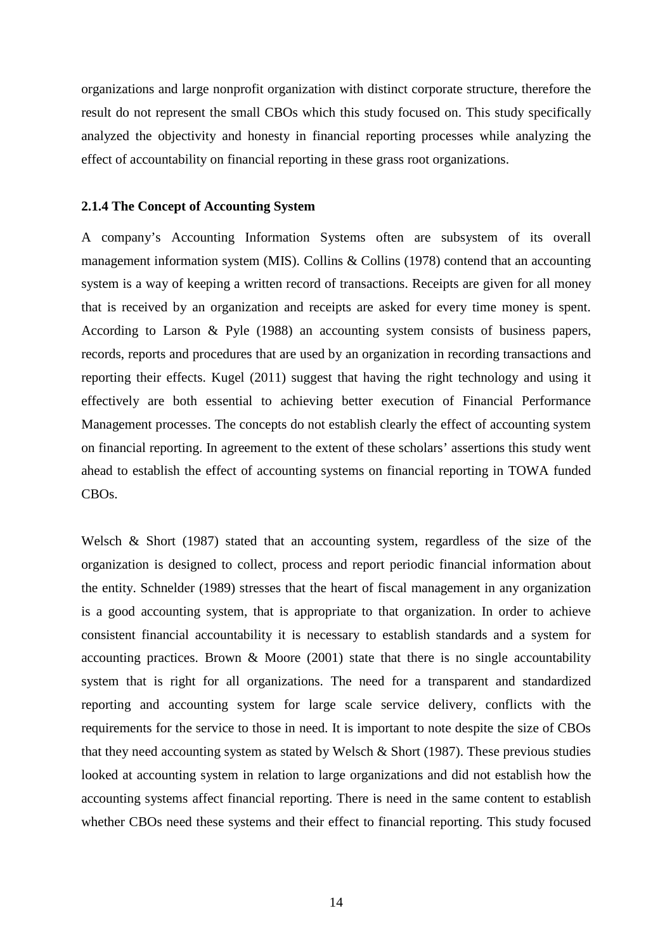organizations and large nonprofit organization with distinct corporate structure, therefore the result do not represent the small CBOs which this study focused on. This study specifically analyzed the objectivity and honesty in financial reporting processes while analyzing the effect of accountability on financial reporting in these grass root organizations.

#### **2.1.4 The Concept of Accounting System**

A company's Accounting Information Systems often are subsystem of its overall management information system (MIS). Collins & Collins (1978) contend that an accounting system is a way of keeping a written record of transactions. Receipts are given for all money that is received by an organization and receipts are asked for every time money is spent. According to Larson & Pyle (1988) an accounting system consists of business papers, records, reports and procedures that are used by an organization in recording transactions and reporting their effects. Kugel (2011) suggest that having the right technology and using it effectively are both essential to achieving better execution of Financial Performance Management processes. The concepts do not establish clearly the effect of accounting system on financial reporting. In agreement to the extent of these scholars' assertions this study went ahead to establish the effect of accounting systems on financial reporting in TOWA funded CBOs.

Welsch & Short (1987) stated that an accounting system, regardless of the size of the organization is designed to collect, process and report periodic financial information about the entity. Schnelder (1989) stresses that the heart of fiscal management in any organization is a good accounting system, that is appropriate to that organization. In order to achieve consistent financial accountability it is necessary to establish standards and a system for accounting practices. Brown  $\&$  Moore (2001) state that there is no single accountability system that is right for all organizations. The need for a transparent and standardized reporting and accounting system for large scale service delivery, conflicts with the requirements for the service to those in need. It is important to note despite the size of CBOs that they need accounting system as stated by Welsch  $\&$  Short (1987). These previous studies looked at accounting system in relation to large organizations and did not establish how the accounting systems affect financial reporting. There is need in the same content to establish whether CBOs need these systems and their effect to financial reporting. This study focused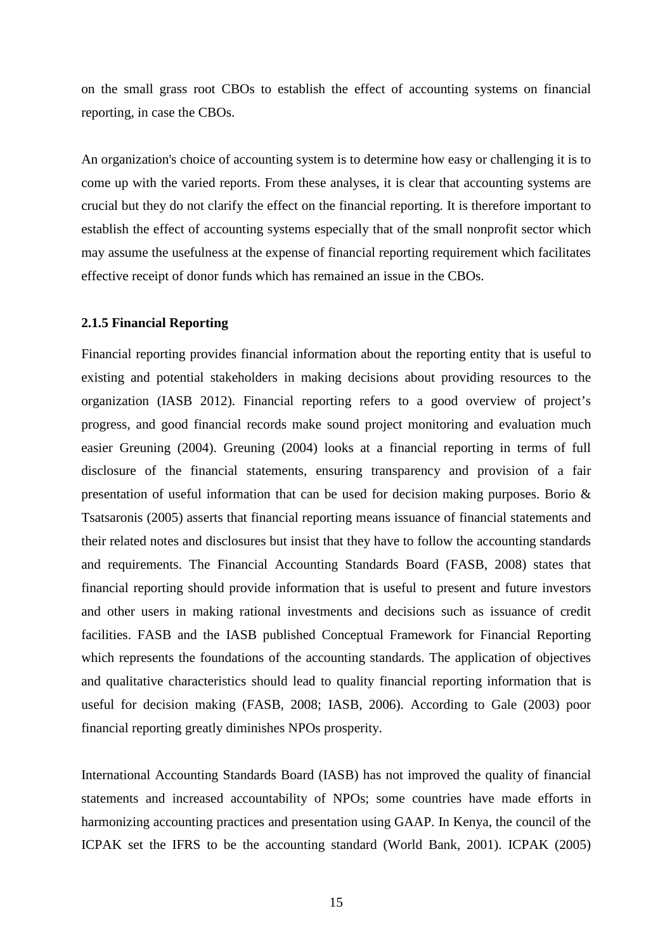on the small grass root CBOs to establish the effect of accounting systems on financial reporting, in case the CBOs.

An organization's choice of accounting system is to determine how easy or challenging it is to come up with the varied reports. From these analyses, it is clear that accounting systems are crucial but they do not clarify the effect on the financial reporting. It is therefore important to establish the effect of accounting systems especially that of the small nonprofit sector which may assume the usefulness at the expense of financial reporting requirement which facilitates effective receipt of donor funds which has remained an issue in the CBOs.

#### **2.1.5 Financial Reporting**

Financial reporting provides financial information about the reporting entity that is useful to existing and potential stakeholders in making decisions about providing resources to the organization (IASB 2012). Financial reporting refers to a good overview of project's progress, and good financial records make sound project monitoring and evaluation much easier Greuning (2004). Greuning (2004) looks at a financial reporting in terms of full disclosure of the financial statements, ensuring transparency and provision of a fair presentation of useful information that can be used for decision making purposes. Borio & Tsatsaronis (2005) asserts that financial reporting means issuance of financial statements and their related notes and disclosures but insist that they have to follow the accounting standards and requirements. The Financial Accounting Standards Board (FASB, 2008) states that financial reporting should provide information that is useful to present and future investors and other users in making rational investments and decisions such as issuance of credit facilities. FASB and the IASB published Conceptual Framework for Financial Reporting which represents the foundations of the accounting standards. The application of objectives and qualitative characteristics should lead to quality financial reporting information that is useful for decision making (FASB, 2008; IASB, 2006). According to Gale (2003) poor financial reporting greatly diminishes NPOs prosperity.

International Accounting Standards Board (IASB) has not improved the quality of financial statements and increased accountability of NPOs; some countries have made efforts in harmonizing accounting practices and presentation using GAAP. In Kenya, the council of the ICPAK set the IFRS to be the accounting standard (World Bank, 2001). ICPAK (2005)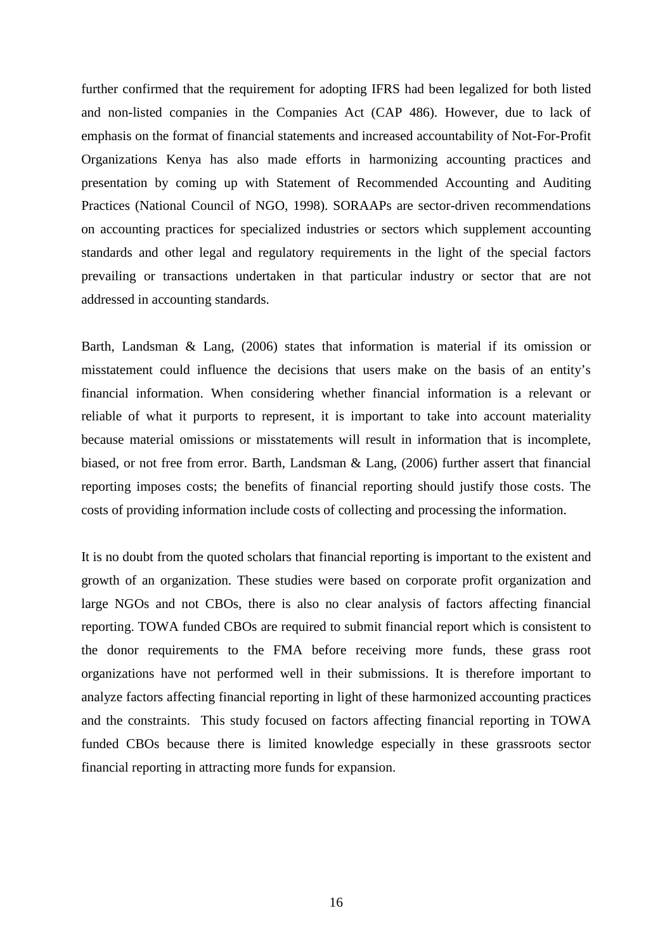further confirmed that the requirement for adopting IFRS had been legalized for both listed and non-listed companies in the Companies Act (CAP 486). However, due to lack of emphasis on the format of financial statements and increased accountability of Not-For-Profit Organizations Kenya has also made efforts in harmonizing accounting practices and presentation by coming up with Statement of Recommended Accounting and Auditing Practices (National Council of NGO, 1998). SORAAPs are sector-driven recommendations on accounting practices for specialized industries or sectors which supplement accounting standards and other legal and regulatory requirements in the light of the special factors prevailing or transactions undertaken in that particular industry or sector that are not addressed in accounting standards.

Barth, Landsman & Lang, (2006) states that information is material if its omission or misstatement could influence the decisions that users make on the basis of an entity's financial information. When considering whether financial information is a relevant or reliable of what it purports to represent, it is important to take into account materiality because material omissions or misstatements will result in information that is incomplete, biased, or not free from error. Barth, Landsman & Lang, (2006) further assert that financial reporting imposes costs; the benefits of financial reporting should justify those costs. The costs of providing information include costs of collecting and processing the information.

It is no doubt from the quoted scholars that financial reporting is important to the existent and growth of an organization. These studies were based on corporate profit organization and large NGOs and not CBOs, there is also no clear analysis of factors affecting financial reporting. TOWA funded CBOs are required to submit financial report which is consistent to the donor requirements to the FMA before receiving more funds, these grass root organizations have not performed well in their submissions. It is therefore important to analyze factors affecting financial reporting in light of these harmonized accounting practices and the constraints. This study focused on factors affecting financial reporting in TOWA funded CBOs because there is limited knowledge especially in these grassroots sector financial reporting in attracting more funds for expansion.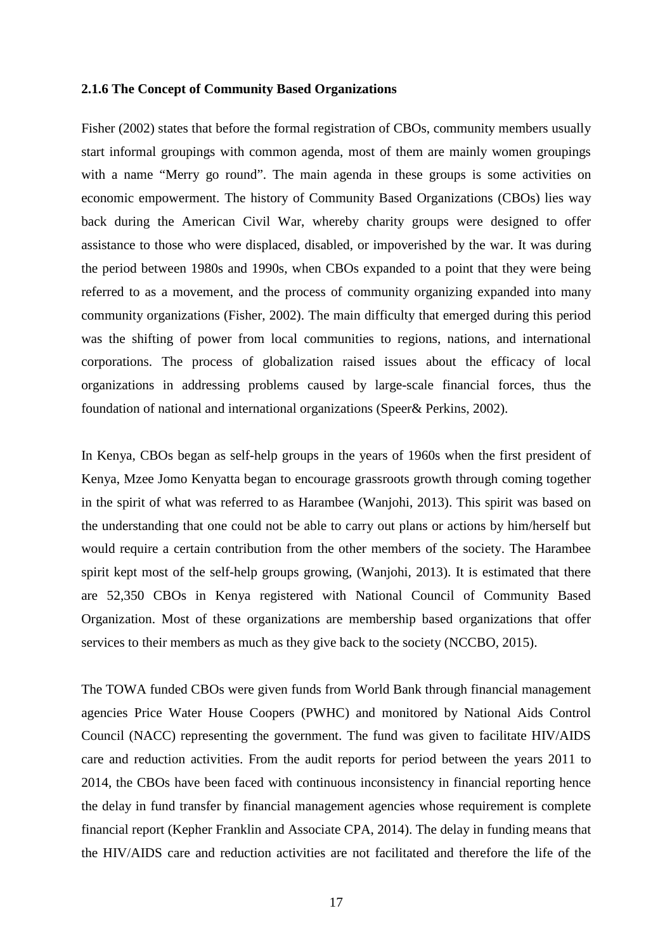#### **2.1.6 The Concept of Community Based Organizations**

Fisher (2002) states that before the formal registration of CBOs, community members usually start informal groupings with common agenda, most of them are mainly women groupings with a name "Merry go round". The main agenda in these groups is some activities on economic empowerment. The history of Community Based Organizations (CBOs) lies way back during the American Civil War, whereby charity groups were designed to offer assistance to those who were displaced, disabled, or impoverished by the war. It was during the period between 1980s and 1990s, when CBOs expanded to a point that they were being referred to as a movement, and the process of community organizing expanded into many community organizations (Fisher, 2002). The main difficulty that emerged during this period was the shifting of power from local communities to regions, nations, and international corporations. The process of globalization raised issues about the efficacy of local organizations in addressing problems caused by large-scale financial forces, thus the foundation of national and international organizations (Speer& Perkins, 2002).

In Kenya, CBOs began as self-help groups in the years of 1960s when the first president of Kenya, Mzee Jomo Kenyatta began to encourage grassroots growth through coming together in the spirit of what was referred to as Harambee (Wanjohi, 2013). This spirit was based on the understanding that one could not be able to carry out plans or actions by him/herself but would require a certain contribution from the other members of the society. The Harambee spirit kept most of the self-help groups growing, (Wanjohi, 2013). It is estimated that there are 52,350 CBOs in Kenya registered with National Council of Community Based Organization. Most of these organizations are membership based organizations that offer services to their members as much as they give back to the society (NCCBO, 2015).

The TOWA funded CBOs were given funds from World Bank through financial management agencies Price Water House Coopers (PWHC) and monitored by National Aids Control Council (NACC) representing the government. The fund was given to facilitate HIV/AIDS care and reduction activities. From the audit reports for period between the years 2011 to 2014, the CBOs have been faced with continuous inconsistency in financial reporting hence the delay in fund transfer by financial management agencies whose requirement is complete financial report (Kepher Franklin and Associate CPA, 2014). The delay in funding means that the HIV/AIDS care and reduction activities are not facilitated and therefore the life of the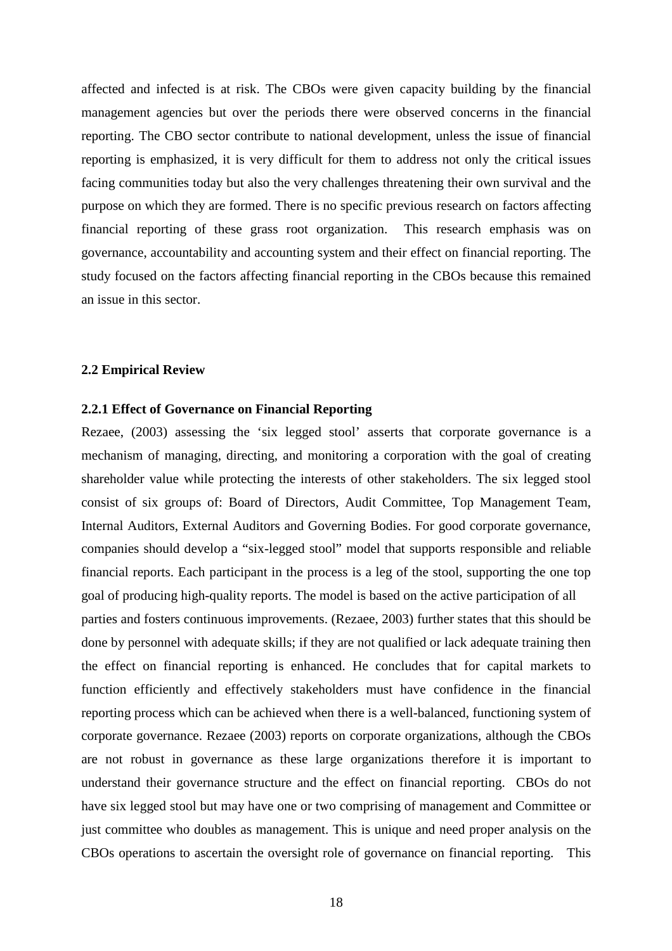affected and infected is at risk. The CBOs were given capacity building by the financial management agencies but over the periods there were observed concerns in the financial reporting. The CBO sector contribute to national development, unless the issue of financial reporting is emphasized, it is very difficult for them to address not only the critical issues facing communities today but also the very challenges threatening their own survival and the purpose on which they are formed. There is no specific previous research on factors affecting financial reporting of these grass root organization. This research emphasis was on governance, accountability and accounting system and their effect on financial reporting. The study focused on the factors affecting financial reporting in the CBOs because this remained an issue in this sector.

#### **2.2 Empirical Review**

#### **2.2.1 Effect of Governance on Financial Reporting**

Rezaee, (2003) assessing the 'six legged stool' asserts that corporate governance is a mechanism of managing, directing, and monitoring a corporation with the goal of creating shareholder value while protecting the interests of other stakeholders. The six legged stool consist of six groups of: Board of Directors, Audit Committee, Top Management Team, Internal Auditors, External Auditors and Governing Bodies. For good corporate governance, companies should develop a "six-legged stool" model that supports responsible and reliable financial reports. Each participant in the process is a leg of the stool, supporting the one top goal of producing high-quality reports. The model is based on the active participation of all parties and fosters continuous improvements. (Rezaee, 2003) further states that this should be done by personnel with adequate skills; if they are not qualified or lack adequate training then the effect on financial reporting is enhanced. He concludes that for capital markets to function efficiently and effectively stakeholders must have confidence in the financial reporting process which can be achieved when there is a well-balanced, functioning system of corporate governance. Rezaee (2003) reports on corporate organizations, although the CBOs are not robust in governance as these large organizations therefore it is important to understand their governance structure and the effect on financial reporting. CBOs do not have six legged stool but may have one or two comprising of management and Committee or just committee who doubles as management. This is unique and need proper analysis on the CBOs operations to ascertain the oversight role of governance on financial reporting. This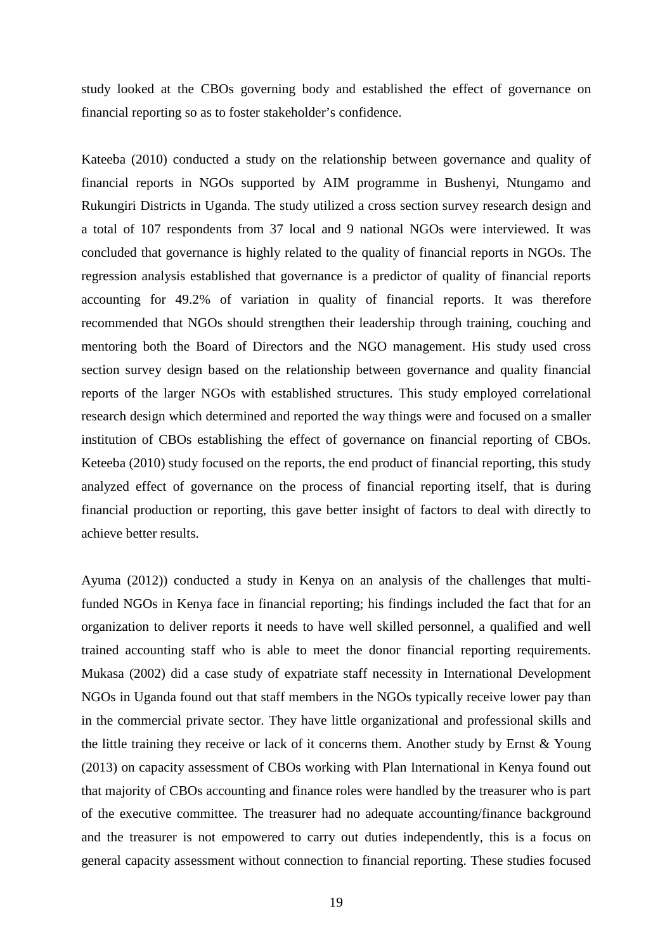study looked at the CBOs governing body and established the effect of governance on financial reporting so as to foster stakeholder's confidence.

Kateeba (2010) conducted a study on the relationship between governance and quality of financial reports in NGOs supported by AIM programme in Bushenyi, Ntungamo and Rukungiri Districts in Uganda. The study utilized a cross section survey research design and a total of 107 respondents from 37 local and 9 national NGOs were interviewed. It was concluded that governance is highly related to the quality of financial reports in NGOs. The regression analysis established that governance is a predictor of quality of financial reports accounting for 49.2% of variation in quality of financial reports. It was therefore recommended that NGOs should strengthen their leadership through training, couching and mentoring both the Board of Directors and the NGO management. His study used cross section survey design based on the relationship between governance and quality financial reports of the larger NGOs with established structures. This study employed correlational research design which determined and reported the way things were and focused on a smaller institution of CBOs establishing the effect of governance on financial reporting of CBOs. Keteeba (2010) study focused on the reports, the end product of financial reporting, this study analyzed effect of governance on the process of financial reporting itself, that is during financial production or reporting, this gave better insight of factors to deal with directly to achieve better results.

Ayuma (2012)) conducted a study in Kenya on an analysis of the challenges that multifunded NGOs in Kenya face in financial reporting; his findings included the fact that for an organization to deliver reports it needs to have well skilled personnel, a qualified and well trained accounting staff who is able to meet the donor financial reporting requirements. Mukasa (2002) did a case study of expatriate staff necessity in International Development NGOs in Uganda found out that staff members in the NGOs typically receive lower pay than in the commercial private sector. They have little organizational and professional skills and the little training they receive or lack of it concerns them. Another study by Ernst & Young (2013) on capacity assessment of CBOs working with Plan International in Kenya found out that majority of CBOs accounting and finance roles were handled by the treasurer who is part of the executive committee. The treasurer had no adequate accounting/finance background and the treasurer is not empowered to carry out duties independently, this is a focus on general capacity assessment without connection to financial reporting. These studies focused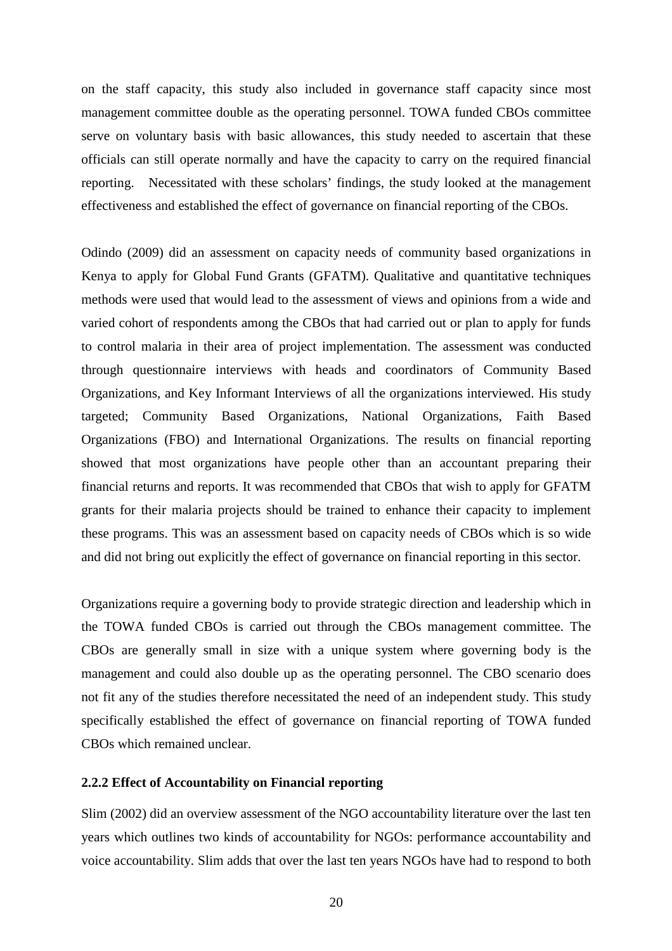on the staff capacity, this study also included in governance staff capacity since most management committee double as the operating personnel. TOWA funded CBOs committee serve on voluntary basis with basic allowances, this study needed to ascertain that these officials can still operate normally and have the capacity to carry on the required financial reporting. Necessitated with these scholars' findings, the study looked at the management effectiveness and established the effect of governance on financial reporting of the CBOs.

Odindo (2009) did an assessment on capacity needs of community based organizations in Kenya to apply for Global Fund Grants (GFATM). Qualitative and quantitative techniques methods were used that would lead to the assessment of views and opinions from a wide and varied cohort of respondents among the CBOs that had carried out or plan to apply for funds to control malaria in their area of project implementation. The assessment was conducted through questionnaire interviews with heads and coordinators of Community Based Organizations, and Key Informant Interviews of all the organizations interviewed. His study targeted; Community Based Organizations, National Organizations, Faith Based Organizations (FBO) and International Organizations. The results on financial reporting showed that most organizations have people other than an accountant preparing their financial returns and reports. It was recommended that CBOs that wish to apply for GFATM grants for their malaria projects should be trained to enhance their capacity to implement these programs. This was an assessment based on capacity needs of CBOs which is so wide and did not bring out explicitly the effect of governance on financial reporting in this sector.

Organizations require a governing body to provide strategic direction and leadership which in the TOWA funded CBOs is carried out through the CBOs management committee. The CBOs are generally small in size with a unique system where governing body is the management and could also double up as the operating personnel. The CBO scenario does not fit any of the studies therefore necessitated the need of an independent study. This study specifically established the effect of governance on financial reporting of TOWA funded CBOs which remained unclear.

#### **2.2.2 Effect of Accountability on Financial reporting**

Slim (2002) did an overview assessment of the NGO accountability literature over the last ten years which outlines two kinds of accountability for NGOs: performance accountability and voice accountability. Slim adds that over the last ten years NGOs have had to respond to both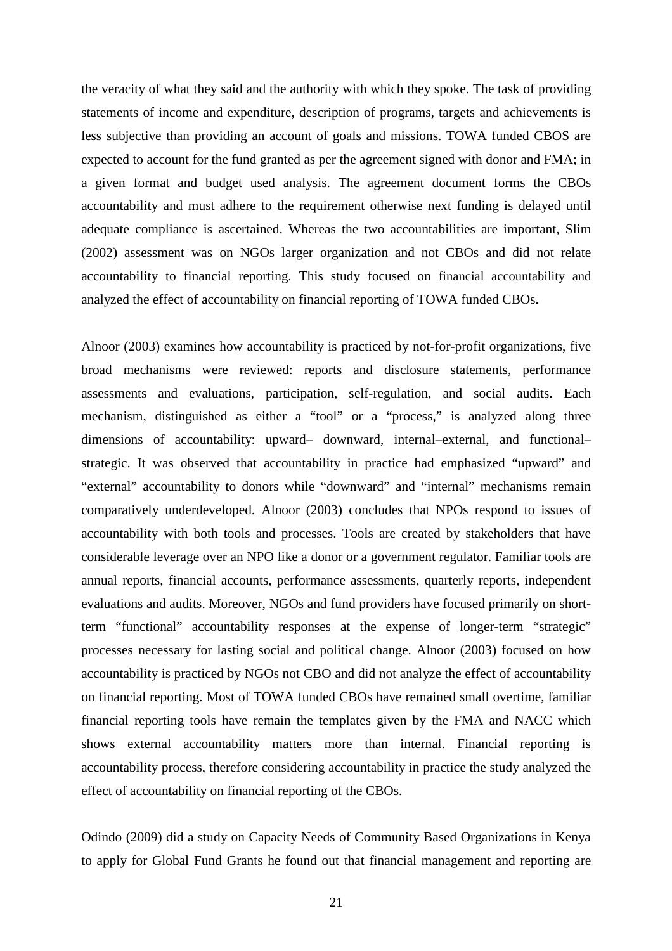the veracity of what they said and the authority with which they spoke. The task of providing statements of income and expenditure, description of programs, targets and achievements is less subjective than providing an account of goals and missions. TOWA funded CBOS are expected to account for the fund granted as per the agreement signed with donor and FMA; in a given format and budget used analysis. The agreement document forms the CBOs accountability and must adhere to the requirement otherwise next funding is delayed until adequate compliance is ascertained. Whereas the two accountabilities are important, Slim (2002) assessment was on NGOs larger organization and not CBOs and did not relate accountability to financial reporting. This study focused on financial accountability and analyzed the effect of accountability on financial reporting of TOWA funded CBOs.

Alnoor (2003) examines how accountability is practiced by not-for-profit organizations, five broad mechanisms were reviewed: reports and disclosure statements, performance assessments and evaluations, participation, self-regulation, and social audits. Each mechanism, distinguished as either a "tool" or a "process," is analyzed along three dimensions of accountability: upward– downward, internal–external, and functional– strategic. It was observed that accountability in practice had emphasized "upward" and "external" accountability to donors while "downward" and "internal" mechanisms remain comparatively underdeveloped. Alnoor (2003) concludes that NPOs respond to issues of accountability with both tools and processes. Tools are created by stakeholders that have considerable leverage over an NPO like a donor or a government regulator. Familiar tools are annual reports, financial accounts, performance assessments, quarterly reports, independent evaluations and audits. Moreover, NGOs and fund providers have focused primarily on shortterm "functional" accountability responses at the expense of longer-term "strategic" processes necessary for lasting social and political change. Alnoor (2003) focused on how accountability is practiced by NGOs not CBO and did not analyze the effect of accountability on financial reporting. Most of TOWA funded CBOs have remained small overtime, familiar financial reporting tools have remain the templates given by the FMA and NACC which shows external accountability matters more than internal. Financial reporting is accountability process, therefore considering accountability in practice the study analyzed the effect of accountability on financial reporting of the CBOs.

Odindo (2009) did a study on Capacity Needs of Community Based Organizations in Kenya to apply for Global Fund Grants he found out that financial management and reporting are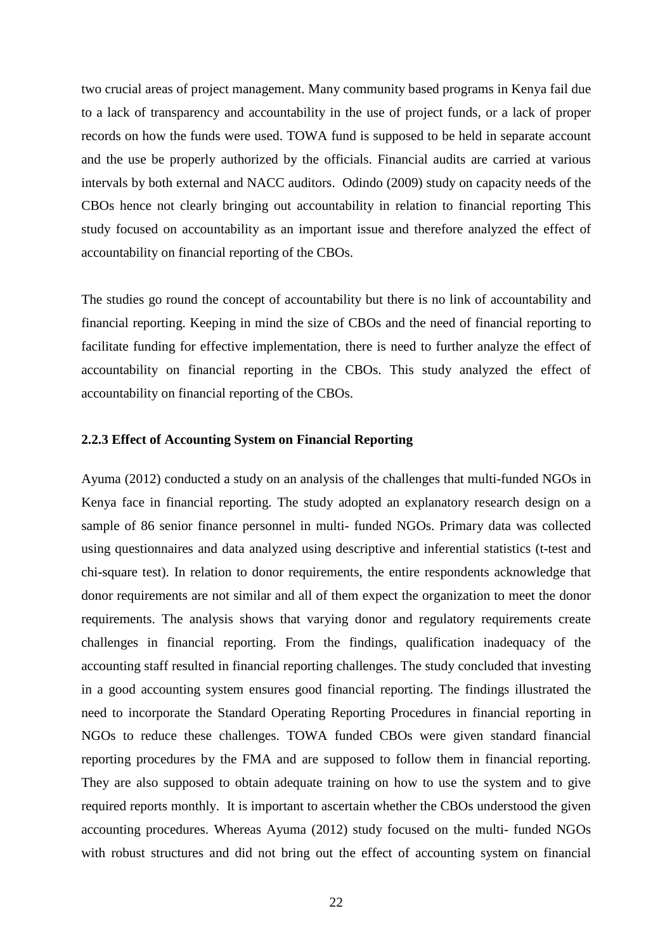two crucial areas of project management. Many community based programs in Kenya fail due to a lack of transparency and accountability in the use of project funds, or a lack of proper records on how the funds were used. TOWA fund is supposed to be held in separate account and the use be properly authorized by the officials. Financial audits are carried at various intervals by both external and NACC auditors. Odindo (2009) study on capacity needs of the CBOs hence not clearly bringing out accountability in relation to financial reporting This study focused on accountability as an important issue and therefore analyzed the effect of accountability on financial reporting of the CBOs.

The studies go round the concept of accountability but there is no link of accountability and financial reporting. Keeping in mind the size of CBOs and the need of financial reporting to facilitate funding for effective implementation, there is need to further analyze the effect of accountability on financial reporting in the CBOs. This study analyzed the effect of accountability on financial reporting of the CBOs.

#### **2.2.3 Effect of Accounting System on Financial Reporting**

Ayuma (2012) conducted a study on an analysis of the challenges that multi-funded NGOs in Kenya face in financial reporting. The study adopted an explanatory research design on a sample of 86 senior finance personnel in multi- funded NGOs. Primary data was collected using questionnaires and data analyzed using descriptive and inferential statistics (t-test and chi-square test). In relation to donor requirements, the entire respondents acknowledge that donor requirements are not similar and all of them expect the organization to meet the donor requirements. The analysis shows that varying donor and regulatory requirements create challenges in financial reporting. From the findings, qualification inadequacy of the accounting staff resulted in financial reporting challenges. The study concluded that investing in a good accounting system ensures good financial reporting. The findings illustrated the need to incorporate the Standard Operating Reporting Procedures in financial reporting in NGOs to reduce these challenges. TOWA funded CBOs were given standard financial reporting procedures by the FMA and are supposed to follow them in financial reporting. They are also supposed to obtain adequate training on how to use the system and to give required reports monthly. It is important to ascertain whether the CBOs understood the given accounting procedures. Whereas Ayuma (2012) study focused on the multi- funded NGOs with robust structures and did not bring out the effect of accounting system on financial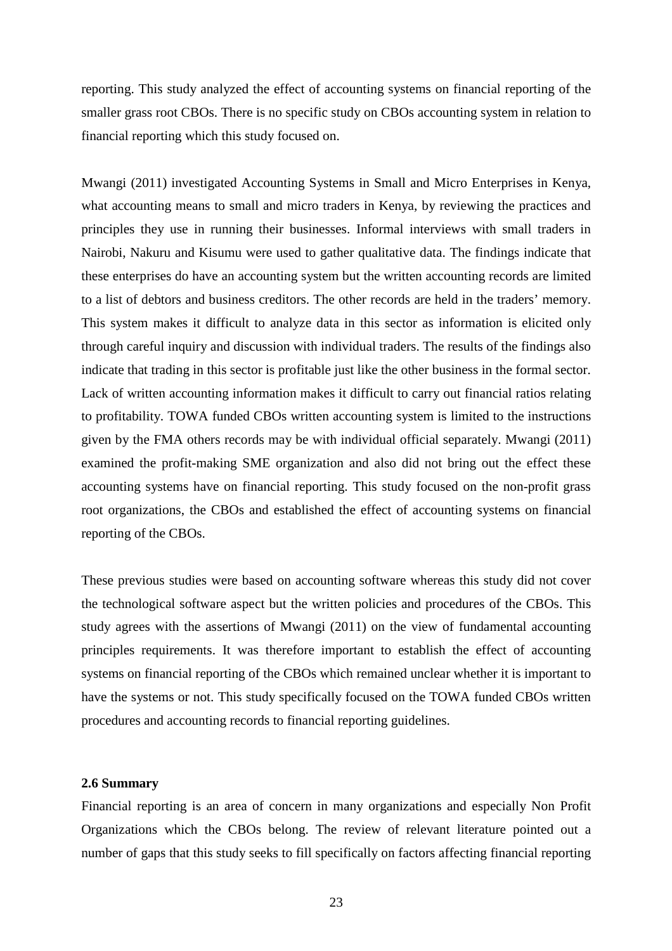reporting. This study analyzed the effect of accounting systems on financial reporting of the smaller grass root CBOs. There is no specific study on CBOs accounting system in relation to financial reporting which this study focused on.

Mwangi (2011) investigated Accounting Systems in Small and Micro Enterprises in Kenya, what accounting means to small and micro traders in Kenya, by reviewing the practices and principles they use in running their businesses. Informal interviews with small traders in Nairobi, Nakuru and Kisumu were used to gather qualitative data. The findings indicate that these enterprises do have an accounting system but the written accounting records are limited to a list of debtors and business creditors. The other records are held in the traders' memory. This system makes it difficult to analyze data in this sector as information is elicited only through careful inquiry and discussion with individual traders. The results of the findings also indicate that trading in this sector is profitable just like the other business in the formal sector. Lack of written accounting information makes it difficult to carry out financial ratios relating to profitability. TOWA funded CBOs written accounting system is limited to the instructions given by the FMA others records may be with individual official separately. Mwangi (2011) examined the profit-making SME organization and also did not bring out the effect these accounting systems have on financial reporting. This study focused on the non-profit grass root organizations, the CBOs and established the effect of accounting systems on financial reporting of the CBOs.

These previous studies were based on accounting software whereas this study did not cover the technological software aspect but the written policies and procedures of the CBOs. This study agrees with the assertions of Mwangi (2011) on the view of fundamental accounting principles requirements. It was therefore important to establish the effect of accounting systems on financial reporting of the CBOs which remained unclear whether it is important to have the systems or not. This study specifically focused on the TOWA funded CBOs written procedures and accounting records to financial reporting guidelines.

#### **2.6 Summary**

Financial reporting is an area of concern in many organizations and especially Non Profit Organizations which the CBOs belong. The review of relevant literature pointed out a number of gaps that this study seeks to fill specifically on factors affecting financial reporting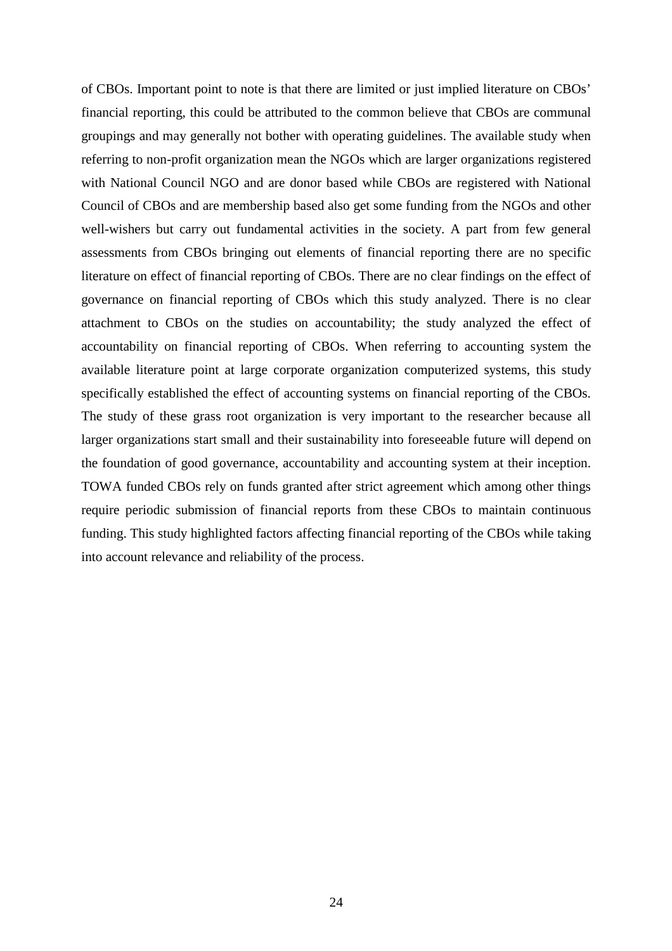of CBOs. Important point to note is that there are limited or just implied literature on CBOs' financial reporting, this could be attributed to the common believe that CBOs are communal groupings and may generally not bother with operating guidelines. The available study when referring to non-profit organization mean the NGOs which are larger organizations registered with National Council NGO and are donor based while CBOs are registered with National Council of CBOs and are membership based also get some funding from the NGOs and other well-wishers but carry out fundamental activities in the society. A part from few general assessments from CBOs bringing out elements of financial reporting there are no specific literature on effect of financial reporting of CBOs. There are no clear findings on the effect of governance on financial reporting of CBOs which this study analyzed. There is no clear attachment to CBOs on the studies on accountability; the study analyzed the effect of accountability on financial reporting of CBOs. When referring to accounting system the available literature point at large corporate organization computerized systems, this study specifically established the effect of accounting systems on financial reporting of the CBOs. The study of these grass root organization is very important to the researcher because all larger organizations start small and their sustainability into foreseeable future will depend on the foundation of good governance, accountability and accounting system at their inception. TOWA funded CBOs rely on funds granted after strict agreement which among other things require periodic submission of financial reports from these CBOs to maintain continuous funding. This study highlighted factors affecting financial reporting of the CBOs while taking into account relevance and reliability of the process.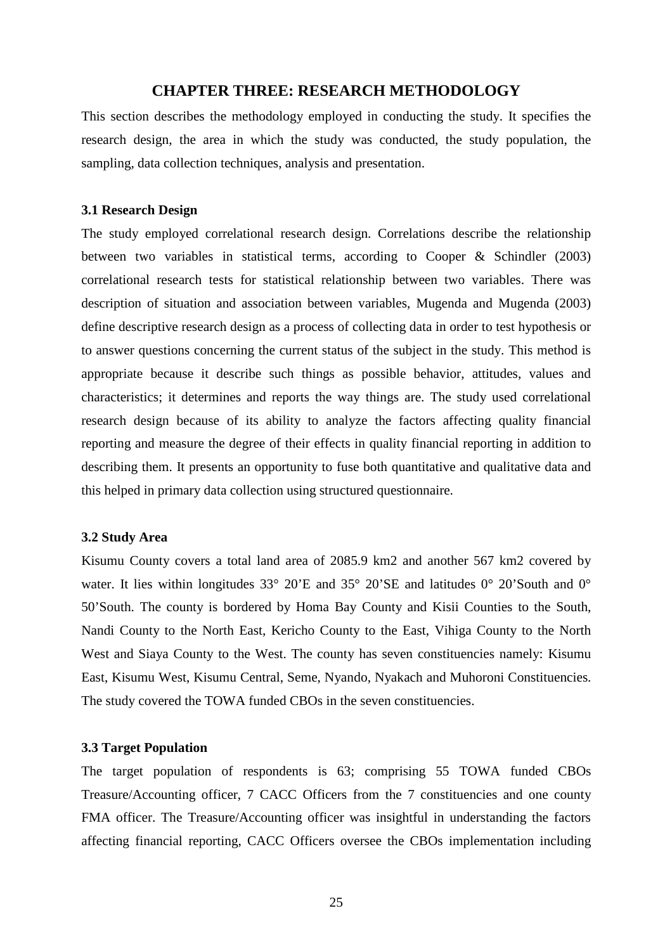## **CHAPTER THREE: RESEARCH METHODOLOGY**

This section describes the methodology employed in conducting the study. It specifies the research design, the area in which the study was conducted, the study population, the sampling, data collection techniques, analysis and presentation.

### **3.1 Research Design**

The study employed correlational research design. Correlations describe the relationship between two variables in statistical terms, according to Cooper & Schindler (2003) correlational research tests for statistical relationship between two variables. There was description of situation and association between variables, Mugenda and Mugenda (2003) define descriptive research design as a process of collecting data in order to test hypothesis or to answer questions concerning the current status of the subject in the study. This method is appropriate because it describe such things as possible behavior, attitudes, values and characteristics; it determines and reports the way things are. The study used correlational research design because of its ability to analyze the factors affecting quality financial reporting and measure the degree of their effects in quality financial reporting in addition to describing them. It presents an opportunity to fuse both quantitative and qualitative data and this helped in primary data collection using structured questionnaire.

## **3.2 Study Area**

Kisumu County covers a total land area of 2085.9 km2 and another 567 km2 covered by water. It lies within longitudes 33° 20'E and 35° 20'SE and latitudes 0° 20'South and 0° 50'South. The county is bordered by Homa Bay County and Kisii Counties to the South, Nandi County to the North East, Kericho County to the East, Vihiga County to the North West and Siaya County to the West. The county has seven constituencies namely: Kisumu East, Kisumu West, Kisumu Central, Seme, Nyando, Nyakach and Muhoroni Constituencies. The study covered the TOWA funded CBOs in the seven constituencies.

#### **3.3 Target Population**

The target population of respondents is 63; comprising 55 TOWA funded CBOs Treasure/Accounting officer, 7 CACC Officers from the 7 constituencies and one county FMA officer. The Treasure/Accounting officer was insightful in understanding the factors affecting financial reporting, CACC Officers oversee the CBOs implementation including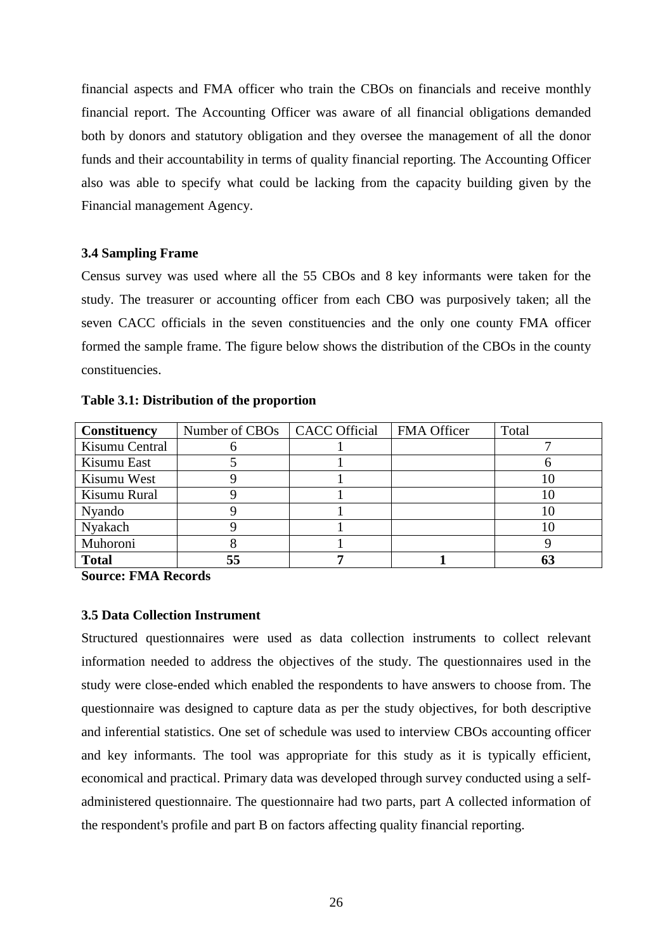financial aspects and FMA officer who train the CBOs on financials and receive monthly financial report. The Accounting Officer was aware of all financial obligations demanded both by donors and statutory obligation and they oversee the management of all the donor funds and their accountability in terms of quality financial reporting. The Accounting Officer also was able to specify what could be lacking from the capacity building given by the Financial management Agency.

### **3.4 Sampling Frame**

Census survey was used where all the 55 CBOs and 8 key informants were taken for the study. The treasurer or accounting officer from each CBO was purposively taken; all the seven CACC officials in the seven constituencies and the only one county FMA officer formed the sample frame. The figure below shows the distribution of the CBOs in the county constituencies.

| Constituency   | Number of CBOs   CACC Official | <b>FMA Officer</b> | Total |
|----------------|--------------------------------|--------------------|-------|
| Kisumu Central | O                              |                    |       |
| Kisumu East    |                                |                    |       |
| Kisumu West    |                                |                    |       |
| Kisumu Rural   |                                |                    |       |
| Nyando         |                                |                    |       |
| Nyakach        |                                |                    |       |
| Muhoroni       |                                |                    |       |
| <b>Total</b>   | 55                             |                    |       |

**Source: FMA Records** 

### **3.5 Data Collection Instrument**

Structured questionnaires were used as data collection instruments to collect relevant information needed to address the objectives of the study. The questionnaires used in the study were close-ended which enabled the respondents to have answers to choose from. The questionnaire was designed to capture data as per the study objectives, for both descriptive and inferential statistics. One set of schedule was used to interview CBOs accounting officer and key informants. The tool was appropriate for this study as it is typically efficient, economical and practical. Primary data was developed through survey conducted using a selfadministered questionnaire. The questionnaire had two parts, part A collected information of the respondent's profile and part B on factors affecting quality financial reporting.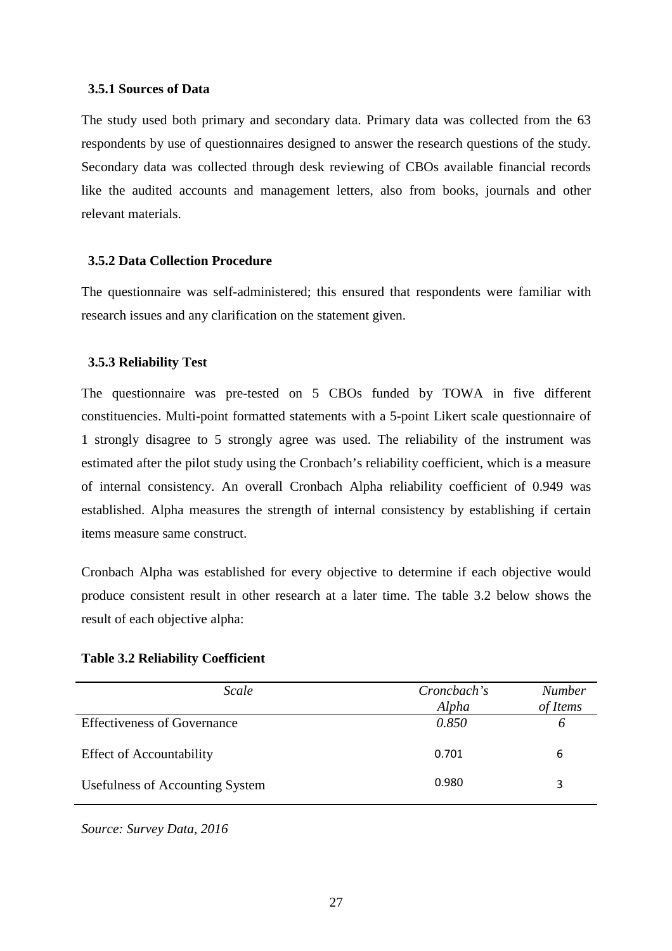#### **3.5.1 Sources of Data**

The study used both primary and secondary data. Primary data was collected from the 63 respondents by use of questionnaires designed to answer the research questions of the study. Secondary data was collected through desk reviewing of CBOs available financial records like the audited accounts and management letters, also from books, journals and other relevant materials.

#### **3.5.2 Data Collection Procedure**

The questionnaire was self-administered; this ensured that respondents were familiar with research issues and any clarification on the statement given.

#### **3.5.3 Reliability Test**

The questionnaire was pre-tested on 5 CBOs funded by TOWA in five different constituencies. Multi-point formatted statements with a 5-point Likert scale questionnaire of 1 strongly disagree to 5 strongly agree was used. The reliability of the instrument was estimated after the pilot study using the Cronbach's reliability coefficient, which is a measure of internal consistency. An overall Cronbach Alpha reliability coefficient of 0.949 was established. Alpha measures the strength of internal consistency by establishing if certain items measure same construct.

Cronbach Alpha was established for every objective to determine if each objective would produce consistent result in other research at a later time. The table 3.2 below shows the result of each objective alpha:

|  |  | <b>Table 3.2 Reliability Coefficient</b> |
|--|--|------------------------------------------|
|--|--|------------------------------------------|

| <b>Scale</b>                           | Croncbach's | <b>Number</b> |
|----------------------------------------|-------------|---------------|
|                                        | Alpha       | of Items      |
| <b>Effectiveness of Governance</b>     | 0.850       | O             |
| <b>Effect of Accountability</b>        | 0.701       | 6             |
| <b>Usefulness of Accounting System</b> | 0.980       | 3             |

*Source: Survey Data, 2016*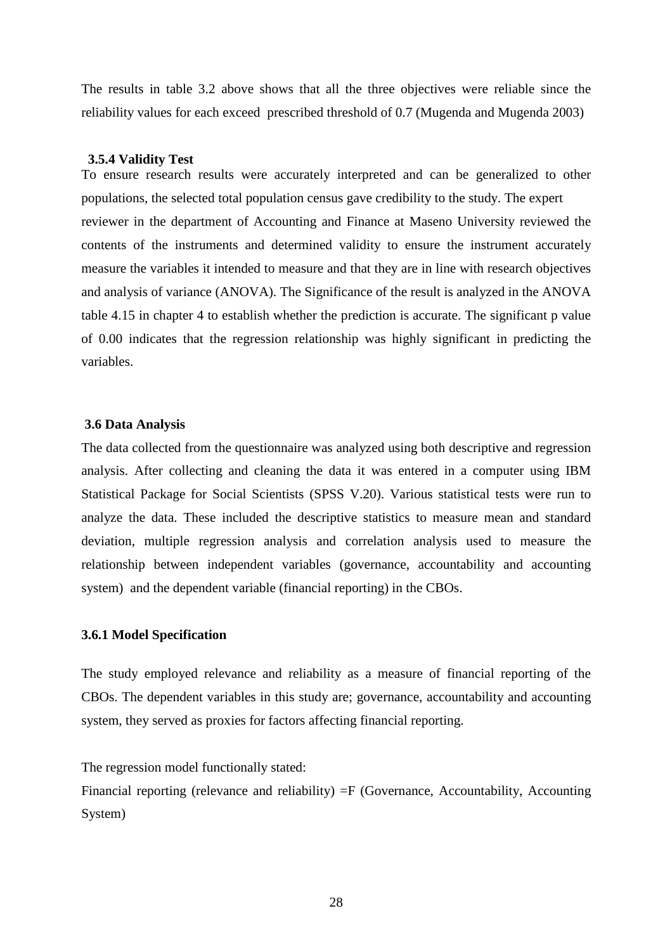The results in table 3.2 above shows that all the three objectives were reliable since the reliability values for each exceed prescribed threshold of 0.7 (Mugenda and Mugenda 2003)

### **3.5.4 Validity Test**

To ensure research results were accurately interpreted and can be generalized to other populations, the selected total population census gave credibility to the study. The expert reviewer in the department of Accounting and Finance at Maseno University reviewed the contents of the instruments and determined validity to ensure the instrument accurately measure the variables it intended to measure and that they are in line with research objectives and analysis of variance (ANOVA). The Significance of the result is analyzed in the ANOVA table 4.15 in chapter 4 to establish whether the prediction is accurate. The significant p value of 0.00 indicates that the regression relationship was highly significant in predicting the variables.

#### **3.6 Data Analysis**

The data collected from the questionnaire was analyzed using both descriptive and regression analysis. After collecting and cleaning the data it was entered in a computer using IBM Statistical Package for Social Scientists (SPSS V.20). Various statistical tests were run to analyze the data. These included the descriptive statistics to measure mean and standard deviation, multiple regression analysis and correlation analysis used to measure the relationship between independent variables (governance, accountability and accounting system) and the dependent variable (financial reporting) in the CBOs.

### **3.6.1 Model Specification**

The study employed relevance and reliability as a measure of financial reporting of the CBOs. The dependent variables in this study are; governance, accountability and accounting system, they served as proxies for factors affecting financial reporting.

The regression model functionally stated:

Financial reporting (relevance and reliability) =F (Governance, Accountability, Accounting System)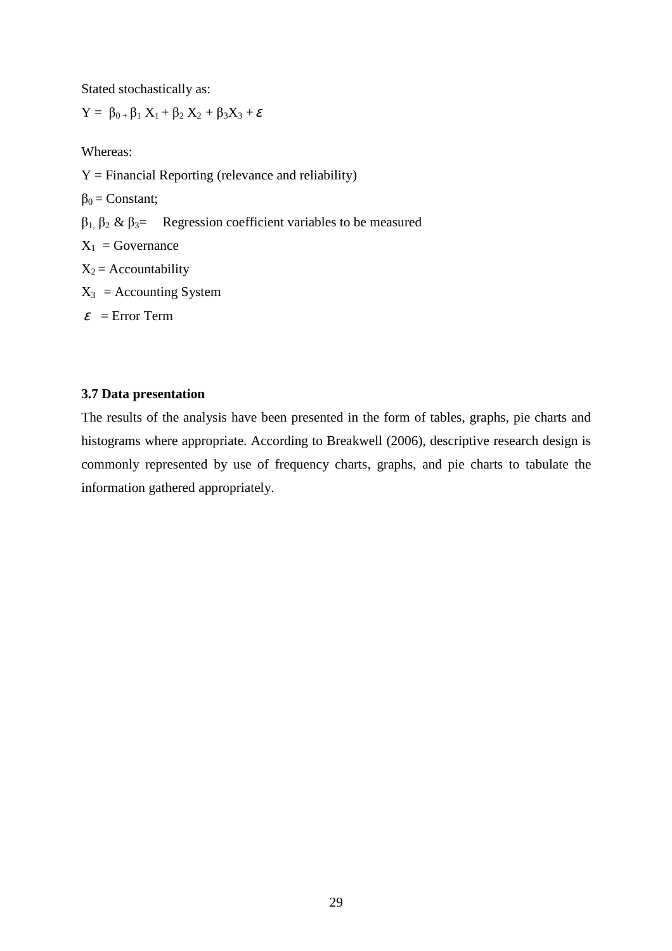Stated stochastically as:

 $Y = \beta_{0+} \beta_1 X_1 + \beta_2 X_2 + \beta_3 X_3 + \varepsilon$ 

Whereas:

 $Y = Financial Reporting (relevance and reliability)$  $\beta_0$  = Constant; β1, β<sup>2</sup> & β3= Regression coefficient variables to be measured  $X_1$  = Governance  $X_2$  = Accountability  $X_3$  = Accounting System  $\varepsilon$  = Error Term

# **3.7 Data presentation**

The results of the analysis have been presented in the form of tables, graphs, pie charts and histograms where appropriate. According to Breakwell (2006), descriptive research design is commonly represented by use of frequency charts, graphs, and pie charts to tabulate the information gathered appropriately.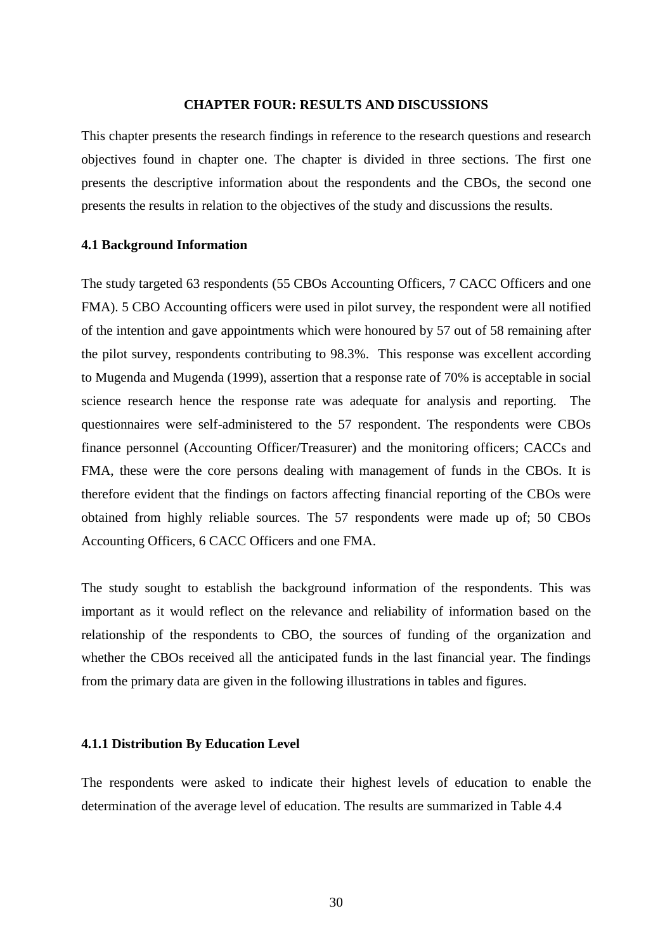#### **CHAPTER FOUR: RESULTS AND DISCUSSIONS**

This chapter presents the research findings in reference to the research questions and research objectives found in chapter one. The chapter is divided in three sections. The first one presents the descriptive information about the respondents and the CBOs, the second one presents the results in relation to the objectives of the study and discussions the results.

#### **4.1 Background Information**

The study targeted 63 respondents (55 CBOs Accounting Officers, 7 CACC Officers and one FMA). 5 CBO Accounting officers were used in pilot survey, the respondent were all notified of the intention and gave appointments which were honoured by 57 out of 58 remaining after the pilot survey, respondents contributing to 98.3%. This response was excellent according to Mugenda and Mugenda (1999), assertion that a response rate of 70% is acceptable in social science research hence the response rate was adequate for analysis and reporting. The questionnaires were self-administered to the 57 respondent. The respondents were CBOs finance personnel (Accounting Officer/Treasurer) and the monitoring officers; CACCs and FMA, these were the core persons dealing with management of funds in the CBOs. It is therefore evident that the findings on factors affecting financial reporting of the CBOs were obtained from highly reliable sources. The 57 respondents were made up of; 50 CBOs Accounting Officers, 6 CACC Officers and one FMA.

The study sought to establish the background information of the respondents. This was important as it would reflect on the relevance and reliability of information based on the relationship of the respondents to CBO, the sources of funding of the organization and whether the CBOs received all the anticipated funds in the last financial year. The findings from the primary data are given in the following illustrations in tables and figures.

## **4.1.1 Distribution By Education Level**

The respondents were asked to indicate their highest levels of education to enable the determination of the average level of education. The results are summarized in Table 4.4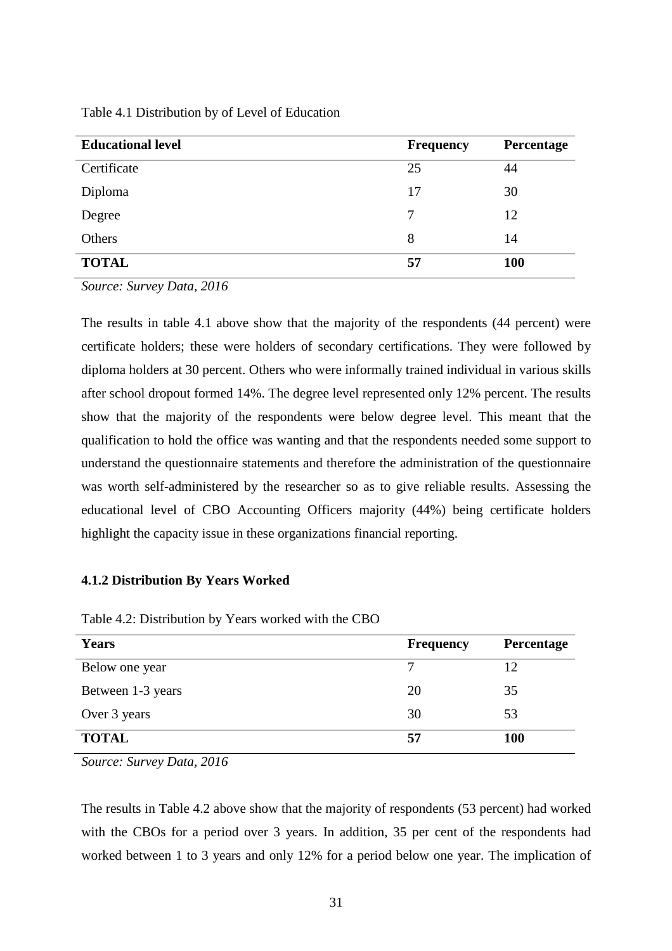| <b>Educational level</b> | <b>Frequency</b> | Percentage |
|--------------------------|------------------|------------|
| Certificate              | 25               | 44         |
| Diploma                  | 17               | 30         |
| Degree                   | 7                | 12         |
| Others                   | 8                | 14         |
| <b>TOTAL</b>             | 57               | 100        |

Table 4.1 Distribution by of Level of Education

*Source: Survey Data, 2016* 

The results in table 4.1 above show that the majority of the respondents (44 percent) were certificate holders; these were holders of secondary certifications. They were followed by diploma holders at 30 percent. Others who were informally trained individual in various skills after school dropout formed 14%. The degree level represented only 12% percent. The results show that the majority of the respondents were below degree level. This meant that the qualification to hold the office was wanting and that the respondents needed some support to understand the questionnaire statements and therefore the administration of the questionnaire was worth self-administered by the researcher so as to give reliable results. Assessing the educational level of CBO Accounting Officers majority (44%) being certificate holders highlight the capacity issue in these organizations financial reporting.

### **4.1.2 Distribution By Years Worked**

Table 4.2: Distribution by Years worked with the CBO

| <b>Years</b>      | <b>Frequency</b> | Percentage |
|-------------------|------------------|------------|
| Below one year    | 7                |            |
| Between 1-3 years | 20               | 35         |
| Over 3 years      | 30               | 53         |
| <b>TOTAL</b>      | 57               | 100        |

*Source: Survey Data, 2016* 

The results in Table 4.2 above show that the majority of respondents (53 percent) had worked with the CBOs for a period over 3 years. In addition, 35 per cent of the respondents had worked between 1 to 3 years and only 12% for a period below one year. The implication of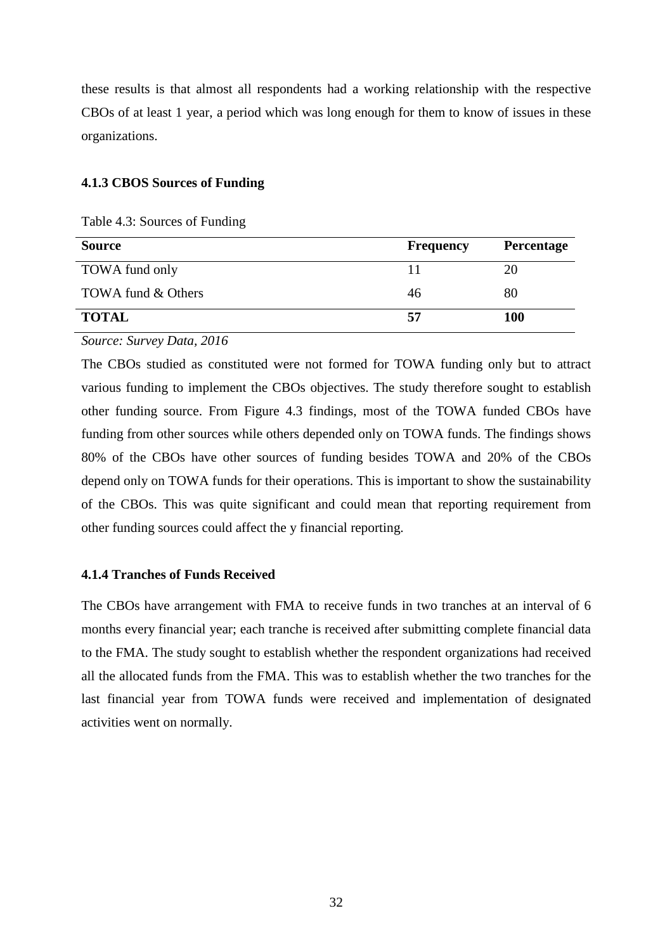these results is that almost all respondents had a working relationship with the respective CBOs of at least 1 year, a period which was long enough for them to know of issues in these organizations.

### **4.1.3 CBOS Sources of Funding**

Table 4.3: Sources of Funding

| <b>Source</b>      | <b>Frequency</b> | <b>Percentage</b> |
|--------------------|------------------|-------------------|
| TOWA fund only     | 11               | 20                |
| TOWA fund & Others | 46               | 80                |
| <b>TOTAL</b>       | 57               | <b>100</b>        |

*Source: Survey Data, 2016* 

The CBOs studied as constituted were not formed for TOWA funding only but to attract various funding to implement the CBOs objectives. The study therefore sought to establish other funding source. From Figure 4.3 findings, most of the TOWA funded CBOs have funding from other sources while others depended only on TOWA funds. The findings shows 80% of the CBOs have other sources of funding besides TOWA and 20% of the CBOs depend only on TOWA funds for their operations. This is important to show the sustainability of the CBOs. This was quite significant and could mean that reporting requirement from other funding sources could affect the y financial reporting.

# **4.1.4 Tranches of Funds Received**

The CBOs have arrangement with FMA to receive funds in two tranches at an interval of 6 months every financial year; each tranche is received after submitting complete financial data to the FMA. The study sought to establish whether the respondent organizations had received all the allocated funds from the FMA. This was to establish whether the two tranches for the last financial year from TOWA funds were received and implementation of designated activities went on normally.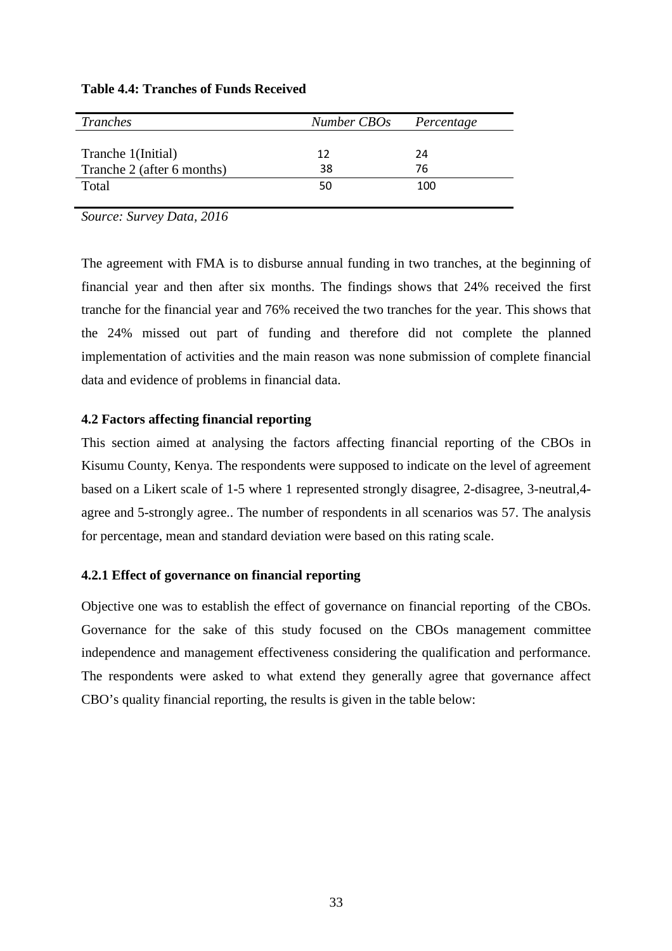| Tranches                   | Number CBOs | Percentage |
|----------------------------|-------------|------------|
|                            |             |            |
| Tranche 1(Initial)         | 12          | 24         |
| Tranche 2 (after 6 months) | 38          | 76         |
| Total                      | 50          | 100        |
|                            |             |            |

# **Table 4.4: Tranches of Funds Received**

*Source: Survey Data, 2016* 

The agreement with FMA is to disburse annual funding in two tranches, at the beginning of financial year and then after six months. The findings shows that 24% received the first tranche for the financial year and 76% received the two tranches for the year. This shows that the 24% missed out part of funding and therefore did not complete the planned implementation of activities and the main reason was none submission of complete financial data and evidence of problems in financial data.

# **4.2 Factors affecting financial reporting**

This section aimed at analysing the factors affecting financial reporting of the CBOs in Kisumu County, Kenya. The respondents were supposed to indicate on the level of agreement based on a Likert scale of 1-5 where 1 represented strongly disagree, 2-disagree, 3-neutral,4 agree and 5-strongly agree.. The number of respondents in all scenarios was 57. The analysis for percentage, mean and standard deviation were based on this rating scale.

# **4.2.1 Effect of governance on financial reporting**

Objective one was to establish the effect of governance on financial reporting of the CBOs. Governance for the sake of this study focused on the CBOs management committee independence and management effectiveness considering the qualification and performance. The respondents were asked to what extend they generally agree that governance affect CBO's quality financial reporting, the results is given in the table below: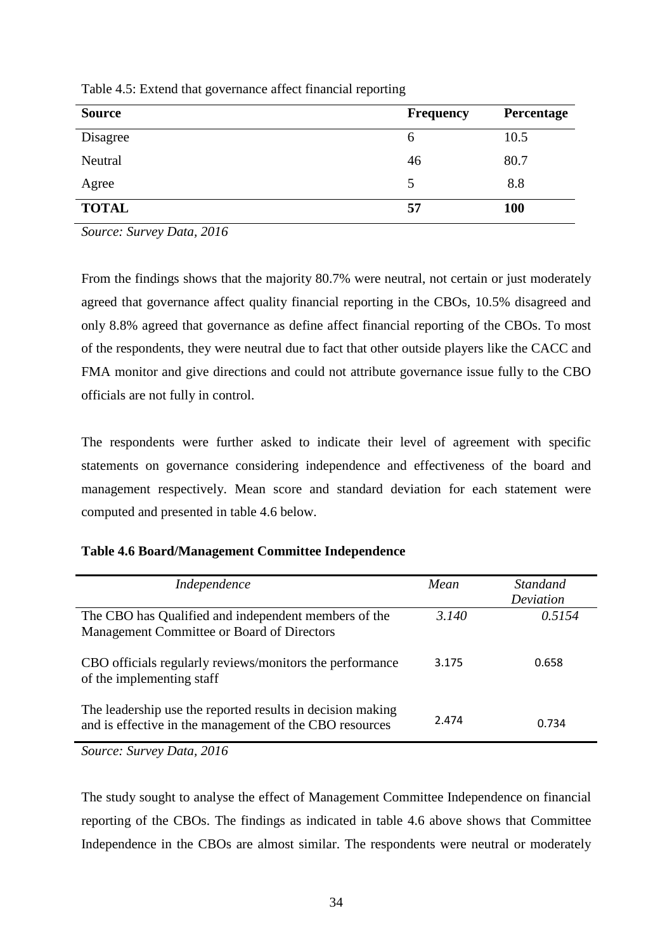| <b>Source</b> | <b>Frequency</b> | Percentage |
|---------------|------------------|------------|
| Disagree      | 6                | 10.5       |
| Neutral       | 46               | 80.7       |
| Agree         | 5                | 8.8        |
| <b>TOTAL</b>  | 57               | 100        |

Table 4.5: Extend that governance affect financial reporting

*Source: Survey Data, 2016* 

From the findings shows that the majority 80.7% were neutral, not certain or just moderately agreed that governance affect quality financial reporting in the CBOs, 10.5% disagreed and only 8.8% agreed that governance as define affect financial reporting of the CBOs. To most of the respondents, they were neutral due to fact that other outside players like the CACC and FMA monitor and give directions and could not attribute governance issue fully to the CBO officials are not fully in control.

The respondents were further asked to indicate their level of agreement with specific statements on governance considering independence and effectiveness of the board and management respectively. Mean score and standard deviation for each statement were computed and presented in table 4.6 below.

| Independence                                                                                                          | Mean  | <i>Standand</i><br>Deviation |
|-----------------------------------------------------------------------------------------------------------------------|-------|------------------------------|
| The CBO has Qualified and independent members of the<br>Management Committee or Board of Directors                    | 3.140 | 0.5154                       |
| CBO officials regularly reviews/monitors the performance<br>of the implementing staff                                 | 3.175 | 0.658                        |
| The leadership use the reported results in decision making<br>and is effective in the management of the CBO resources | 2.474 | 0.734                        |

*Source: Survey Data, 2016* 

The study sought to analyse the effect of Management Committee Independence on financial reporting of the CBOs. The findings as indicated in table 4.6 above shows that Committee Independence in the CBOs are almost similar. The respondents were neutral or moderately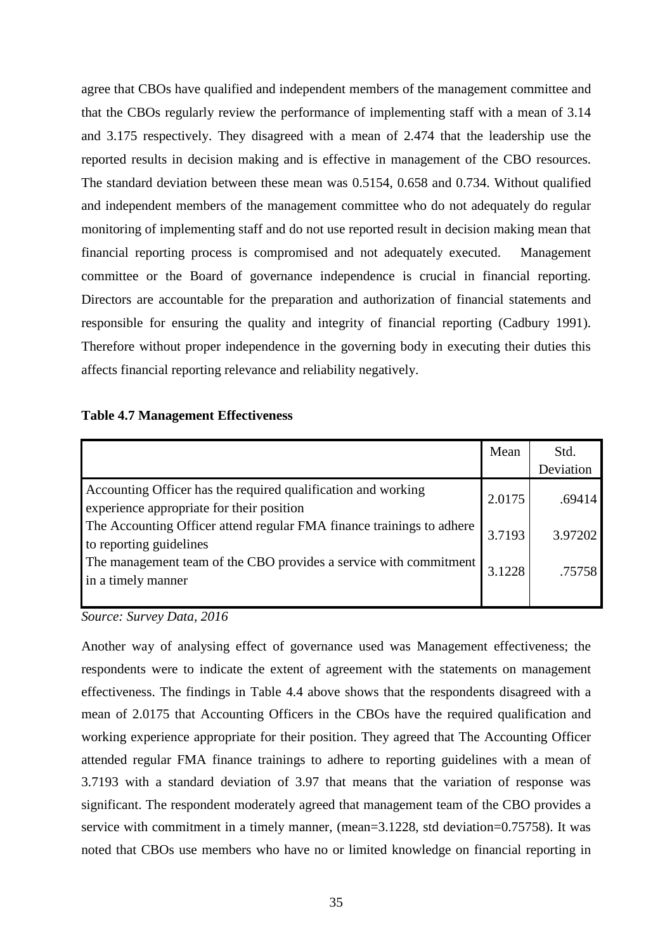agree that CBOs have qualified and independent members of the management committee and that the CBOs regularly review the performance of implementing staff with a mean of 3.14 and 3.175 respectively. They disagreed with a mean of 2.474 that the leadership use the reported results in decision making and is effective in management of the CBO resources. The standard deviation between these mean was 0.5154, 0.658 and 0.734. Without qualified and independent members of the management committee who do not adequately do regular monitoring of implementing staff and do not use reported result in decision making mean that financial reporting process is compromised and not adequately executed. Management committee or the Board of governance independence is crucial in financial reporting. Directors are accountable for the preparation and authorization of financial statements and responsible for ensuring the quality and integrity of financial reporting (Cadbury 1991). Therefore without proper independence in the governing body in executing their duties this affects financial reporting relevance and reliability negatively.

### **Table 4.7 Management Effectiveness**

|                                                                                                            | Mean   | Std.      |
|------------------------------------------------------------------------------------------------------------|--------|-----------|
|                                                                                                            |        | Deviation |
| Accounting Officer has the required qualification and working<br>experience appropriate for their position | 2.0175 | .69414    |
| The Accounting Officer attend regular FMA finance trainings to adhere<br>to reporting guidelines           | 3.7193 | 3.97202   |
| The management team of the CBO provides a service with commitment<br>in a timely manner                    | 3.1228 | .75758    |
|                                                                                                            |        |           |

*Source: Survey Data, 2016* 

Another way of analysing effect of governance used was Management effectiveness; the respondents were to indicate the extent of agreement with the statements on management effectiveness. The findings in Table 4.4 above shows that the respondents disagreed with a mean of 2.0175 that Accounting Officers in the CBOs have the required qualification and working experience appropriate for their position. They agreed that The Accounting Officer attended regular FMA finance trainings to adhere to reporting guidelines with a mean of 3.7193 with a standard deviation of 3.97 that means that the variation of response was significant. The respondent moderately agreed that management team of the CBO provides a service with commitment in a timely manner, (mean=3.1228, std deviation=0.75758). It was noted that CBOs use members who have no or limited knowledge on financial reporting in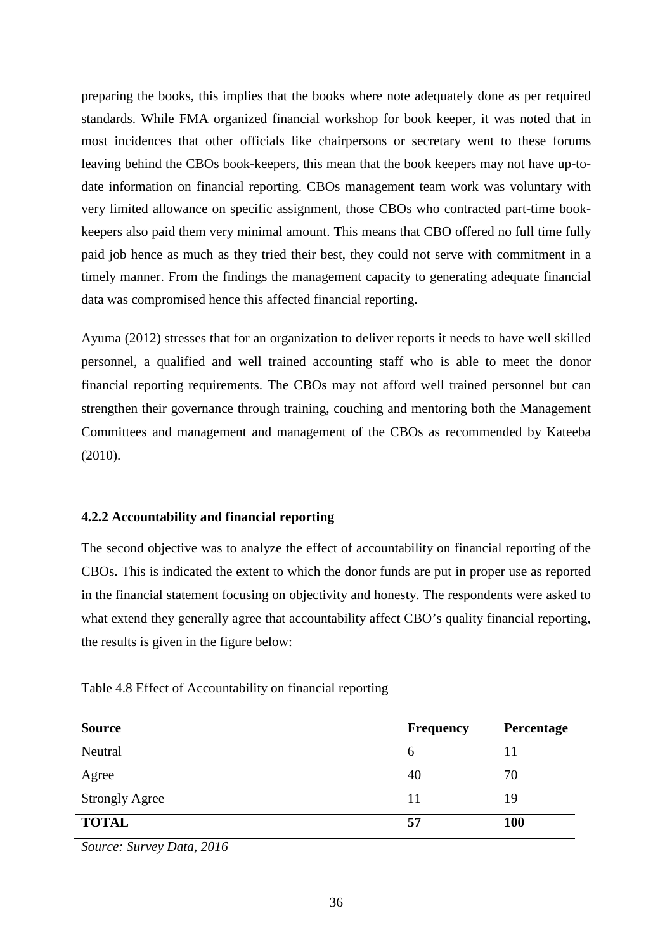preparing the books, this implies that the books where note adequately done as per required standards. While FMA organized financial workshop for book keeper, it was noted that in most incidences that other officials like chairpersons or secretary went to these forums leaving behind the CBOs book-keepers, this mean that the book keepers may not have up-todate information on financial reporting. CBOs management team work was voluntary with very limited allowance on specific assignment, those CBOs who contracted part-time bookkeepers also paid them very minimal amount. This means that CBO offered no full time fully paid job hence as much as they tried their best, they could not serve with commitment in a timely manner. From the findings the management capacity to generating adequate financial data was compromised hence this affected financial reporting.

Ayuma (2012) stresses that for an organization to deliver reports it needs to have well skilled personnel, a qualified and well trained accounting staff who is able to meet the donor financial reporting requirements. The CBOs may not afford well trained personnel but can strengthen their governance through training, couching and mentoring both the Management Committees and management and management of the CBOs as recommended by Kateeba (2010).

## **4.2.2 Accountability and financial reporting**

The second objective was to analyze the effect of accountability on financial reporting of the CBOs. This is indicated the extent to which the donor funds are put in proper use as reported in the financial statement focusing on objectivity and honesty. The respondents were asked to what extend they generally agree that accountability affect CBO's quality financial reporting. the results is given in the figure below:

| Table 4.8 Effect of Accountability on financial reporting |  |
|-----------------------------------------------------------|--|
|                                                           |  |

| <b>Source</b>         | <b>Frequency</b> | Percentage |
|-----------------------|------------------|------------|
| Neutral               | $\sigma$         |            |
| Agree                 | 40               | 70         |
| <b>Strongly Agree</b> | 11               | 19         |
| <b>TOTAL</b>          | 57               | <b>100</b> |

*Source: Survey Data, 2016*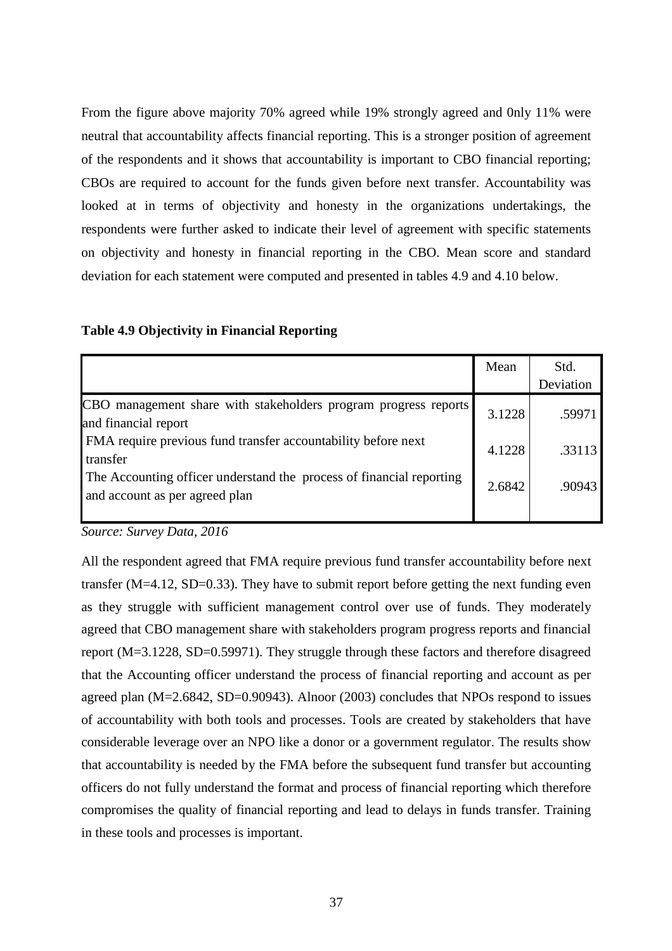From the figure above majority 70% agreed while 19% strongly agreed and 0nly 11% were neutral that accountability affects financial reporting. This is a stronger position of agreement of the respondents and it shows that accountability is important to CBO financial reporting; CBOs are required to account for the funds given before next transfer. Accountability was looked at in terms of objectivity and honesty in the organizations undertakings, the respondents were further asked to indicate their level of agreement with specific statements on objectivity and honesty in financial reporting in the CBO. Mean score and standard deviation for each statement were computed and presented in tables 4.9 and 4.10 below.

|                                                                                                        | Mean   | Std.      |
|--------------------------------------------------------------------------------------------------------|--------|-----------|
|                                                                                                        |        | Deviation |
| CBO management share with stakeholders program progress reports<br>and financial report                | 3.1228 | .59971    |
| FMA require previous fund transfer accountability before next<br>transfer                              | 4.1228 | .33113    |
| The Accounting officer understand the process of financial reporting<br>and account as per agreed plan | 2.6842 | .90943    |
|                                                                                                        |        |           |

## **Table 4.9 Objectivity in Financial Reporting**

*Source: Survey Data, 2016* 

All the respondent agreed that FMA require previous fund transfer accountability before next transfer (M=4.12, SD=0.33). They have to submit report before getting the next funding even as they struggle with sufficient management control over use of funds. They moderately agreed that CBO management share with stakeholders program progress reports and financial report (M=3.1228, SD=0.59971). They struggle through these factors and therefore disagreed that the Accounting officer understand the process of financial reporting and account as per agreed plan (M=2.6842, SD=0.90943). Alnoor (2003) concludes that NPOs respond to issues of accountability with both tools and processes. Tools are created by stakeholders that have considerable leverage over an NPO like a donor or a government regulator. The results show that accountability is needed by the FMA before the subsequent fund transfer but accounting officers do not fully understand the format and process of financial reporting which therefore compromises the quality of financial reporting and lead to delays in funds transfer. Training in these tools and processes is important.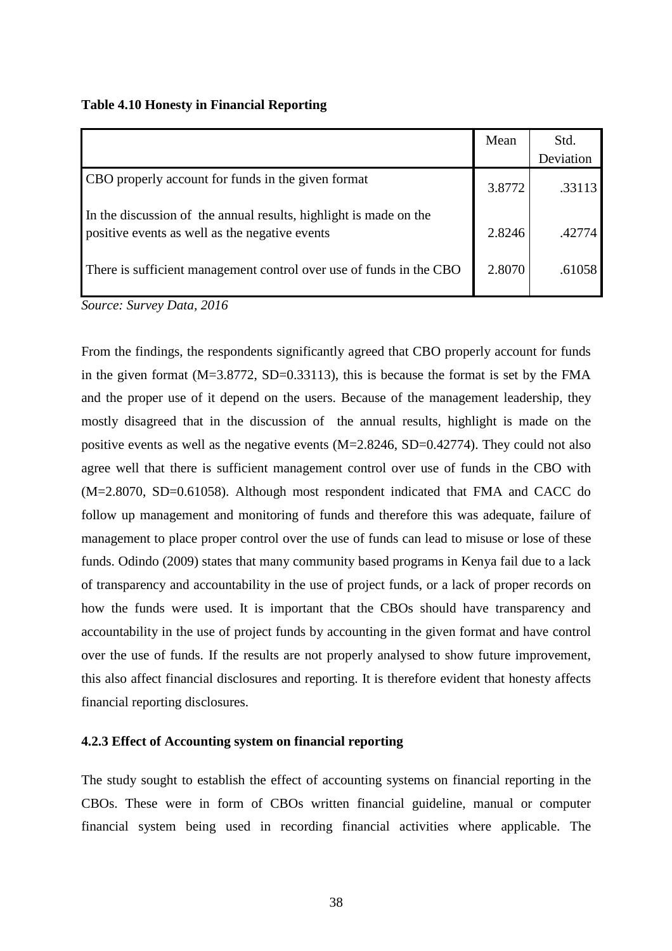|  |  | <b>Table 4.10 Honesty in Financial Reporting</b> |  |
|--|--|--------------------------------------------------|--|
|  |  |                                                  |  |

|                                                                                                                     | Mean   | Std.      |
|---------------------------------------------------------------------------------------------------------------------|--------|-----------|
|                                                                                                                     |        | Deviation |
| CBO properly account for funds in the given format                                                                  | 3.8772 | .33113    |
| In the discussion of the annual results, highlight is made on the<br>positive events as well as the negative events | 2.8246 | .42774    |
| There is sufficient management control over use of funds in the CBO                                                 | 2.8070 | .61058    |

*Source: Survey Data, 2016* 

From the findings, the respondents significantly agreed that CBO properly account for funds in the given format  $(M=3.8772, SD=0.33113)$ , this is because the format is set by the FMA and the proper use of it depend on the users. Because of the management leadership, they mostly disagreed that in the discussion of the annual results, highlight is made on the positive events as well as the negative events (M=2.8246, SD=0.42774). They could not also agree well that there is sufficient management control over use of funds in the CBO with (M=2.8070, SD=0.61058). Although most respondent indicated that FMA and CACC do follow up management and monitoring of funds and therefore this was adequate, failure of management to place proper control over the use of funds can lead to misuse or lose of these funds. Odindo (2009) states that many community based programs in Kenya fail due to a lack of transparency and accountability in the use of project funds, or a lack of proper records on how the funds were used. It is important that the CBOs should have transparency and accountability in the use of project funds by accounting in the given format and have control over the use of funds. If the results are not properly analysed to show future improvement, this also affect financial disclosures and reporting. It is therefore evident that honesty affects financial reporting disclosures.

### **4.2.3 Effect of Accounting system on financial reporting**

The study sought to establish the effect of accounting systems on financial reporting in the CBOs. These were in form of CBOs written financial guideline, manual or computer financial system being used in recording financial activities where applicable. The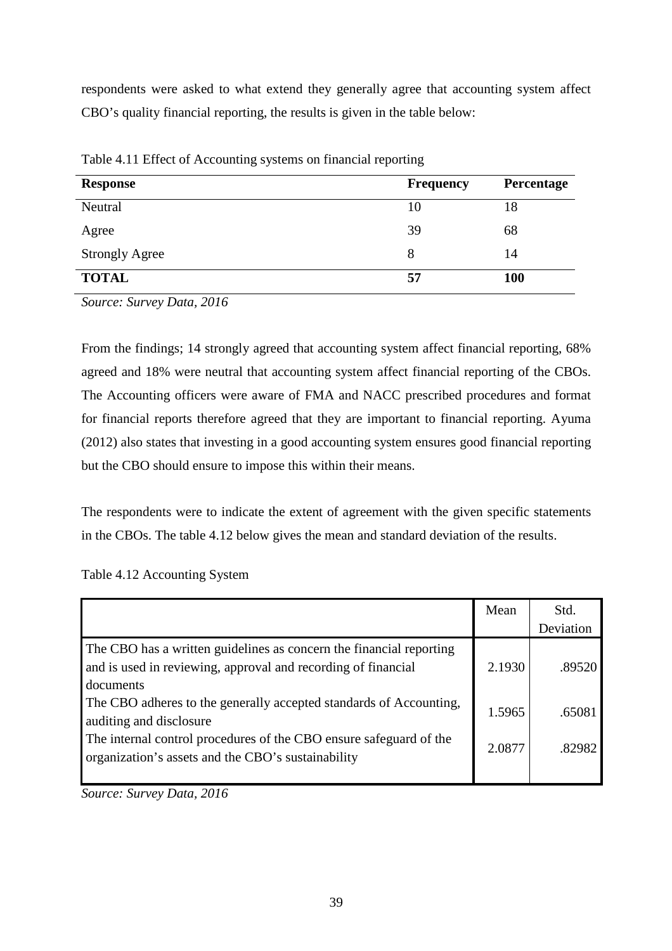respondents were asked to what extend they generally agree that accounting system affect CBO's quality financial reporting, the results is given in the table below:

| <b>Response</b>       | <b>Frequency</b> | Percentage |
|-----------------------|------------------|------------|
| Neutral               | 10               | 18         |
| Agree                 | 39               | 68         |
| <b>Strongly Agree</b> | 8                | 14         |
| <b>TOTAL</b>          | 57               | 100        |

Table 4.11 Effect of Accounting systems on financial reporting

*Source: Survey Data, 2016* 

From the findings; 14 strongly agreed that accounting system affect financial reporting, 68% agreed and 18% were neutral that accounting system affect financial reporting of the CBOs. The Accounting officers were aware of FMA and NACC prescribed procedures and format for financial reports therefore agreed that they are important to financial reporting. Ayuma (2012) also states that investing in a good accounting system ensures good financial reporting but the CBO should ensure to impose this within their means.

The respondents were to indicate the extent of agreement with the given specific statements in the CBOs. The table 4.12 below gives the mean and standard deviation of the results.

|                                                                                                                                                   | Mean   | Std.      |
|---------------------------------------------------------------------------------------------------------------------------------------------------|--------|-----------|
|                                                                                                                                                   |        | Deviation |
| The CBO has a written guidelines as concern the financial reporting<br>and is used in reviewing, approval and recording of financial<br>documents | 2.1930 | .89520    |
| The CBO adheres to the generally accepted standards of Accounting,<br>auditing and disclosure                                                     | 1.5965 | .65081    |
| The internal control procedures of the CBO ensure safeguard of the<br>organization's assets and the CBO's sustainability                          | 2.0877 | .82982    |
|                                                                                                                                                   |        |           |

*Source: Survey Data, 2016*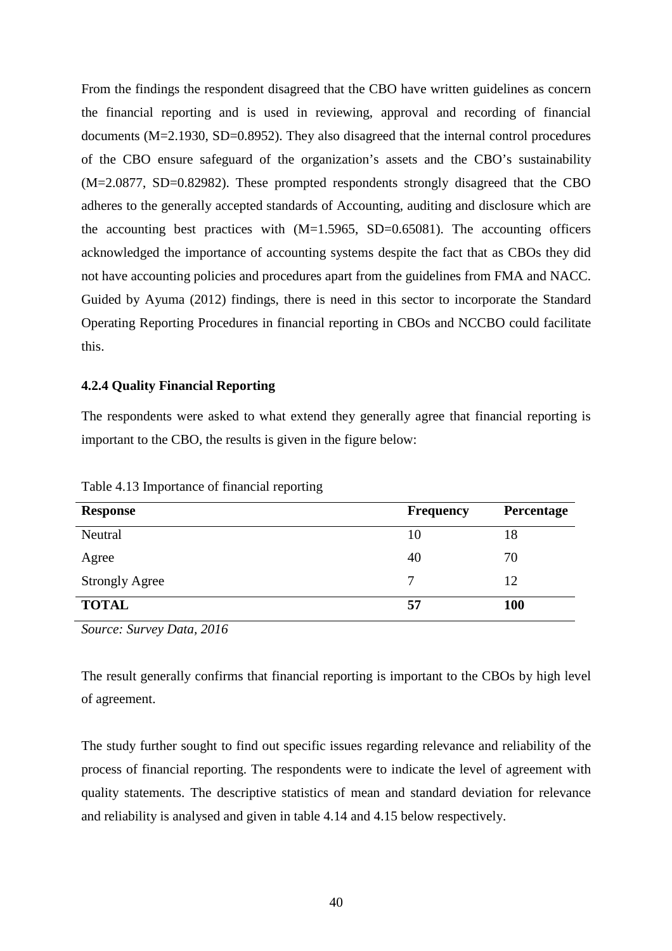From the findings the respondent disagreed that the CBO have written guidelines as concern the financial reporting and is used in reviewing, approval and recording of financial documents (M=2.1930, SD=0.8952). They also disagreed that the internal control procedures of the CBO ensure safeguard of the organization's assets and the CBO's sustainability (M=2.0877, SD=0.82982). These prompted respondents strongly disagreed that the CBO adheres to the generally accepted standards of Accounting, auditing and disclosure which are the accounting best practices with  $(M=1.5965, SD=0.65081)$ . The accounting officers acknowledged the importance of accounting systems despite the fact that as CBOs they did not have accounting policies and procedures apart from the guidelines from FMA and NACC. Guided by Ayuma (2012) findings, there is need in this sector to incorporate the Standard Operating Reporting Procedures in financial reporting in CBOs and NCCBO could facilitate this.

## **4.2.4 Quality Financial Reporting**

The respondents were asked to what extend they generally agree that financial reporting is important to the CBO, the results is given in the figure below:

| <b>Response</b>       | <b>Frequency</b> | Percentage |
|-----------------------|------------------|------------|
| Neutral               | 10               | 18         |
| Agree                 | 40               | 70         |
| <b>Strongly Agree</b> | 7                | 12         |
| <b>TOTAL</b>          | 57               | <b>100</b> |

Table 4.13 Importance of financial reporting

*Source: Survey Data, 2016* 

The result generally confirms that financial reporting is important to the CBOs by high level of agreement.

The study further sought to find out specific issues regarding relevance and reliability of the process of financial reporting. The respondents were to indicate the level of agreement with quality statements. The descriptive statistics of mean and standard deviation for relevance and reliability is analysed and given in table 4.14 and 4.15 below respectively.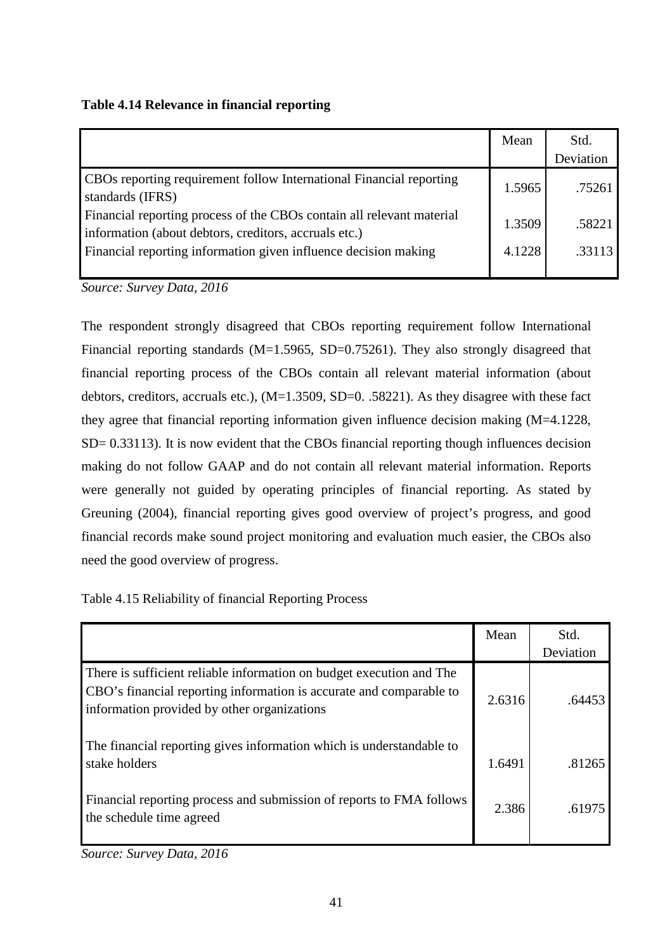**Table 4.14 Relevance in financial reporting** 

|                                                                                                                                | Mean   | Std.<br>Deviation |
|--------------------------------------------------------------------------------------------------------------------------------|--------|-------------------|
| CBOs reporting requirement follow International Financial reporting<br>standards (IFRS)                                        | 1.5965 | .75261            |
| Financial reporting process of the CBOs contain all relevant material<br>information (about debtors, creditors, accruals etc.) | 1.3509 | .58221            |
| Financial reporting information given influence decision making                                                                | 4.1228 | .33113            |

*Source: Survey Data, 2016* 

The respondent strongly disagreed that CBOs reporting requirement follow International Financial reporting standards (M=1.5965, SD=0.75261). They also strongly disagreed that financial reporting process of the CBOs contain all relevant material information (about debtors, creditors, accruals etc.),  $(M=1.3509, SD=0.58221)$ . As they disagree with these fact they agree that financial reporting information given influence decision making (M=4.1228, SD= 0.33113). It is now evident that the CBOs financial reporting though influences decision making do not follow GAAP and do not contain all relevant material information. Reports were generally not guided by operating principles of financial reporting. As stated by Greuning (2004), financial reporting gives good overview of project's progress, and good financial records make sound project monitoring and evaluation much easier, the CBOs also need the good overview of progress.

Table 4.15 Reliability of financial Reporting Process

|                                                                                                                                                                                            | Mean   | Std.      |
|--------------------------------------------------------------------------------------------------------------------------------------------------------------------------------------------|--------|-----------|
|                                                                                                                                                                                            |        | Deviation |
| There is sufficient reliable information on budget execution and The<br>CBO's financial reporting information is accurate and comparable to<br>information provided by other organizations | 2.6316 | .64453    |
| The financial reporting gives information which is understandable to<br>stake holders                                                                                                      | 1.6491 | .81265    |
| Financial reporting process and submission of reports to FMA follows<br>the schedule time agreed                                                                                           | 2.386  | .61975    |

*Source: Survey Data, 2016*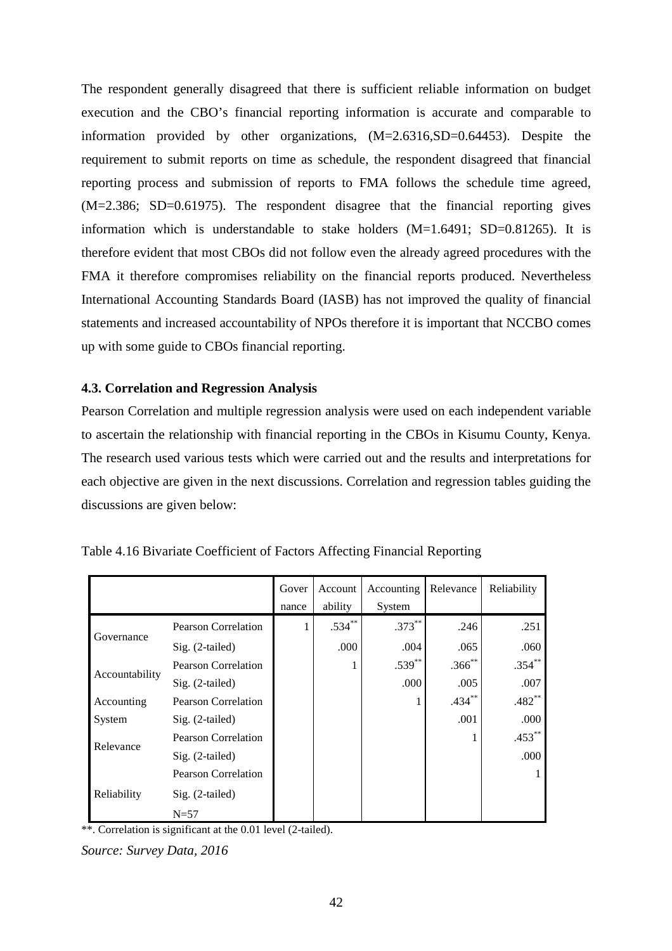The respondent generally disagreed that there is sufficient reliable information on budget execution and the CBO's financial reporting information is accurate and comparable to information provided by other organizations, (M=2.6316,SD=0.64453). Despite the requirement to submit reports on time as schedule, the respondent disagreed that financial reporting process and submission of reports to FMA follows the schedule time agreed, (M=2.386; SD=0.61975). The respondent disagree that the financial reporting gives information which is understandable to stake holders (M=1.6491; SD=0.81265). It is therefore evident that most CBOs did not follow even the already agreed procedures with the FMA it therefore compromises reliability on the financial reports produced. Nevertheless International Accounting Standards Board (IASB) has not improved the quality of financial statements and increased accountability of NPOs therefore it is important that NCCBO comes up with some guide to CBOs financial reporting.

# **4.3. Correlation and Regression Analysis**

Pearson Correlation and multiple regression analysis were used on each independent variable to ascertain the relationship with financial reporting in the CBOs in Kisumu County, Kenya. The research used various tests which were carried out and the results and interpretations for each objective are given in the next discussions. Correlation and regression tables guiding the discussions are given below:

|                |                            | Gover | Account  | Accounting | Relevance | Reliability |
|----------------|----------------------------|-------|----------|------------|-----------|-------------|
|                |                            | nance | ability  | System     |           |             |
| Governance     | <b>Pearson Correlation</b> | 1.    | $.534**$ | $.373***$  | .246      | .251        |
|                | Sig. (2-tailed)            |       | .000     | .004       | .065      | .060        |
|                | <b>Pearson Correlation</b> |       |          | $.539***$  | $.366$ ** | $.354***$   |
| Accountability | Sig. (2-tailed)            |       |          | .000       | .005      | .007        |
| Accounting     | <b>Pearson Correlation</b> |       |          |            | $.434***$ | $.482**$    |
| System         | Sig. (2-tailed)            |       |          |            | .001      | .000        |
| Relevance      | <b>Pearson Correlation</b> |       |          |            |           | $.453***$   |
|                | Sig. (2-tailed)            |       |          |            |           | .000        |
|                | <b>Pearson Correlation</b> |       |          |            |           |             |
| Reliability    | Sig. (2-tailed)            |       |          |            |           |             |
|                | $N = 57$                   |       |          |            |           |             |

| Table 4.16 Bivariate Coefficient of Factors Affecting Financial Reporting |  |  |
|---------------------------------------------------------------------------|--|--|
|                                                                           |  |  |

\*\*. Correlation is significant at the 0.01 level (2-tailed).

*Source: Survey Data, 2016*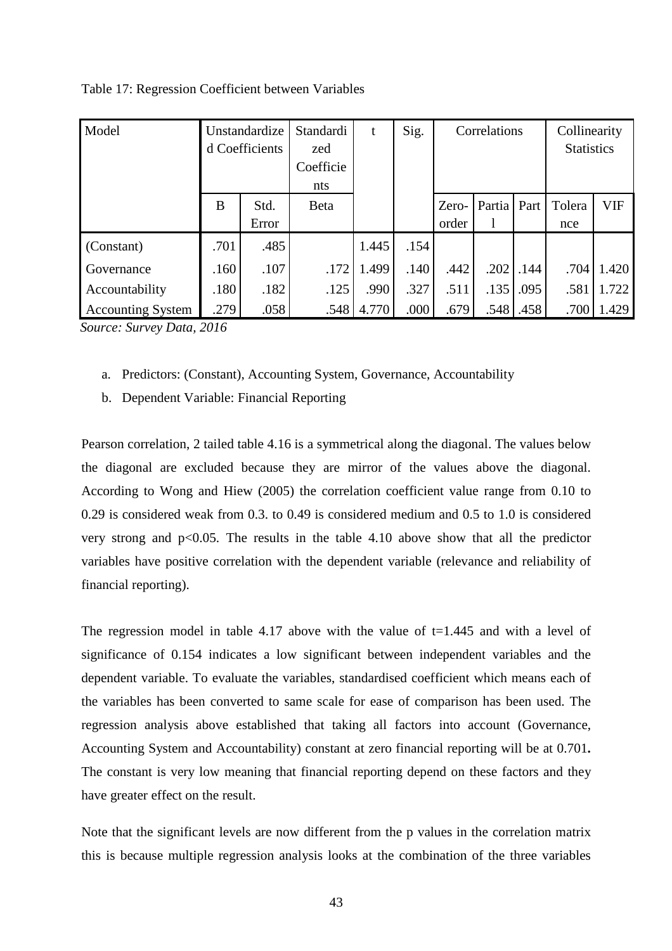| Model                    |      | Unstandardize<br>d Coefficients | Standardi<br>zed<br>Coefficie<br>nts | t     | Sig. | Correlations   |                        | Collinearity<br><b>Statistics</b> |               |            |
|--------------------------|------|---------------------------------|--------------------------------------|-------|------|----------------|------------------------|-----------------------------------|---------------|------------|
|                          | B    | Std.<br>Error                   | <b>B</b> eta                         |       |      | Zero-<br>order | Partia<br>$\mathbf{I}$ | Part                              | Tolera<br>nce | <b>VIF</b> |
| (Constant)               | .701 | .485                            |                                      | 1.445 | .154 |                |                        |                                   |               |            |
| Governance               | .160 | .107                            | .172                                 | 1.499 | .140 | .442           | .202                   | .144                              | .704          | 1.420      |
| Accountability           | .180 | .182                            | .125                                 | .990  | .327 | .511           | .135                   | .095                              | .581          | 1.722      |
| <b>Accounting System</b> | .279 | .058                            | .548                                 | 4.770 | .000 | .679           | .548                   | .458                              | .700          | 1.429      |

Table 17: Regression Coefficient between Variables

*Source: Survey Data, 2016* 

- a. Predictors: (Constant), Accounting System, Governance, Accountability
- b. Dependent Variable: Financial Reporting

Pearson correlation, 2 tailed table 4.16 is a symmetrical along the diagonal. The values below the diagonal are excluded because they are mirror of the values above the diagonal. According to Wong and Hiew (2005) the correlation coefficient value range from 0.10 to 0.29 is considered weak from 0.3. to 0.49 is considered medium and 0.5 to 1.0 is considered very strong and  $p<0.05$ . The results in the table 4.10 above show that all the predictor variables have positive correlation with the dependent variable (relevance and reliability of financial reporting).

The regression model in table 4.17 above with the value of  $t=1.445$  and with a level of significance of 0.154 indicates a low significant between independent variables and the dependent variable. To evaluate the variables, standardised coefficient which means each of the variables has been converted to same scale for ease of comparison has been used. The regression analysis above established that taking all factors into account (Governance, Accounting System and Accountability) constant at zero financial reporting will be at 0.701**.**  The constant is very low meaning that financial reporting depend on these factors and they have greater effect on the result.

Note that the significant levels are now different from the p values in the correlation matrix this is because multiple regression analysis looks at the combination of the three variables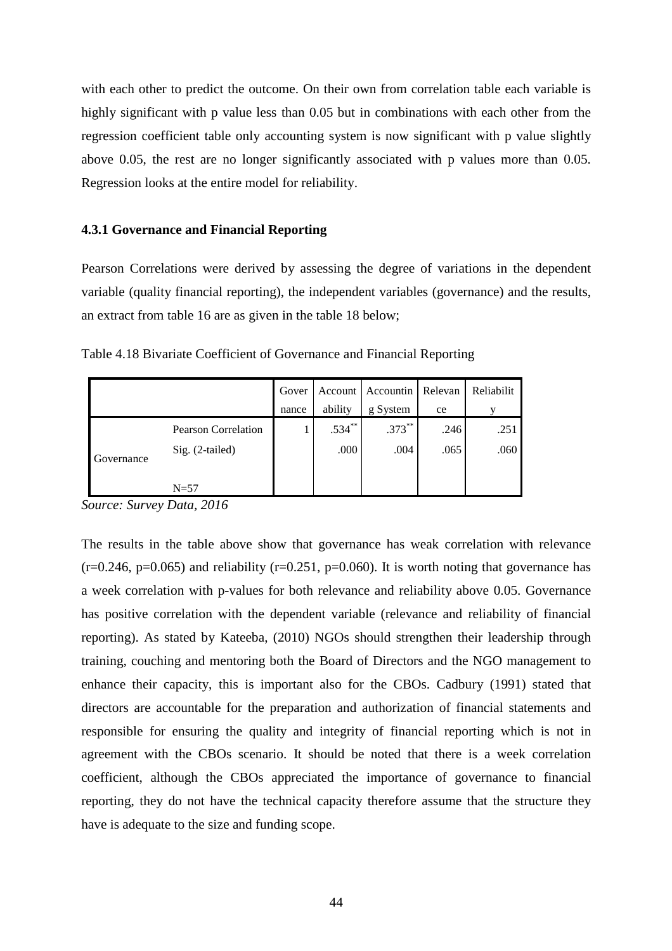with each other to predict the outcome. On their own from correlation table each variable is highly significant with p value less than 0.05 but in combinations with each other from the regression coefficient table only accounting system is now significant with p value slightly above 0.05, the rest are no longer significantly associated with p values more than 0.05. Regression looks at the entire model for reliability.

## **4.3.1 Governance and Financial Reporting**

Pearson Correlations were derived by assessing the degree of variations in the dependent variable (quality financial reporting), the independent variables (governance) and the results, an extract from table 16 are as given in the table 18 below;

| Table 4.18 Bivariate Coefficient of Governance and Financial Reporting |  |
|------------------------------------------------------------------------|--|
|------------------------------------------------------------------------|--|

|            |                     | Gover |           | Account Accountin Relevan |      | Reliabilit |
|------------|---------------------|-------|-----------|---------------------------|------|------------|
|            |                     | nance | ability   | g System                  | ce   |            |
|            | Pearson Correlation |       | $.534***$ | $.373***$                 | .246 | .251       |
| Governance | Sig. (2-tailed)     |       | .000      | .004                      | .065 | .060       |
|            | $N=57$              |       |           |                           |      |            |

*Source: Survey Data, 2016* 

The results in the table above show that governance has weak correlation with relevance  $(r=0.246, p=0.065)$  and reliability  $(r=0.251, p=0.060)$ . It is worth noting that governance has a week correlation with p-values for both relevance and reliability above 0.05. Governance has positive correlation with the dependent variable (relevance and reliability of financial reporting). As stated by Kateeba, (2010) NGOs should strengthen their leadership through training, couching and mentoring both the Board of Directors and the NGO management to enhance their capacity, this is important also for the CBOs. Cadbury (1991) stated that directors are accountable for the preparation and authorization of financial statements and responsible for ensuring the quality and integrity of financial reporting which is not in agreement with the CBOs scenario. It should be noted that there is a week correlation coefficient, although the CBOs appreciated the importance of governance to financial reporting, they do not have the technical capacity therefore assume that the structure they have is adequate to the size and funding scope.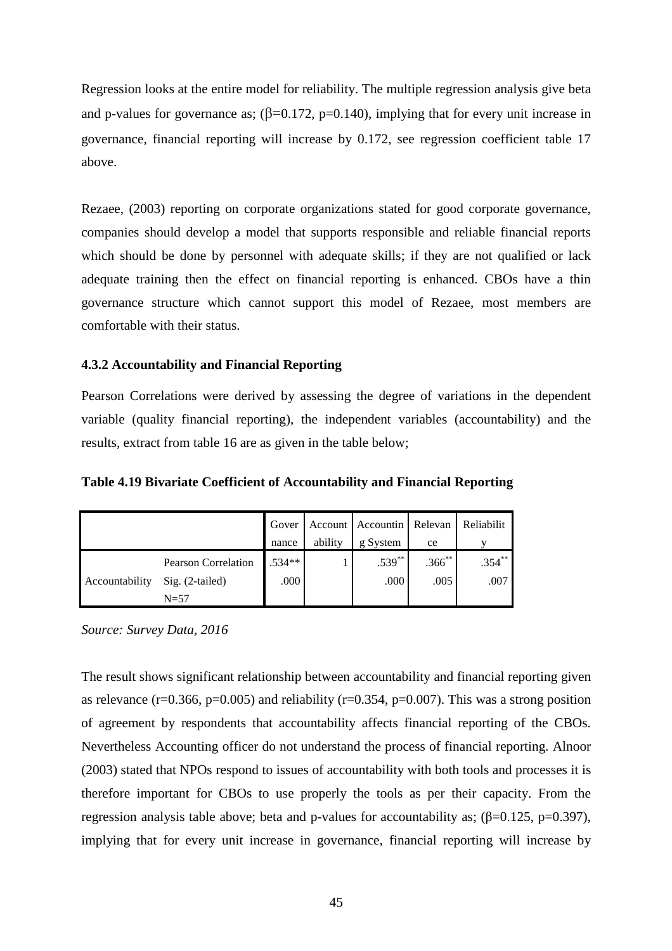Regression looks at the entire model for reliability. The multiple regression analysis give beta and p-values for governance as;  $(\beta=0.172, p=0.140)$ , implying that for every unit increase in governance, financial reporting will increase by 0.172, see regression coefficient table 17 above.

Rezaee, (2003) reporting on corporate organizations stated for good corporate governance, companies should develop a model that supports responsible and reliable financial reports which should be done by personnel with adequate skills; if they are not qualified or lack adequate training then the effect on financial reporting is enhanced. CBOs have a thin governance structure which cannot support this model of Rezaee, most members are comfortable with their status.

# **4.3.2 Accountability and Financial Reporting**

Pearson Correlations were derived by assessing the degree of variations in the dependent variable (quality financial reporting), the independent variables (accountability) and the results, extract from table 16 are as given in the table below;

**Table 4.19 Bivariate Coefficient of Accountability and Financial Reporting** 

|                |                            | Gover    |         | Account Accountin Relevan |             | Reliabilit |
|----------------|----------------------------|----------|---------|---------------------------|-------------|------------|
|                |                            | nance    | ability | g System                  | ce          |            |
|                | <b>Pearson Correlation</b> | $.534**$ |         | $.539^{**}$               | $.366^{**}$ | $.354***$  |
| Accountability | $Sig. (2-tailed)$          | .000     |         | .000                      | .005        | .007       |
|                | $N=57$                     |          |         |                           |             |            |

*Source: Survey Data, 2016* 

The result shows significant relationship between accountability and financial reporting given as relevance (r=0.366, p=0.005) and reliability (r=0.354, p=0.007). This was a strong position of agreement by respondents that accountability affects financial reporting of the CBOs. Nevertheless Accounting officer do not understand the process of financial reporting. Alnoor (2003) stated that NPOs respond to issues of accountability with both tools and processes it is therefore important for CBOs to use properly the tools as per their capacity. From the regression analysis table above; beta and p-values for accountability as;  $(β=0.125, p=0.397)$ , implying that for every unit increase in governance, financial reporting will increase by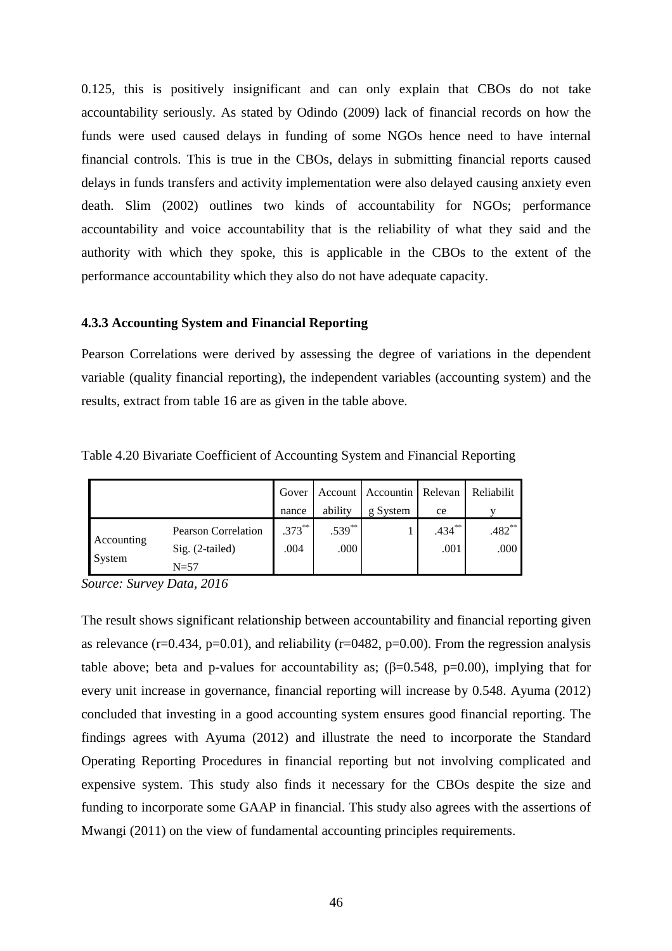0.125, this is positively insignificant and can only explain that CBOs do not take accountability seriously. As stated by Odindo (2009) lack of financial records on how the funds were used caused delays in funding of some NGOs hence need to have internal financial controls. This is true in the CBOs, delays in submitting financial reports caused delays in funds transfers and activity implementation were also delayed causing anxiety even death. Slim (2002) outlines two kinds of accountability for NGOs; performance accountability and voice accountability that is the reliability of what they said and the authority with which they spoke, this is applicable in the CBOs to the extent of the performance accountability which they also do not have adequate capacity.

## **4.3.3 Accounting System and Financial Reporting**

Pearson Correlations were derived by assessing the degree of variations in the dependent variable (quality financial reporting), the independent variables (accounting system) and the results, extract from table 16 are as given in the table above.

|                      |                                                           | Gover             |                   | Account Accountin | Relevan           | Reliabilit       |
|----------------------|-----------------------------------------------------------|-------------------|-------------------|-------------------|-------------------|------------------|
|                      |                                                           | nance             | ability           | g System          | ce                |                  |
| Accounting<br>System | <b>Pearson Correlation</b><br>Sig. (2-tailed)<br>$N = 57$ | $.373***$<br>.004 | $.539***$<br>.000 |                   | $.434***$<br>.001 | $.482**$<br>.000 |

Table 4.20 Bivariate Coefficient of Accounting System and Financial Reporting

*Source: Survey Data, 2016* 

The result shows significant relationship between accountability and financial reporting given as relevance ( $r=0.434$ ,  $p=0.01$ ), and reliability ( $r=0.482$ ,  $p=0.00$ ). From the regression analysis table above; beta and p-values for accountability as;  $(\beta=0.548, p=0.00)$ , implying that for every unit increase in governance, financial reporting will increase by 0.548. Ayuma (2012) concluded that investing in a good accounting system ensures good financial reporting. The findings agrees with Ayuma (2012) and illustrate the need to incorporate the Standard Operating Reporting Procedures in financial reporting but not involving complicated and expensive system. This study also finds it necessary for the CBOs despite the size and funding to incorporate some GAAP in financial. This study also agrees with the assertions of Mwangi (2011) on the view of fundamental accounting principles requirements.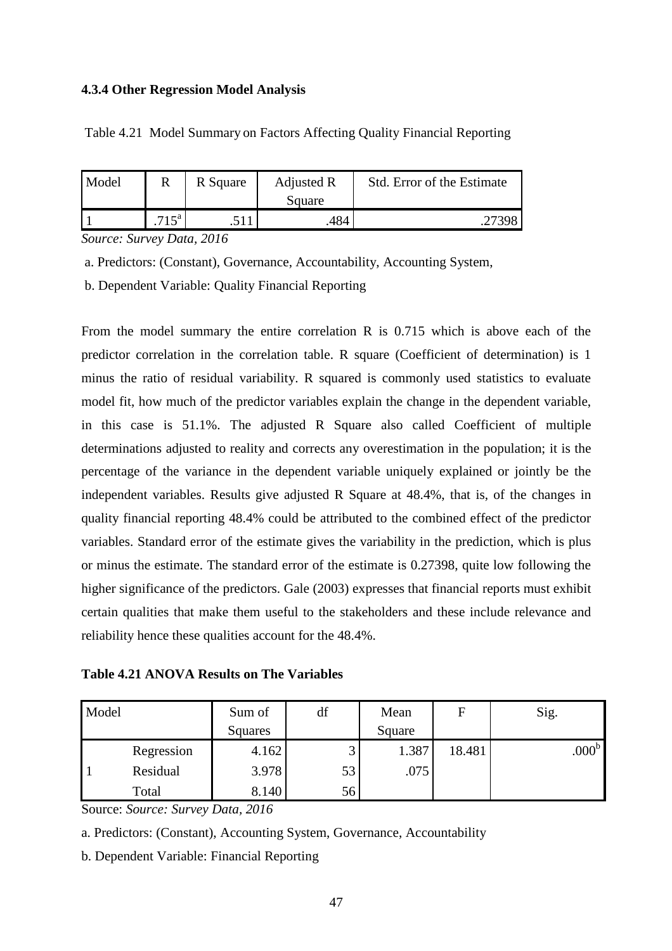## **4.3.4 Other Regression Model Analysis**

| Table 4.21 Model Summary on Factors Affecting Quality Financial Reporting |  |  |
|---------------------------------------------------------------------------|--|--|
|                                                                           |  |  |

| Model |         | R Square | Adjusted R<br>Square | Std. Error of the Estimate |
|-------|---------|----------|----------------------|----------------------------|
|       | $715^a$ |          | 484                  | 27398                      |

*Source: Survey Data, 2016* 

a. Predictors: (Constant), Governance, Accountability, Accounting System,

b. Dependent Variable: Quality Financial Reporting

From the model summary the entire correlation R is 0.715 which is above each of the predictor correlation in the correlation table. R square (Coefficient of determination) is 1 minus the ratio of residual variability. R squared is commonly used statistics to evaluate model fit, how much of the predictor variables explain the change in the dependent variable, in this case is 51.1%. The adjusted R Square also called Coefficient of multiple determinations adjusted to reality and corrects any overestimation in the population; it is the percentage of the variance in the dependent variable uniquely explained or jointly be the independent variables. Results give adjusted R Square at 48.4%, that is, of the changes in quality financial reporting 48.4% could be attributed to the combined effect of the predictor variables. Standard error of the estimate gives the variability in the prediction, which is plus or minus the estimate. The standard error of the estimate is 0.27398, quite low following the higher significance of the predictors. Gale (2003) expresses that financial reports must exhibit certain qualities that make them useful to the stakeholders and these include relevance and reliability hence these qualities account for the 48.4%.

**Table 4.21 ANOVA Results on The Variables** 

| Model |            | Sum of<br>Squares | df              | Mean<br>Square | F      | Sig.              |
|-------|------------|-------------------|-----------------|----------------|--------|-------------------|
|       | Regression | 4.162             | $\sqrt{2}$<br>ت | 1.387          | 18.481 | .000 <sup>b</sup> |
|       | Residual   | 3.978             | 53              | .075           |        |                   |
|       | Total      | 8.140             | 56              |                |        |                   |

Source: *Source: Survey Data, 2016* 

a. Predictors: (Constant), Accounting System, Governance, Accountability

b. Dependent Variable: Financial Reporting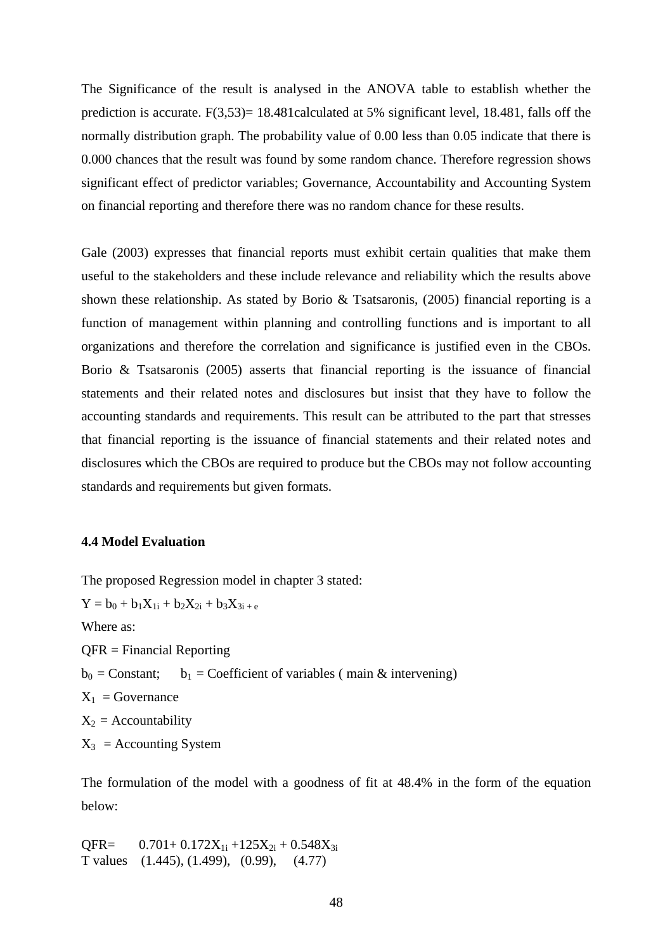The Significance of the result is analysed in the ANOVA table to establish whether the prediction is accurate.  $F(3,53)= 18.481$ calculated at 5% significant level, 18.481, falls off the normally distribution graph. The probability value of 0.00 less than 0.05 indicate that there is 0.000 chances that the result was found by some random chance. Therefore regression shows significant effect of predictor variables; Governance, Accountability and Accounting System on financial reporting and therefore there was no random chance for these results.

Gale (2003) expresses that financial reports must exhibit certain qualities that make them useful to the stakeholders and these include relevance and reliability which the results above shown these relationship. As stated by Borio & Tsatsaronis, (2005) financial reporting is a function of management within planning and controlling functions and is important to all organizations and therefore the correlation and significance is justified even in the CBOs. Borio & Tsatsaronis (2005) asserts that financial reporting is the issuance of financial statements and their related notes and disclosures but insist that they have to follow the accounting standards and requirements. This result can be attributed to the part that stresses that financial reporting is the issuance of financial statements and their related notes and disclosures which the CBOs are required to produce but the CBOs may not follow accounting standards and requirements but given formats.

## **4.4 Model Evaluation**

The proposed Regression model in chapter 3 stated:

 $Y = b_0 + b_1 X_{1i} + b_2 X_{2i} + b_3 X_{3i} + e$ Where as: QFR = Financial Reporting  $b_0$  = Constant; b<sub>1</sub> = Coefficient of variables (main & intervening)  $X_1$  = Governance  $X_2$  = Accountability  $X_3$  = Accounting System

The formulation of the model with a goodness of fit at 48.4% in the form of the equation below:

 $QFR = 0.701 + 0.172X_{1i} + 125X_{2i} + 0.548X_{3i}$ T values (1.445), (1.499), (0.99), (4.77)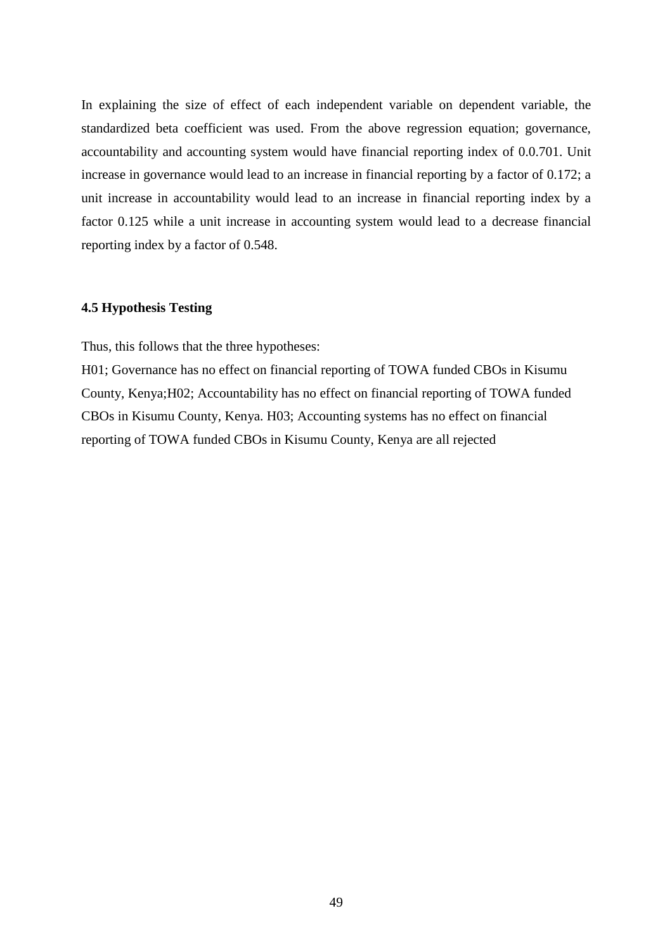In explaining the size of effect of each independent variable on dependent variable, the standardized beta coefficient was used. From the above regression equation; governance, accountability and accounting system would have financial reporting index of 0.0.701. Unit increase in governance would lead to an increase in financial reporting by a factor of 0.172; a unit increase in accountability would lead to an increase in financial reporting index by a factor 0.125 while a unit increase in accounting system would lead to a decrease financial reporting index by a factor of 0.548.

## **4.5 Hypothesis Testing**

Thus, this follows that the three hypotheses:

H01; Governance has no effect on financial reporting of TOWA funded CBOs in Kisumu County, Kenya;H02; Accountability has no effect on financial reporting of TOWA funded CBOs in Kisumu County, Kenya. H03; Accounting systems has no effect on financial reporting of TOWA funded CBOs in Kisumu County, Kenya are all rejected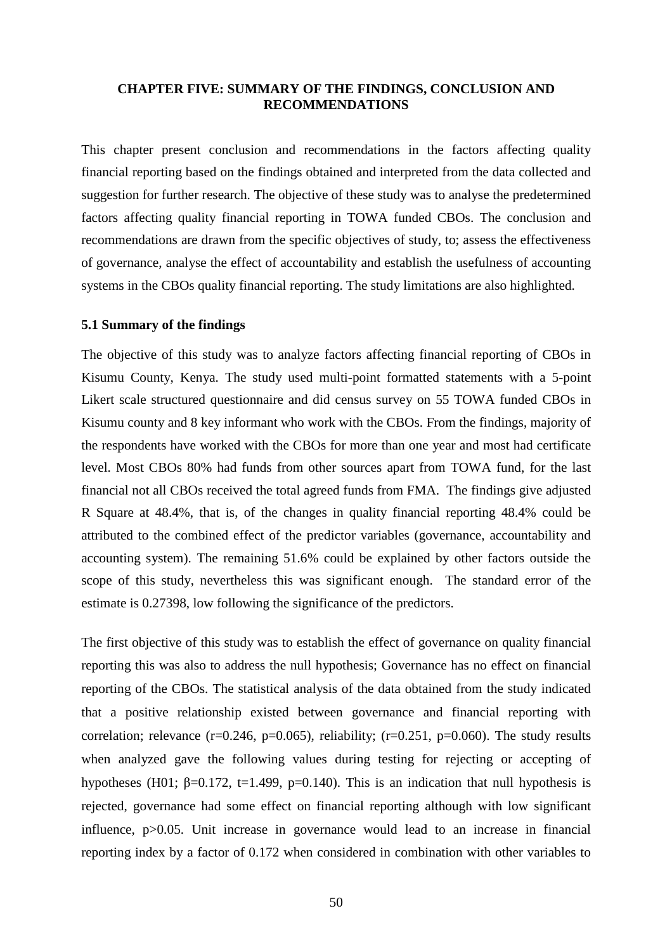### **CHAPTER FIVE: SUMMARY OF THE FINDINGS, CONCLUSION AND RECOMMENDATIONS**

This chapter present conclusion and recommendations in the factors affecting quality financial reporting based on the findings obtained and interpreted from the data collected and suggestion for further research. The objective of these study was to analyse the predetermined factors affecting quality financial reporting in TOWA funded CBOs. The conclusion and recommendations are drawn from the specific objectives of study, to; assess the effectiveness of governance, analyse the effect of accountability and establish the usefulness of accounting systems in the CBOs quality financial reporting. The study limitations are also highlighted.

## **5.1 Summary of the findings**

The objective of this study was to analyze factors affecting financial reporting of CBOs in Kisumu County, Kenya. The study used multi-point formatted statements with a 5-point Likert scale structured questionnaire and did census survey on 55 TOWA funded CBOs in Kisumu county and 8 key informant who work with the CBOs. From the findings, majority of the respondents have worked with the CBOs for more than one year and most had certificate level. Most CBOs 80% had funds from other sources apart from TOWA fund, for the last financial not all CBOs received the total agreed funds from FMA. The findings give adjusted R Square at 48.4%, that is, of the changes in quality financial reporting 48.4% could be attributed to the combined effect of the predictor variables (governance, accountability and accounting system). The remaining 51.6% could be explained by other factors outside the scope of this study, nevertheless this was significant enough. The standard error of the estimate is 0.27398, low following the significance of the predictors.

The first objective of this study was to establish the effect of governance on quality financial reporting this was also to address the null hypothesis; Governance has no effect on financial reporting of the CBOs. The statistical analysis of the data obtained from the study indicated that a positive relationship existed between governance and financial reporting with correlation; relevance  $(r=0.246, p=0.065)$ , reliability;  $(r=0.251, p=0.060)$ . The study results when analyzed gave the following values during testing for rejecting or accepting of hypotheses (H01;  $\beta$ =0.172, t=1.499, p=0.140). This is an indication that null hypothesis is rejected, governance had some effect on financial reporting although with low significant influence, p>0.05. Unit increase in governance would lead to an increase in financial reporting index by a factor of 0.172 when considered in combination with other variables to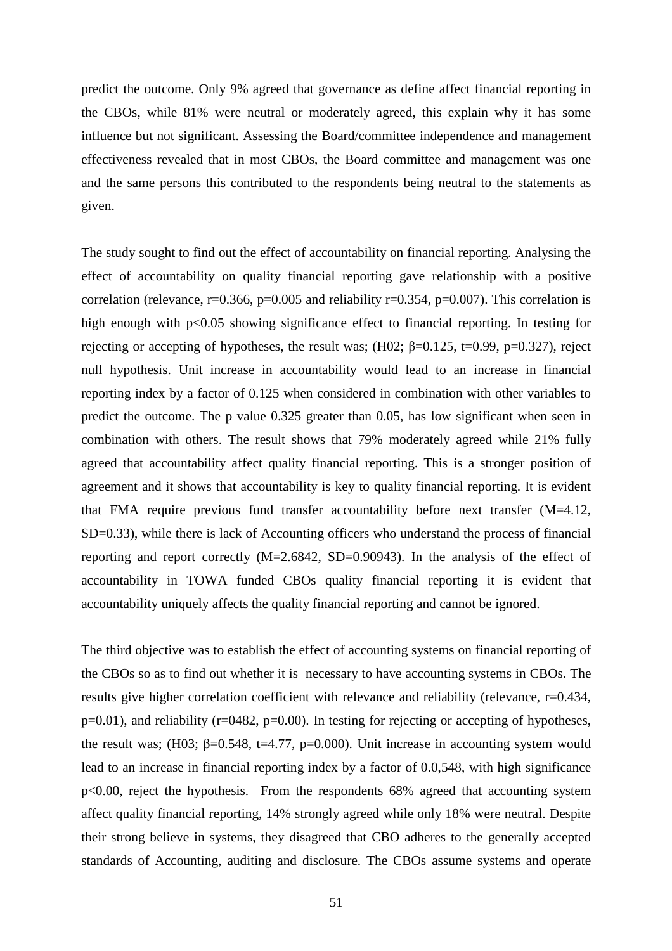predict the outcome. Only 9% agreed that governance as define affect financial reporting in the CBOs, while 81% were neutral or moderately agreed, this explain why it has some influence but not significant. Assessing the Board/committee independence and management effectiveness revealed that in most CBOs, the Board committee and management was one and the same persons this contributed to the respondents being neutral to the statements as given.

The study sought to find out the effect of accountability on financial reporting. Analysing the effect of accountability on quality financial reporting gave relationship with a positive correlation (relevance,  $r=0.366$ ,  $p=0.005$  and reliability  $r=0.354$ ,  $p=0.007$ ). This correlation is high enough with p<0.05 showing significance effect to financial reporting. In testing for rejecting or accepting of hypotheses, the result was;  $(H02; \beta=0.125, t=0.99, p=0.327)$ , reject null hypothesis. Unit increase in accountability would lead to an increase in financial reporting index by a factor of 0.125 when considered in combination with other variables to predict the outcome. The p value 0.325 greater than 0.05, has low significant when seen in combination with others. The result shows that 79% moderately agreed while 21% fully agreed that accountability affect quality financial reporting. This is a stronger position of agreement and it shows that accountability is key to quality financial reporting. It is evident that FMA require previous fund transfer accountability before next transfer (M=4.12, SD=0.33), while there is lack of Accounting officers who understand the process of financial reporting and report correctly (M=2.6842, SD=0.90943). In the analysis of the effect of accountability in TOWA funded CBOs quality financial reporting it is evident that accountability uniquely affects the quality financial reporting and cannot be ignored.

The third objective was to establish the effect of accounting systems on financial reporting of the CBOs so as to find out whether it is necessary to have accounting systems in CBOs. The results give higher correlation coefficient with relevance and reliability (relevance, r=0.434, p=0.01), and reliability (r=0482, p=0.00). In testing for rejecting or accepting of hypotheses, the result was; (H03;  $\beta$ =0.548, t=4.77, p=0.000). Unit increase in accounting system would lead to an increase in financial reporting index by a factor of 0.0,548, with high significance p<0.00, reject the hypothesis. From the respondents 68% agreed that accounting system affect quality financial reporting, 14% strongly agreed while only 18% were neutral. Despite their strong believe in systems, they disagreed that CBO adheres to the generally accepted standards of Accounting, auditing and disclosure. The CBOs assume systems and operate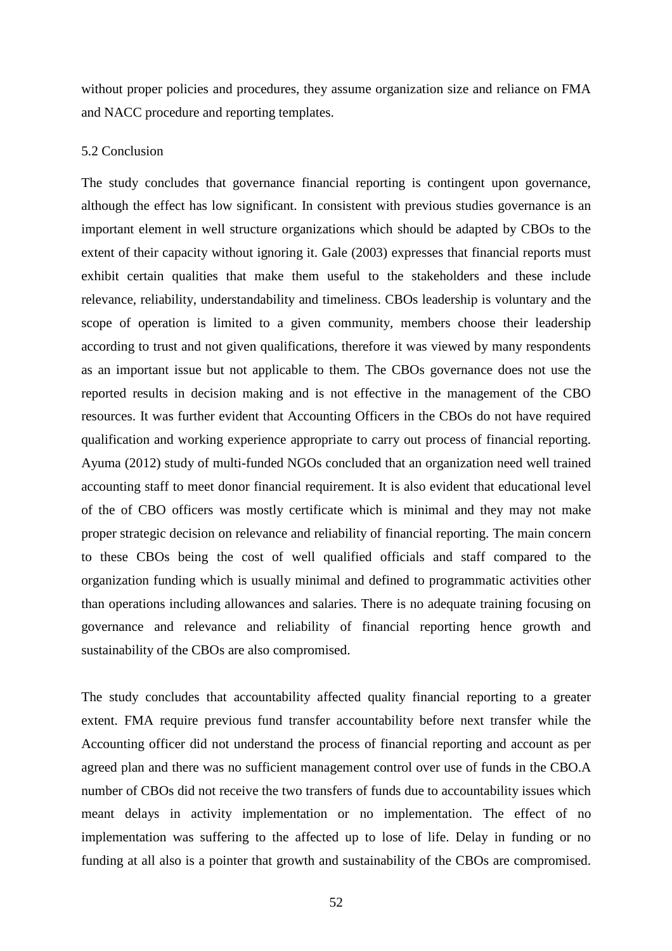without proper policies and procedures, they assume organization size and reliance on FMA and NACC procedure and reporting templates.

#### 5.2 Conclusion

The study concludes that governance financial reporting is contingent upon governance, although the effect has low significant. In consistent with previous studies governance is an important element in well structure organizations which should be adapted by CBOs to the extent of their capacity without ignoring it. Gale (2003) expresses that financial reports must exhibit certain qualities that make them useful to the stakeholders and these include relevance, reliability, understandability and timeliness. CBOs leadership is voluntary and the scope of operation is limited to a given community, members choose their leadership according to trust and not given qualifications, therefore it was viewed by many respondents as an important issue but not applicable to them. The CBOs governance does not use the reported results in decision making and is not effective in the management of the CBO resources. It was further evident that Accounting Officers in the CBOs do not have required qualification and working experience appropriate to carry out process of financial reporting. Ayuma (2012) study of multi-funded NGOs concluded that an organization need well trained accounting staff to meet donor financial requirement. It is also evident that educational level of the of CBO officers was mostly certificate which is minimal and they may not make proper strategic decision on relevance and reliability of financial reporting. The main concern to these CBOs being the cost of well qualified officials and staff compared to the organization funding which is usually minimal and defined to programmatic activities other than operations including allowances and salaries. There is no adequate training focusing on governance and relevance and reliability of financial reporting hence growth and sustainability of the CBOs are also compromised.

The study concludes that accountability affected quality financial reporting to a greater extent. FMA require previous fund transfer accountability before next transfer while the Accounting officer did not understand the process of financial reporting and account as per agreed plan and there was no sufficient management control over use of funds in the CBO.A number of CBOs did not receive the two transfers of funds due to accountability issues which meant delays in activity implementation or no implementation. The effect of no implementation was suffering to the affected up to lose of life. Delay in funding or no funding at all also is a pointer that growth and sustainability of the CBOs are compromised.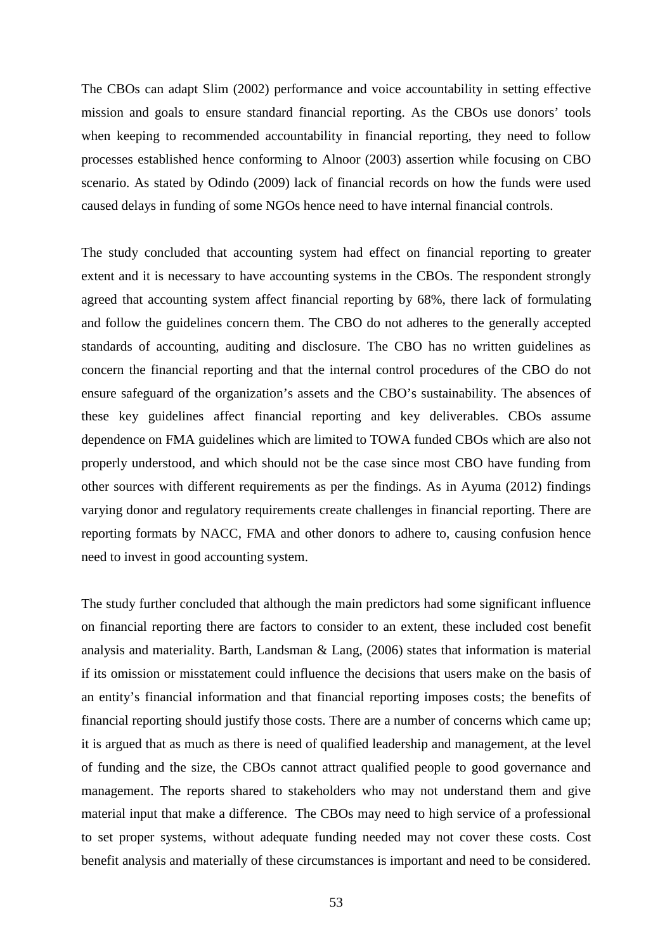The CBOs can adapt Slim (2002) performance and voice accountability in setting effective mission and goals to ensure standard financial reporting. As the CBOs use donors' tools when keeping to recommended accountability in financial reporting, they need to follow processes established hence conforming to Alnoor (2003) assertion while focusing on CBO scenario. As stated by Odindo (2009) lack of financial records on how the funds were used caused delays in funding of some NGOs hence need to have internal financial controls.

The study concluded that accounting system had effect on financial reporting to greater extent and it is necessary to have accounting systems in the CBOs. The respondent strongly agreed that accounting system affect financial reporting by 68%, there lack of formulating and follow the guidelines concern them. The CBO do not adheres to the generally accepted standards of accounting, auditing and disclosure. The CBO has no written guidelines as concern the financial reporting and that the internal control procedures of the CBO do not ensure safeguard of the organization's assets and the CBO's sustainability. The absences of these key guidelines affect financial reporting and key deliverables. CBOs assume dependence on FMA guidelines which are limited to TOWA funded CBOs which are also not properly understood, and which should not be the case since most CBO have funding from other sources with different requirements as per the findings. As in Ayuma (2012) findings varying donor and regulatory requirements create challenges in financial reporting. There are reporting formats by NACC, FMA and other donors to adhere to, causing confusion hence need to invest in good accounting system.

The study further concluded that although the main predictors had some significant influence on financial reporting there are factors to consider to an extent, these included cost benefit analysis and materiality. Barth, Landsman & Lang, (2006) states that information is material if its omission or misstatement could influence the decisions that users make on the basis of an entity's financial information and that financial reporting imposes costs; the benefits of financial reporting should justify those costs. There are a number of concerns which came up; it is argued that as much as there is need of qualified leadership and management, at the level of funding and the size, the CBOs cannot attract qualified people to good governance and management. The reports shared to stakeholders who may not understand them and give material input that make a difference. The CBOs may need to high service of a professional to set proper systems, without adequate funding needed may not cover these costs. Cost benefit analysis and materially of these circumstances is important and need to be considered.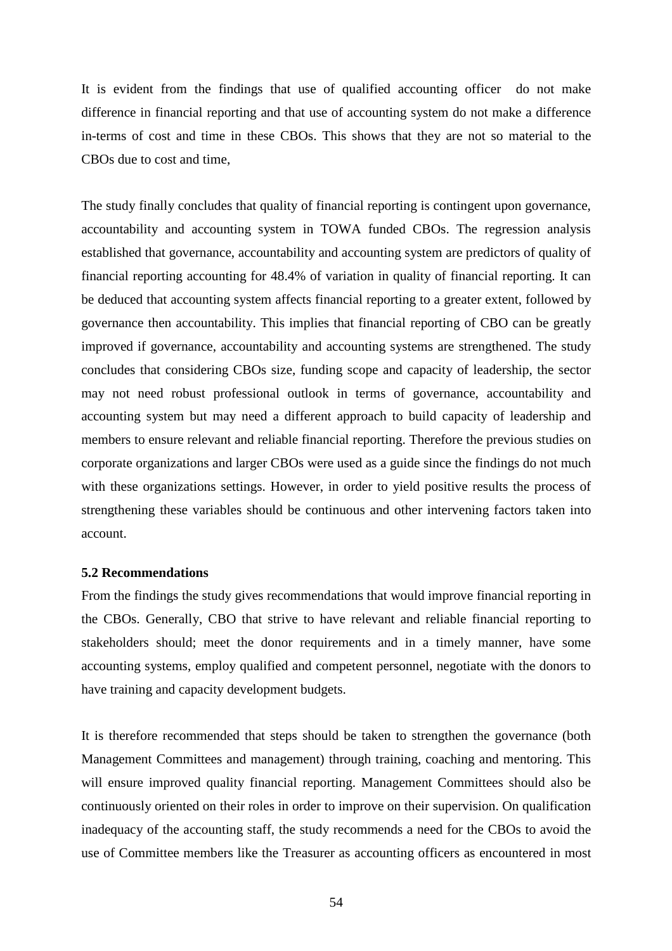It is evident from the findings that use of qualified accounting officer do not make difference in financial reporting and that use of accounting system do not make a difference in-terms of cost and time in these CBOs. This shows that they are not so material to the CBOs due to cost and time,

The study finally concludes that quality of financial reporting is contingent upon governance, accountability and accounting system in TOWA funded CBOs. The regression analysis established that governance, accountability and accounting system are predictors of quality of financial reporting accounting for 48.4% of variation in quality of financial reporting. It can be deduced that accounting system affects financial reporting to a greater extent, followed by governance then accountability. This implies that financial reporting of CBO can be greatly improved if governance, accountability and accounting systems are strengthened. The study concludes that considering CBOs size, funding scope and capacity of leadership, the sector may not need robust professional outlook in terms of governance, accountability and accounting system but may need a different approach to build capacity of leadership and members to ensure relevant and reliable financial reporting. Therefore the previous studies on corporate organizations and larger CBOs were used as a guide since the findings do not much with these organizations settings. However, in order to yield positive results the process of strengthening these variables should be continuous and other intervening factors taken into account.

### **5.2 Recommendations**

From the findings the study gives recommendations that would improve financial reporting in the CBOs. Generally, CBO that strive to have relevant and reliable financial reporting to stakeholders should; meet the donor requirements and in a timely manner, have some accounting systems, employ qualified and competent personnel, negotiate with the donors to have training and capacity development budgets.

It is therefore recommended that steps should be taken to strengthen the governance (both Management Committees and management) through training, coaching and mentoring. This will ensure improved quality financial reporting. Management Committees should also be continuously oriented on their roles in order to improve on their supervision. On qualification inadequacy of the accounting staff, the study recommends a need for the CBOs to avoid the use of Committee members like the Treasurer as accounting officers as encountered in most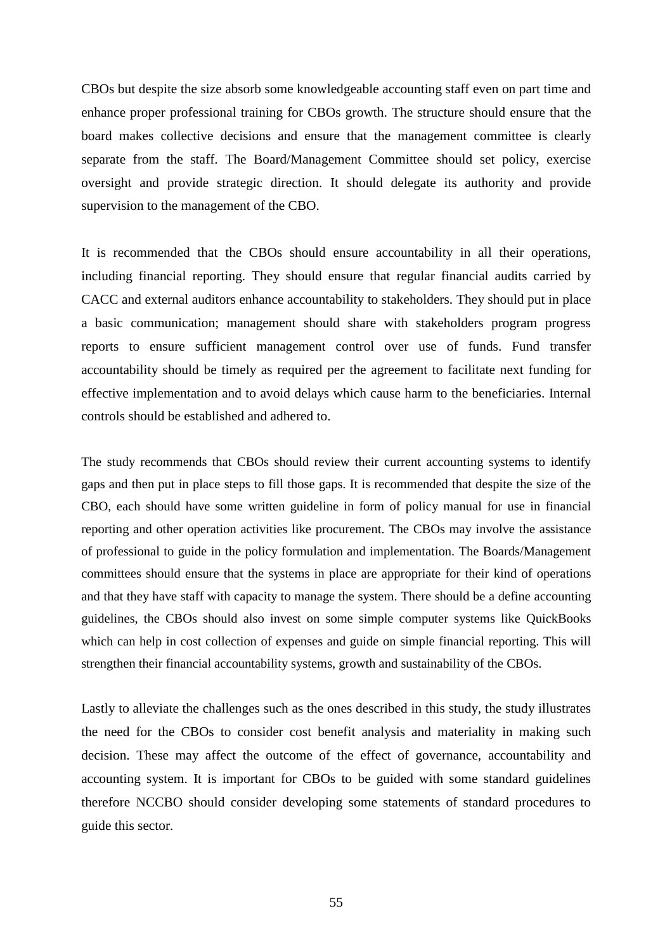CBOs but despite the size absorb some knowledgeable accounting staff even on part time and enhance proper professional training for CBOs growth. The structure should ensure that the board makes collective decisions and ensure that the management committee is clearly separate from the staff. The Board/Management Committee should set policy, exercise oversight and provide strategic direction. It should delegate its authority and provide supervision to the management of the CBO.

It is recommended that the CBOs should ensure accountability in all their operations, including financial reporting. They should ensure that regular financial audits carried by CACC and external auditors enhance accountability to stakeholders. They should put in place a basic communication; management should share with stakeholders program progress reports to ensure sufficient management control over use of funds. Fund transfer accountability should be timely as required per the agreement to facilitate next funding for effective implementation and to avoid delays which cause harm to the beneficiaries. Internal controls should be established and adhered to.

The study recommends that CBOs should review their current accounting systems to identify gaps and then put in place steps to fill those gaps. It is recommended that despite the size of the CBO, each should have some written guideline in form of policy manual for use in financial reporting and other operation activities like procurement. The CBOs may involve the assistance of professional to guide in the policy formulation and implementation. The Boards/Management committees should ensure that the systems in place are appropriate for their kind of operations and that they have staff with capacity to manage the system. There should be a define accounting guidelines, the CBOs should also invest on some simple computer systems like QuickBooks which can help in cost collection of expenses and guide on simple financial reporting. This will strengthen their financial accountability systems, growth and sustainability of the CBOs.

Lastly to alleviate the challenges such as the ones described in this study, the study illustrates the need for the CBOs to consider cost benefit analysis and materiality in making such decision. These may affect the outcome of the effect of governance, accountability and accounting system. It is important for CBOs to be guided with some standard guidelines therefore NCCBO should consider developing some statements of standard procedures to guide this sector.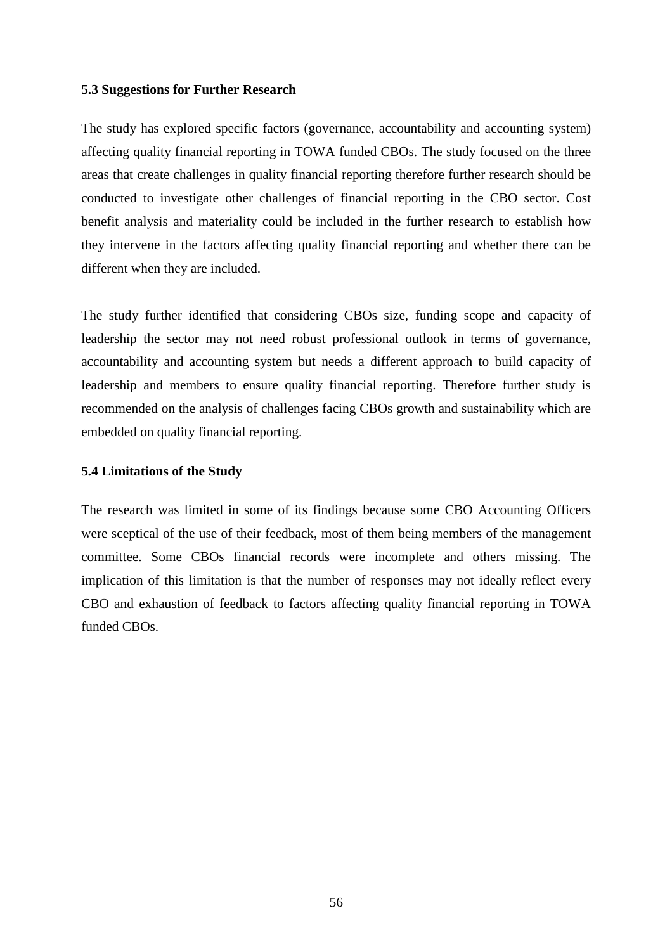### **5.3 Suggestions for Further Research**

The study has explored specific factors (governance, accountability and accounting system) affecting quality financial reporting in TOWA funded CBOs. The study focused on the three areas that create challenges in quality financial reporting therefore further research should be conducted to investigate other challenges of financial reporting in the CBO sector. Cost benefit analysis and materiality could be included in the further research to establish how they intervene in the factors affecting quality financial reporting and whether there can be different when they are included.

The study further identified that considering CBOs size, funding scope and capacity of leadership the sector may not need robust professional outlook in terms of governance, accountability and accounting system but needs a different approach to build capacity of leadership and members to ensure quality financial reporting. Therefore further study is recommended on the analysis of challenges facing CBOs growth and sustainability which are embedded on quality financial reporting.

## **5.4 Limitations of the Study**

The research was limited in some of its findings because some CBO Accounting Officers were sceptical of the use of their feedback, most of them being members of the management committee. Some CBOs financial records were incomplete and others missing. The implication of this limitation is that the number of responses may not ideally reflect every CBO and exhaustion of feedback to factors affecting quality financial reporting in TOWA funded CBOs.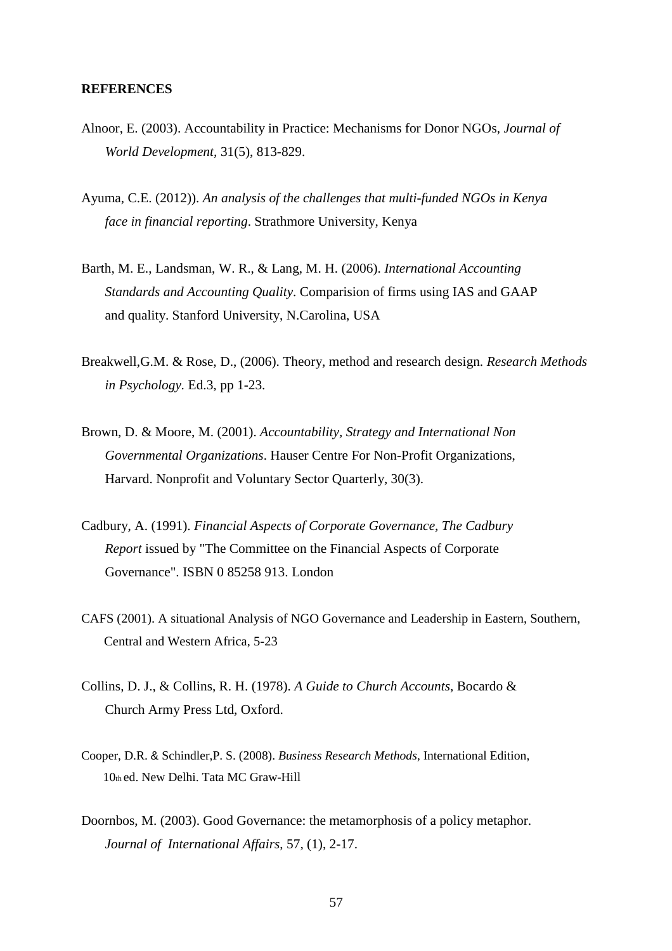#### **REFERENCES**

- Alnoor, E. (2003). Accountability in Practice: Mechanisms for Donor NGOs*, Journal of World Development,* 31(5), 813-829.
- Ayuma, C.E. (2012)). *An analysis of the challenges that multi-funded NGOs in Kenya face in financial reporting*. Strathmore University, Kenya
- Barth, M. E., Landsman, W. R., & Lang, M. H. (2006). *International Accounting Standards and Accounting Quality*. Comparision of firms using IAS and GAAP and quality. Stanford University, N.Carolina, USA
- Breakwell,G.M. & Rose, D., (2006). Theory, method and research design. *Research Methods in Psychology.* Ed.3, pp 1-23.
- Brown, D. & Moore, M. (2001). *Accountability, Strategy and International Non Governmental Organizations*. Hauser Centre For Non-Profit Organizations, Harvard. Nonprofit and Voluntary Sector Quarterly, 30(3).
- Cadbury, A. (1991). *Financial Aspects of Corporate Governance, The Cadbury Report* issued by "The Committee on the Financial Aspects of Corporate Governance". ISBN 0 85258 913. London
- CAFS (2001). A situational Analysis of NGO Governance and Leadership in Eastern, Southern, Central and Western Africa, 5-23
- Collins, D. J., & Collins, R. H. (1978). *A Guide to Church Accounts*, Bocardo & Church Army Press Ltd, Oxford.
- Cooper, D.R. & Schindler,P. S. (2008). *Business Research Methods,* International Edition, 10th ed. New Delhi. Tata MC Graw-Hill
- Doornbos, M. (2003). Good Governance: the metamorphosis of a policy metaphor. *Journal of International Affairs*, 57, (1), 2-17.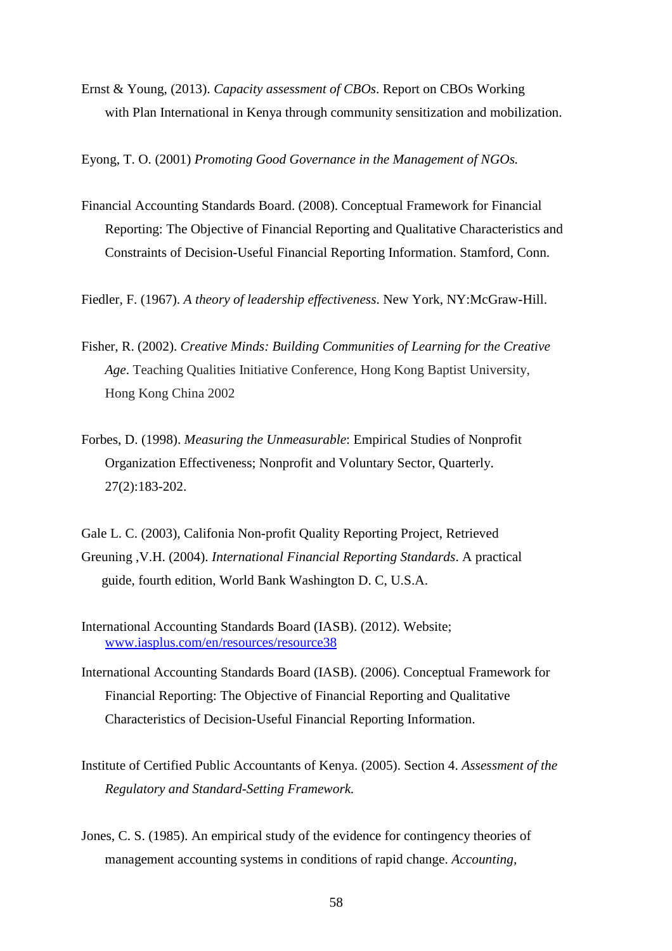Ernst & Young, (2013). *Capacity assessment of CBOs*. Report on CBOs Working with Plan International in Kenya through community sensitization and mobilization.

Eyong, T. O. (2001) *Promoting Good Governance in the Management of NGOs.* 

Financial Accounting Standards Board. (2008). Conceptual Framework for Financial Reporting: The Objective of Financial Reporting and Qualitative Characteristics and Constraints of Decision-Useful Financial Reporting Information. Stamford, Conn.

Fiedler, F. (1967). *A theory of leadership effectiveness*. New York, NY:McGraw-Hill.

- Fisher, R. (2002). *Creative Minds: Building Communities of Learning for the Creative Age*. Teaching Qualities Initiative Conference, Hong Kong Baptist University, Hong Kong China 2002
- Forbes, D. (1998). *Measuring the Unmeasurable*: Empirical Studies of Nonprofit Organization Effectiveness; Nonprofit and Voluntary Sector, Quarterly. 27(2):183-202.
- Gale L. C. (2003), Califonia Non-profit Quality Reporting Project, Retrieved Greuning ,V.H. (2004). *International Financial Reporting Standards*. A practical guide, fourth edition, World Bank Washington D. C, U.S.A.
- International Accounting Standards Board (IASB). (2012). Website; www.iasplus.com/en/resources/resource38
- International Accounting Standards Board (IASB). (2006). Conceptual Framework for Financial Reporting: The Objective of Financial Reporting and Qualitative Characteristics of Decision-Useful Financial Reporting Information.
- Institute of Certified Public Accountants of Kenya. (2005). Section 4. *Assessment of the Regulatory and Standard-Setting Framework.*
- Jones, C. S. (1985). An empirical study of the evidence for contingency theories of management accounting systems in conditions of rapid change. *Accounting,*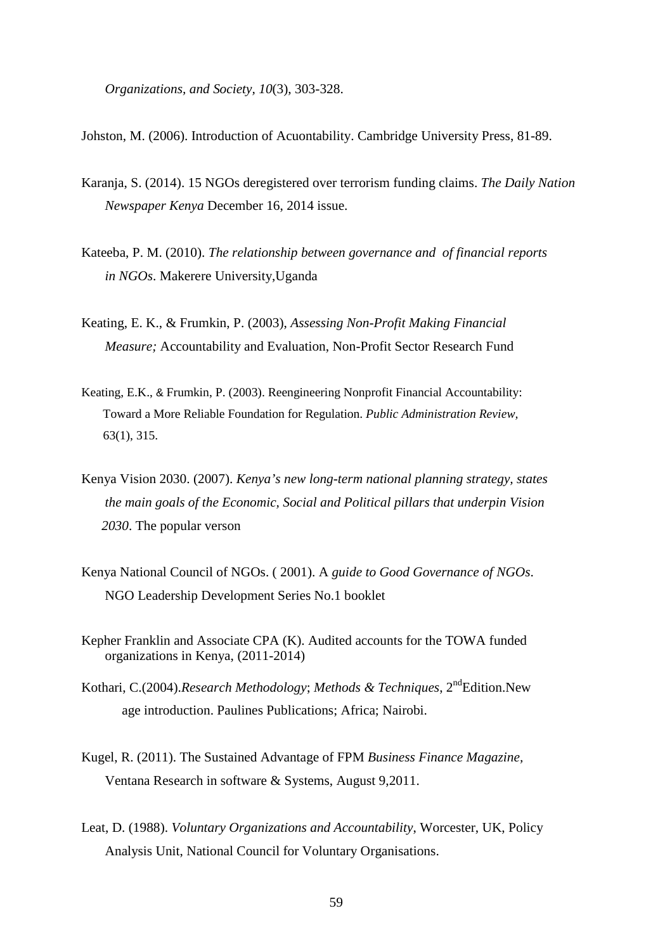*Organizations, and Society, 10*(3), 303-328.

Johston, M. (2006). Introduction of Acuontability. Cambridge University Press, 81-89.

- Karanja, S. (2014). 15 NGOs deregistered over terrorism funding claims. *The Daily Nation Newspaper Kenya* December 16, 2014 issue.
- Kateeba, P. M. (2010). *The relationship between governance and of financial reports in NGOs*. Makerere University,Uganda
- Keating, E. K., & Frumkin, P. (2003), *Assessing Non-Profit Making Financial Measure;* Accountability and Evaluation, Non-Profit Sector Research Fund
- Keating, E.K., & Frumkin, P. (2003). Reengineering Nonprofit Financial Accountability: Toward a More Reliable Foundation for Regulation. *Public Administration Review,* 63(1), 315.
- Kenya Vision 2030. (2007). *Kenya's new long-term national planning strategy, states the main goals of the Economic, Social and Political pillars that underpin Vision 2030*. The popular verson
- Kenya National Council of NGOs. ( 2001). A *guide to Good Governance of NGOs*. NGO Leadership Development Series No.1 booklet
- Kepher Franklin and Associate CPA (K). Audited accounts for the TOWA funded organizations in Kenya, (2011-2014)
- Kothari, C.(2004).*Research Methodology*; *Methods & Techniques*, 2<sup>nd</sup>Edition.New age introduction. Paulines Publications; Africa; Nairobi.
- Kugel, R. (2011). The Sustained Advantage of FPM *Business Finance Magazine,* Ventana Research in software & Systems, August 9,2011.
- Leat, D. (1988). *Voluntary Organizations and Accountability*, Worcester, UK, Policy Analysis Unit, National Council for Voluntary Organisations.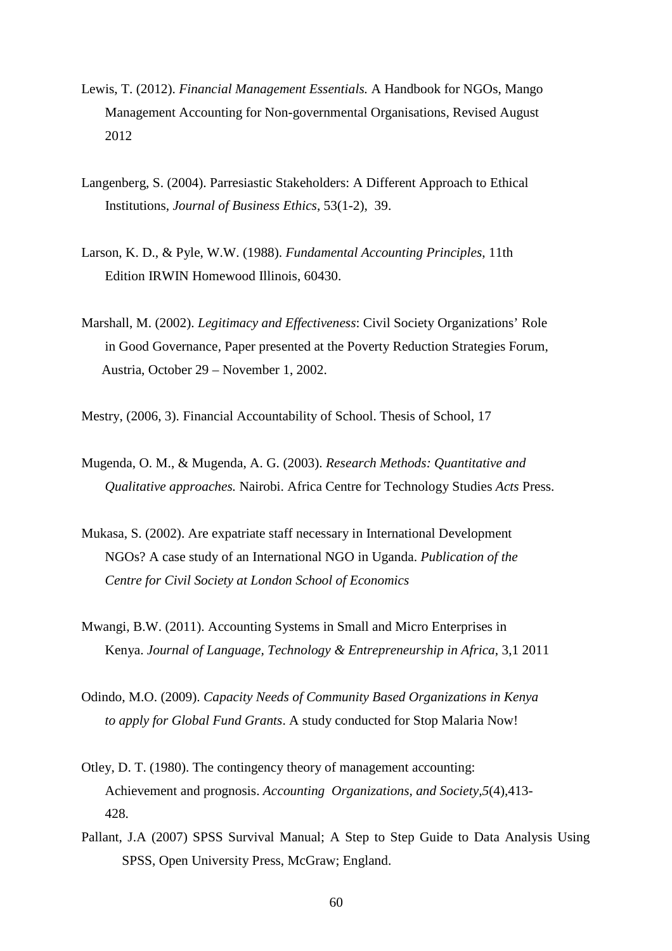- Lewis, T. (2012). *Financial Management Essentials.* A Handbook for NGOs, Mango Management Accounting for Non-governmental Organisations, Revised August 2012
- Langenberg, S. (2004). Parresiastic Stakeholders: A Different Approach to Ethical Institutions, *Journal of Business Ethics*, 53(1-2), 39.
- Larson, K. D., & Pyle, W.W. (1988). *Fundamental Accounting Principles*, 11th Edition IRWIN Homewood Illinois, 60430.
- Marshall, M. (2002). *Legitimacy and Effectiveness*: Civil Society Organizations' Role in Good Governance, Paper presented at the Poverty Reduction Strategies Forum, Austria, October 29 – November 1, 2002.
- Mestry, (2006, 3). Financial Accountability of School. Thesis of School, 17
- Mugenda, O. M., & Mugenda, A. G. (2003). *Research Methods: Quantitative and Qualitative approaches.* Nairobi. Africa Centre for Technology Studies *Acts* Press.
- Mukasa, S. (2002). Are expatriate staff necessary in International Development NGOs? A case study of an International NGO in Uganda. *Publication of the Centre for Civil Society at London School of Economics*
- Mwangi, B.W. (2011). Accounting Systems in Small and Micro Enterprises in Kenya. *Journal of Language, Technology & Entrepreneurship in Africa*, 3,1 2011
- Odindo, M.O. (2009). *Capacity Needs of Community Based Organizations in Kenya to apply for Global Fund Grants*. A study conducted for Stop Malaria Now!
- Otley, D. T. (1980). The contingency theory of management accounting: Achievement and prognosis. *Accounting Organizations, and Society,5*(4),413- 428.
- Pallant, J.A (2007) SPSS Survival Manual; A Step to Step Guide to Data Analysis Using SPSS, Open University Press, McGraw; England.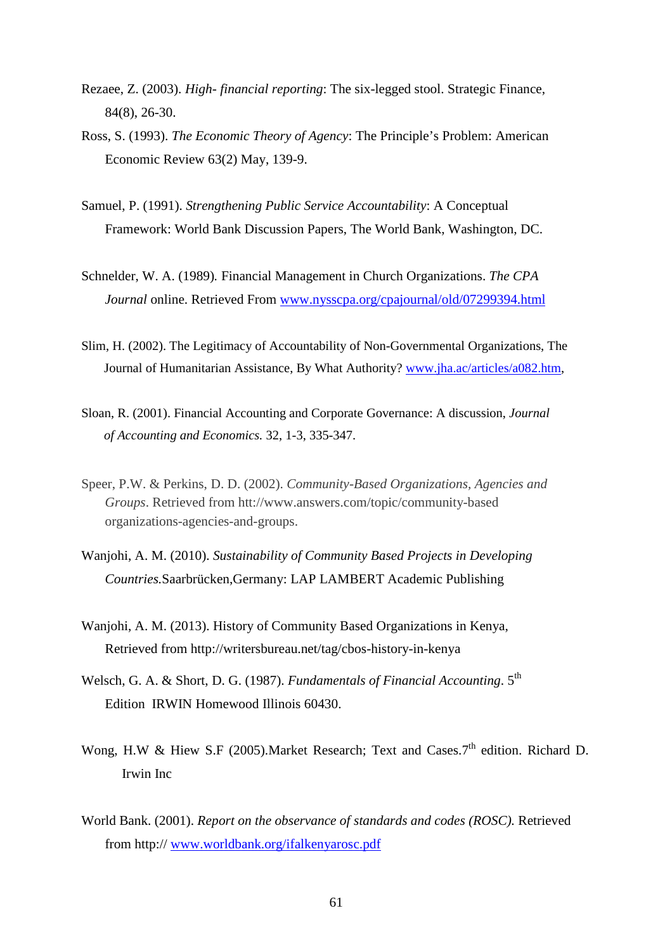- Rezaee, Z. (2003). *High- financial reporting*: The six-legged stool. Strategic Finance, 84(8), 26-30.
- Ross, S. (1993). *The Economic Theory of Agency*: The Principle's Problem: American Economic Review 63(2) May, 139-9.
- Samuel, P. (1991). *Strengthening Public Service Accountability*: A Conceptual Framework: World Bank Discussion Papers, The World Bank, Washington, DC.
- Schnelder, W. A. (1989)*.* Financial Management in Church Organizations. *The CPA Journal* online. Retrieved From www.nysscpa.org/cpajournal/old/07299394.html
- Slim, H. (2002). The Legitimacy of Accountability of Non-Governmental Organizations, The Journal of Humanitarian Assistance, By What Authority? www.jha.ac/articles/a082.htm,
- Sloan, R. (2001). Financial Accounting and Corporate Governance: A discussion, *Journal of Accounting and Economics.* 32, 1-3, 335-347.
- Speer, P.W. & Perkins, D. D. (2002). *Community-Based Organizations, Agencies and Groups*. Retrieved from htt://www.answers.com/topic/community-based organizations-agencies-and-groups.
- Wanjohi, A. M. (2010). *Sustainability of Community Based Projects in Developing Countries.*Saarbrücken,Germany: LAP LAMBERT Academic Publishing
- Wanjohi, A. M. (2013). History of Community Based Organizations in Kenya, Retrieved from http://writersbureau.net/tag/cbos-history-in-kenya
- Welsch, G. A. & Short, D. G. (1987). *Fundamentals of Financial Accounting*. 5th Edition IRWIN Homewood Illinois 60430.
- Wong, H.W & Hiew S.F (2005). Market Research; Text and Cases. 7<sup>th</sup> edition. Richard D. Irwin Inc
- World Bank. (2001). *Report on the observance of standards and codes (ROSC).* Retrieved from http:// www.worldbank.org/ifalkenyarosc.pdf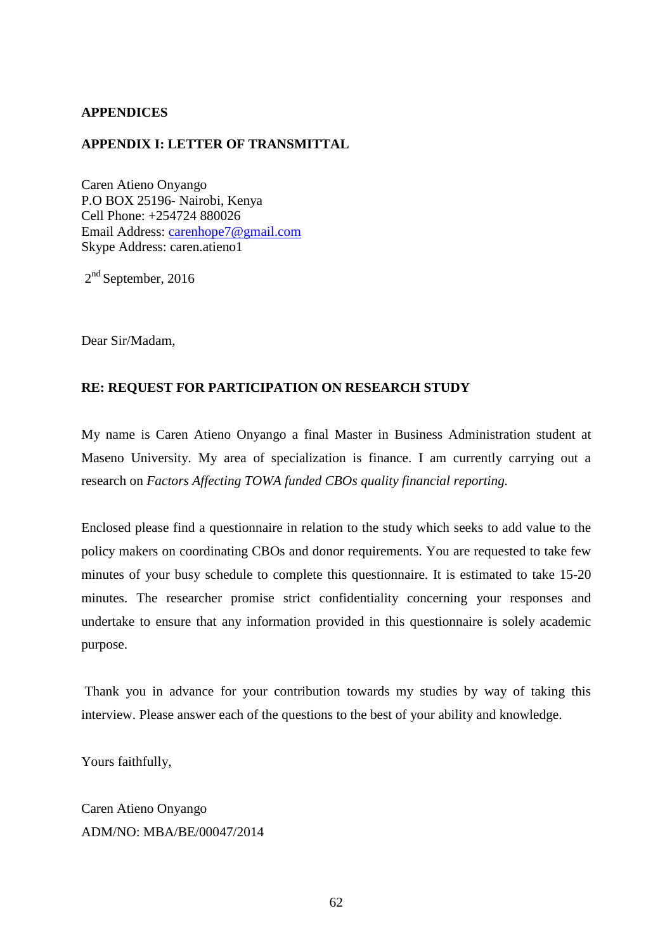### **APPENDICES**

### **APPENDIX I: LETTER OF TRANSMITTAL**

Caren Atieno Onyango P.O BOX 25196- Nairobi, Kenya Cell Phone: +254724 880026 Email Address: carenhope7@gmail.com Skype Address: caren.atieno1

 $2<sup>nd</sup>$  September, 2016

Dear Sir/Madam,

### **RE: REQUEST FOR PARTICIPATION ON RESEARCH STUDY**

My name is Caren Atieno Onyango a final Master in Business Administration student at Maseno University. My area of specialization is finance. I am currently carrying out a research on *Factors Affecting TOWA funded CBOs quality financial reporting.*

Enclosed please find a questionnaire in relation to the study which seeks to add value to the policy makers on coordinating CBOs and donor requirements. You are requested to take few minutes of your busy schedule to complete this questionnaire. It is estimated to take 15-20 minutes. The researcher promise strict confidentiality concerning your responses and undertake to ensure that any information provided in this questionnaire is solely academic purpose.

 Thank you in advance for your contribution towards my studies by way of taking this interview. Please answer each of the questions to the best of your ability and knowledge.

Yours faithfully,

Caren Atieno Onyango ADM/NO: MBA/BE/00047/2014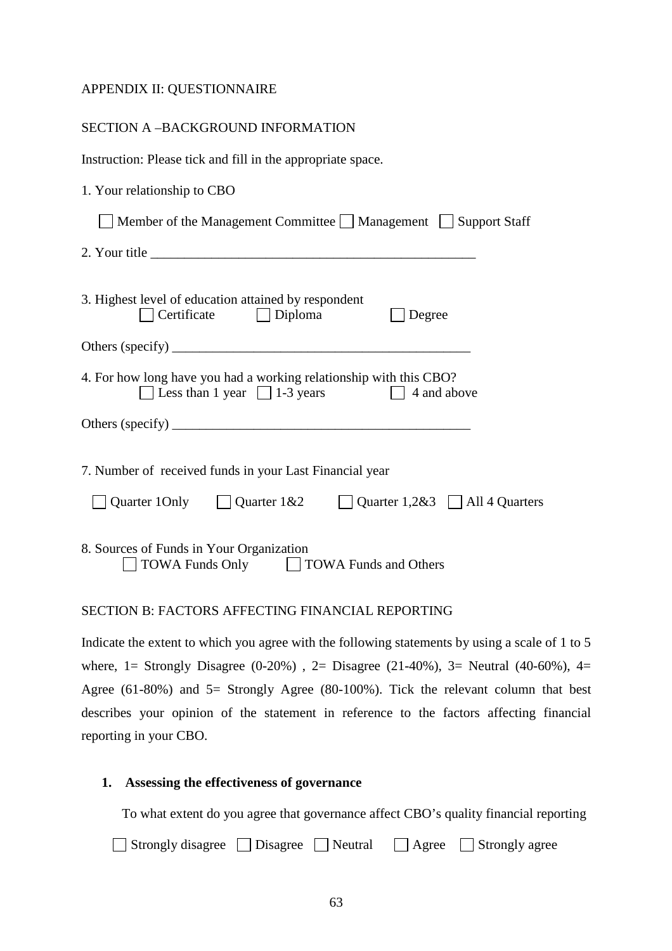#### APPENDIX II: QUESTIONNAIRE

| SECTION A-BACKGROUND INFORMATION                                                                                        |
|-------------------------------------------------------------------------------------------------------------------------|
| Instruction: Please tick and fill in the appropriate space.                                                             |
| 1. Your relationship to CBO                                                                                             |
| Member of the Management Committee Management Support Staff                                                             |
|                                                                                                                         |
| 3. Highest level of education attained by respondent<br>$\Box$ Certificate $\Box$ Diploma<br>Degree                     |
|                                                                                                                         |
| 4. For how long have you had a working relationship with this CBO?<br>□ Less than 1 year □ 1-3 years □ 4 and above      |
|                                                                                                                         |
| 7. Number of received funds in your Last Financial year<br>Quarter 10nly Quarter $1\&2$ Quarter $1,2\&3$ All 4 Quarters |
| 8. Sources of Funds in Your Organization<br><b>TOWA Funds Only</b><br>TOWA Funds and Others<br>ιI                       |

#### SECTION B: FACTORS AFFECTING FINANCIAL REPORTING

Indicate the extent to which you agree with the following statements by using a scale of 1 to 5 where, 1= Strongly Disagree  $(0-20\%)$ , 2= Disagree  $(21-40\%)$ , 3= Neutral  $(40-60\%)$ , 4= Agree (61-80%) and 5= Strongly Agree (80-100%). Tick the relevant column that best describes your opinion of the statement in reference to the factors affecting financial reporting in your CBO.

#### **1. Assessing the effectiveness of governance**

To what extent do you agree that governance affect CBO's quality financial reporting

|  | $\Box$ Strongly disagree $\Box$ Disagree |  | Neutral | $\Box$ Agree | $\Box$ Strongly agree |
|--|------------------------------------------|--|---------|--------------|-----------------------|
|--|------------------------------------------|--|---------|--------------|-----------------------|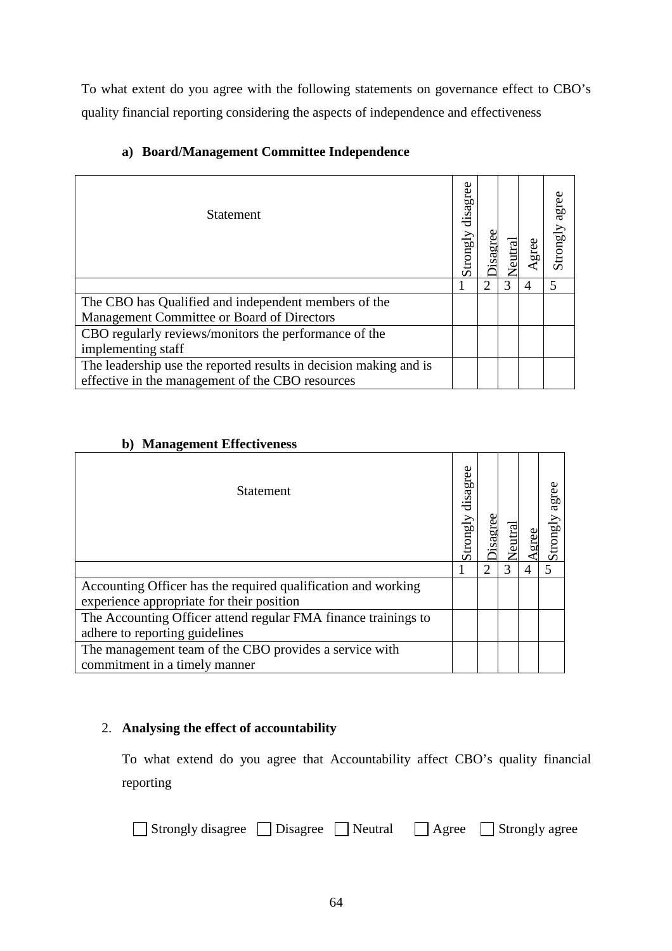To what extent do you agree with the following statements on governance effect to CBO's quality financial reporting considering the aspects of independence and effectiveness

| <b>Statement</b>                                                                                                      | disagree<br>Strongly | eutral | gree           | agree<br>Strongly |
|-----------------------------------------------------------------------------------------------------------------------|----------------------|--------|----------------|-------------------|
|                                                                                                                       |                      | 3      | $\overline{4}$ | 5                 |
| The CBO has Qualified and independent members of the                                                                  |                      |        |                |                   |
| Management Committee or Board of Directors                                                                            |                      |        |                |                   |
| CBO regularly reviews/monitors the performance of the                                                                 |                      |        |                |                   |
| implementing staff                                                                                                    |                      |        |                |                   |
| The leadership use the reported results in decision making and is<br>effective in the management of the CBO resources |                      |        |                |                   |

# **a) Board/Management Committee Independence**

## **b) Management Effectiveness**

| <b>Statement</b>                                               | disagree<br>Strongly |                       |   | agree<br>Κβ |
|----------------------------------------------------------------|----------------------|-----------------------|---|-------------|
|                                                                |                      | $\mathcal{D}_{\cdot}$ | 3 | 5           |
| Accounting Officer has the required qualification and working  |                      |                       |   |             |
| experience appropriate for their position                      |                      |                       |   |             |
| The Accounting Officer attend regular FMA finance trainings to |                      |                       |   |             |
| adhere to reporting guidelines                                 |                      |                       |   |             |
| The management team of the CBO provides a service with         |                      |                       |   |             |
| commitment in a timely manner                                  |                      |                       |   |             |

## 2. **Analysing the effect of accountability**

To what extend do you agree that Accountability affect CBO's quality financial reporting

| $\Box$ Strongly disagree $\Box$ Disagree $\Box$ Neutral |  |  | $\Box$ Agree | Strongly agree |
|---------------------------------------------------------|--|--|--------------|----------------|
|---------------------------------------------------------|--|--|--------------|----------------|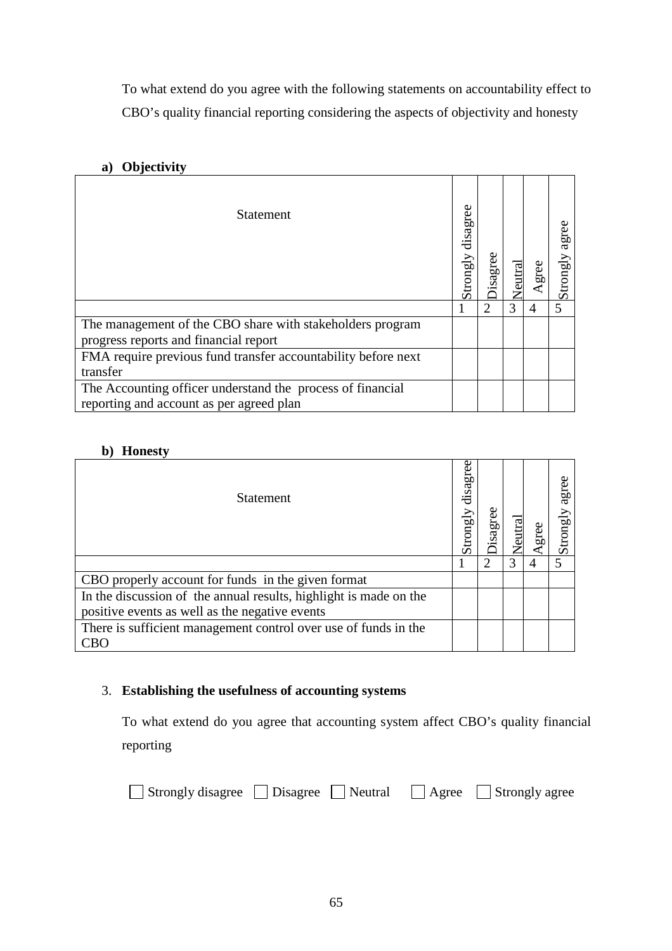To what extend do you agree with the following statements on accountability effect to CBO's quality financial reporting considering the aspects of objectivity and honesty

## **a) Objectivity**

| <b>Statement</b>                                              | disagree<br>Strongly | isagree | entral |   | agree<br>Strongl |
|---------------------------------------------------------------|----------------------|---------|--------|---|------------------|
|                                                               |                      |         | 3      | 4 | 5                |
| The management of the CBO share with stakeholders program     |                      |         |        |   |                  |
| progress reports and financial report                         |                      |         |        |   |                  |
| FMA require previous fund transfer accountability before next |                      |         |        |   |                  |
| transfer                                                      |                      |         |        |   |                  |
| The Accounting officer understand the process of financial    |                      |         |        |   |                  |
| reporting and account as per agreed plan                      |                      |         |        |   |                  |

### **b) Honesty**

| <b>Statement</b>                                                  | disagree<br>Strongly | isagree                     | utral |   | agree<br>$_{\rm gN}$<br>Stron; |
|-------------------------------------------------------------------|----------------------|-----------------------------|-------|---|--------------------------------|
|                                                                   |                      | $\mathcal{D}_{\mathcal{L}}$ | 3     | 4 |                                |
| CBO properly account for funds in the given format                |                      |                             |       |   |                                |
| In the discussion of the annual results, highlight is made on the |                      |                             |       |   |                                |
| positive events as well as the negative events                    |                      |                             |       |   |                                |
| There is sufficient management control over use of funds in the   |                      |                             |       |   |                                |
| CBO                                                               |                      |                             |       |   |                                |

## 3. **Establishing the usefulness of accounting systems**

To what extend do you agree that accounting system affect CBO's quality financial reporting

| □ Strongly disagree □ Disagree □ Neutral □ Agree □ Strongly agree |  |  |  |  |
|-------------------------------------------------------------------|--|--|--|--|
|-------------------------------------------------------------------|--|--|--|--|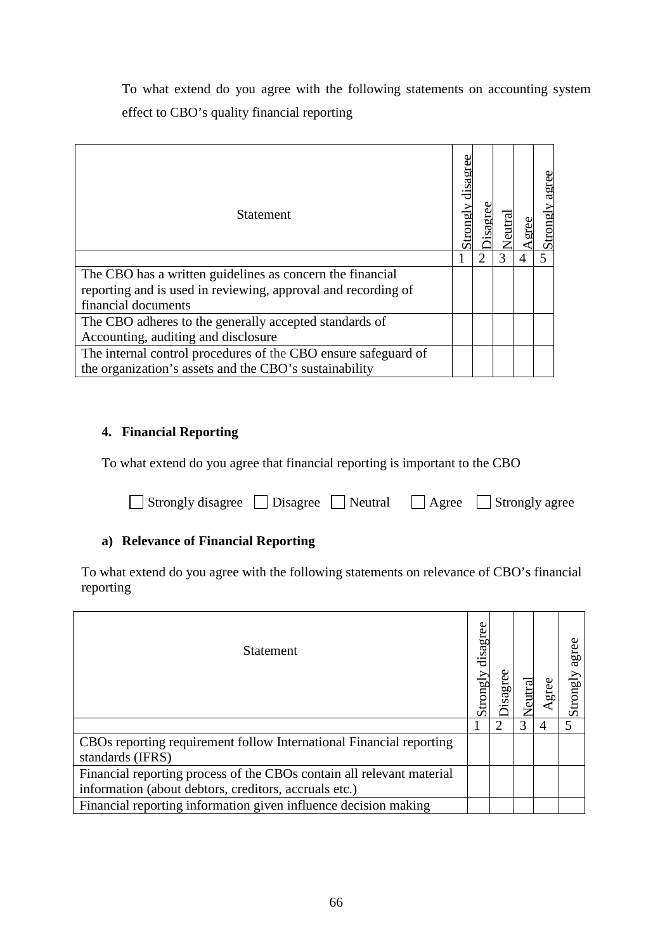To what extend do you agree with the following statements on accounting system effect to CBO's quality financial reporting

| <b>Statement</b>                                               | disagree<br>Strong |   | agree<br>Strongly |
|----------------------------------------------------------------|--------------------|---|-------------------|
|                                                                |                    | 3 | 5                 |
| The CBO has a written guidelines as concern the financial      |                    |   |                   |
| reporting and is used in reviewing, approval and recording of  |                    |   |                   |
| financial documents                                            |                    |   |                   |
| The CBO adheres to the generally accepted standards of         |                    |   |                   |
| Accounting, auditing and disclosure                            |                    |   |                   |
| The internal control procedures of the CBO ensure safeguard of |                    |   |                   |
| the organization's assets and the CBO's sustainability         |                    |   |                   |

## **4. Financial Reporting**

To what extend do you agree that financial reporting is important to the CBO

| □ Strongly disagree □ Disagree □ Neutral □ Agree □ Strongly agree |  |  |  |  |
|-------------------------------------------------------------------|--|--|--|--|
|-------------------------------------------------------------------|--|--|--|--|

# **a) Relevance of Financial Reporting**

To what extend do you agree with the following statements on relevance of CBO's financial reporting

| <b>Statement</b>                                                                        | agree<br><b>Stron</b> |  |   | gree<br>व्य |
|-----------------------------------------------------------------------------------------|-----------------------|--|---|-------------|
|                                                                                         |                       |  | 4 |             |
| CBOs reporting requirement follow International Financial reporting<br>standards (IFRS) |                       |  |   |             |
| Financial reporting process of the CBOs contain all relevant material                   |                       |  |   |             |
| information (about debtors, creditors, accruals etc.)                                   |                       |  |   |             |
| Financial reporting information given influence decision making                         |                       |  |   |             |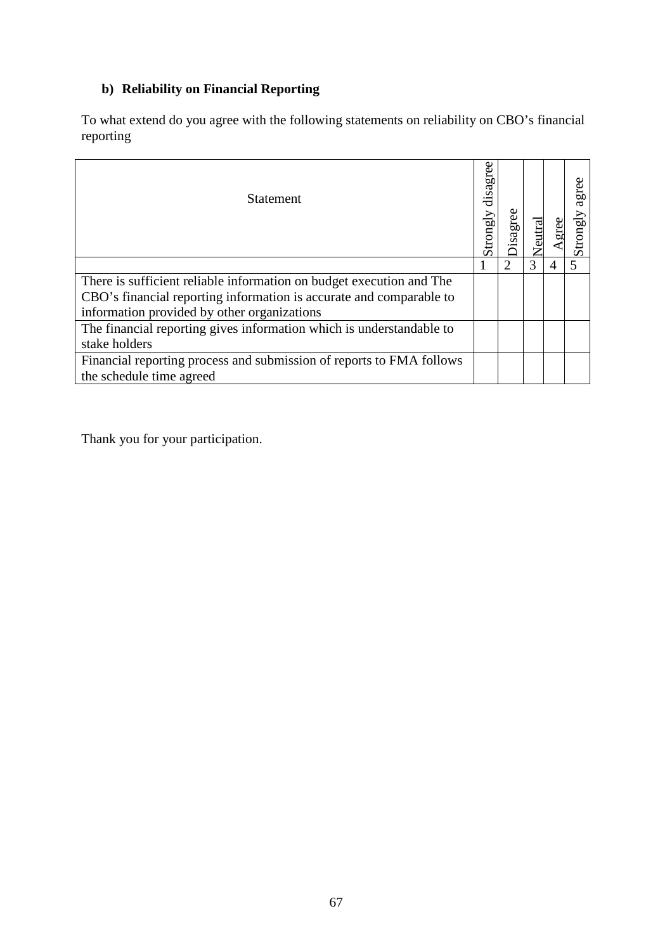# **b) Reliability on Financial Reporting**

To what extend do you agree with the following statements on reliability on CBO's financial reporting

| <b>Statement</b>                                                     | disagree<br>Strongly | gree |   | agree<br>Strongly |
|----------------------------------------------------------------------|----------------------|------|---|-------------------|
|                                                                      |                      |      | 3 |                   |
| There is sufficient reliable information on budget execution and The |                      |      |   |                   |
| CBO's financial reporting information is accurate and comparable to  |                      |      |   |                   |
| information provided by other organizations                          |                      |      |   |                   |
| The financial reporting gives information which is understandable to |                      |      |   |                   |
| stake holders                                                        |                      |      |   |                   |
| Financial reporting process and submission of reports to FMA follows |                      |      |   |                   |
| the schedule time agreed                                             |                      |      |   |                   |

Thank you for your participation.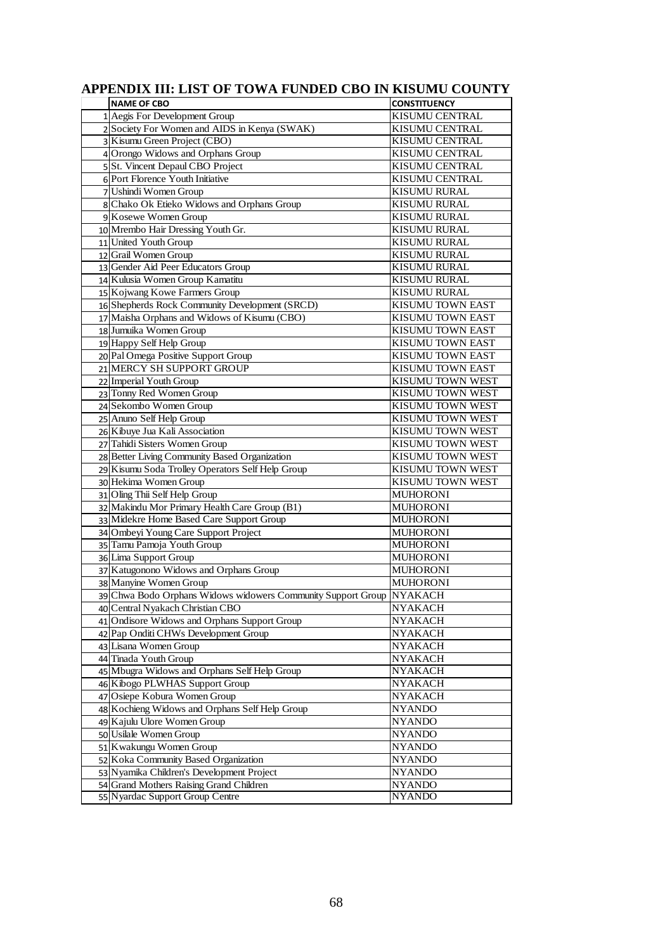| <b>NAME OF CBO</b>                                                   | <b>CONSTITUENCY</b>              |
|----------------------------------------------------------------------|----------------------------------|
| 1 Aegis For Development Group                                        | KISUMU CENTRAL                   |
| 2 Society For Women and AIDS in Kenya (SWAK)                         | KISUMU CENTRAL                   |
| 3 Kisumu Green Project (CBO)                                         | KISUMU CENTRAL                   |
| 4 Orongo Widows and Orphans Group                                    | KISUMU CENTRAL                   |
| 5 St. Vincent Depaul CBO Project                                     | KISUMU CENTRAL                   |
| 6 Port Florence Youth Initiative                                     | <b>KISUMU CENTRAL</b>            |
| 7 Ushindi Women Group                                                | KISUMU RURAL                     |
| 8 Chako Ok Etieko Widows and Orphans Group                           | KISUMU RURAL                     |
| 9 Kosewe Women Group                                                 | KISUMU RURAL                     |
| 10 Mrembo Hair Dressing Youth Gr.                                    | KISUMU RURAL                     |
| 11 United Youth Group                                                | <b>KISUMU RURAL</b>              |
| 12 Grail Women Group                                                 | <b>KISUMU RURAL</b>              |
| 13 Gender Aid Peer Educators Group                                   | <b>KISUMU RURAL</b>              |
| 14 Kulusia Women Group Kamatitu                                      | KISUMU RURAL                     |
| 15 Kojwang Kowe Farmers Group                                        | <b>KISUMU RURAL</b>              |
| 16 Shepherds Rock Community Development (SRCD)                       | KISUMU TOWN EAST                 |
| 17 Maisha Orphans and Widows of Kisumu (CBO)                         | <b>KISUMU TOWN EAST</b>          |
| 18 Jumuika Women Group                                               | KISUMU TOWN EAST                 |
| 19 Happy Self Help Group                                             | KISUMU TOWN EAST                 |
| 20 Pal Omega Positive Support Group                                  | KISUMU TOWN EAST                 |
| 21 MERCY SH SUPPORT GROUP                                            | KISUMU TOWN EAST                 |
| 22 Imperial Youth Group                                              | KISUMU TOWN WEST                 |
| 23 Tonny Red Women Group                                             | KISUMU TOWN WEST                 |
| 24 Sekombo Women Group                                               | KISUMU TOWN WEST                 |
| 25 Anuno Self Help Group                                             | <b>KISUMU TOWN WEST</b>          |
| 26 Kibuye Jua Kali Association                                       | KISUMU TOWN WEST                 |
| 27 Tahidi Sisters Women Group                                        | KISUMU TOWN WEST                 |
| 28 Better Living Community Based Organization                        | KISUMU TOWN WEST                 |
| 29 Kisumu Soda Trolley Operators Self Help Group                     | KISUMU TOWN WEST                 |
| 30 Hekima Women Group                                                | KISUMU TOWN WEST                 |
| 31 Oling Thii Self Help Group                                        | <b>MUHORONI</b>                  |
| 32 Makindu Mor Primary Health Care Group (B1)                        | <b>MUHORONI</b>                  |
| 33 Midekre Home Based Care Support Group                             | <b>MUHORONI</b>                  |
| 34 Ombeyi Young Care Support Project                                 | <b>MUHORONI</b>                  |
| 35 Tamu Pamoja Youth Group                                           | <b>MUHORONI</b>                  |
| 36 Lima Support Group                                                | <b>MUHORONI</b>                  |
| 37 Katugonono Widows and Orphans Group                               | <b>MUHORONI</b>                  |
| 38 Manyine Women Group                                               | <b>MUHORONI</b>                  |
| 39 Chwa Bodo Orphans Widows widowers Community Support Group NYAKACH |                                  |
| 40 Central Nyakach Christian CBO                                     | <b>NYAKACH</b>                   |
| 41 Ondisore Widows and Orphans Support Group                         | <b>NYAKACH</b>                   |
| 42 Pap Onditi CHWs Development Group<br>43 Lisana Women Group        | <b>NYAKACH</b>                   |
| 44 Tinada Youth Group                                                | <b>NYAKACH</b><br><b>NYAKACH</b> |
| 45 Mbugra Widows and Orphans Self Help Group                         |                                  |
| 46 Kibogo PLWHAS Support Group                                       | <b>NYAKACH</b><br><b>NYAKACH</b> |
| 47 Osiepe Kobura Women Group                                         | NYAKACH                          |
| 48 Kochieng Widows and Orphans Self Help Group                       | <b>NYANDO</b>                    |
| 49 Kajulu Ulore Women Group                                          | <b>NYANDO</b>                    |
| 50 Usilale Women Group                                               | <b>NYANDO</b>                    |
| 51 Kwakungu Women Group                                              | <b>NYANDO</b>                    |
| 52 Koka Community Based Organization                                 | <b>NYANDO</b>                    |
| 53 Nyamika Children's Development Project                            | <b>NYANDO</b>                    |
| 54 Grand Mothers Raising Grand Children                              | <b>NYANDO</b>                    |
| 55 Nyardac Support Group Centre                                      | <b>NYANDO</b>                    |

## **APPENDIX III: LIST OF TOWA FUNDED CBO IN KISUMU COUNTY**